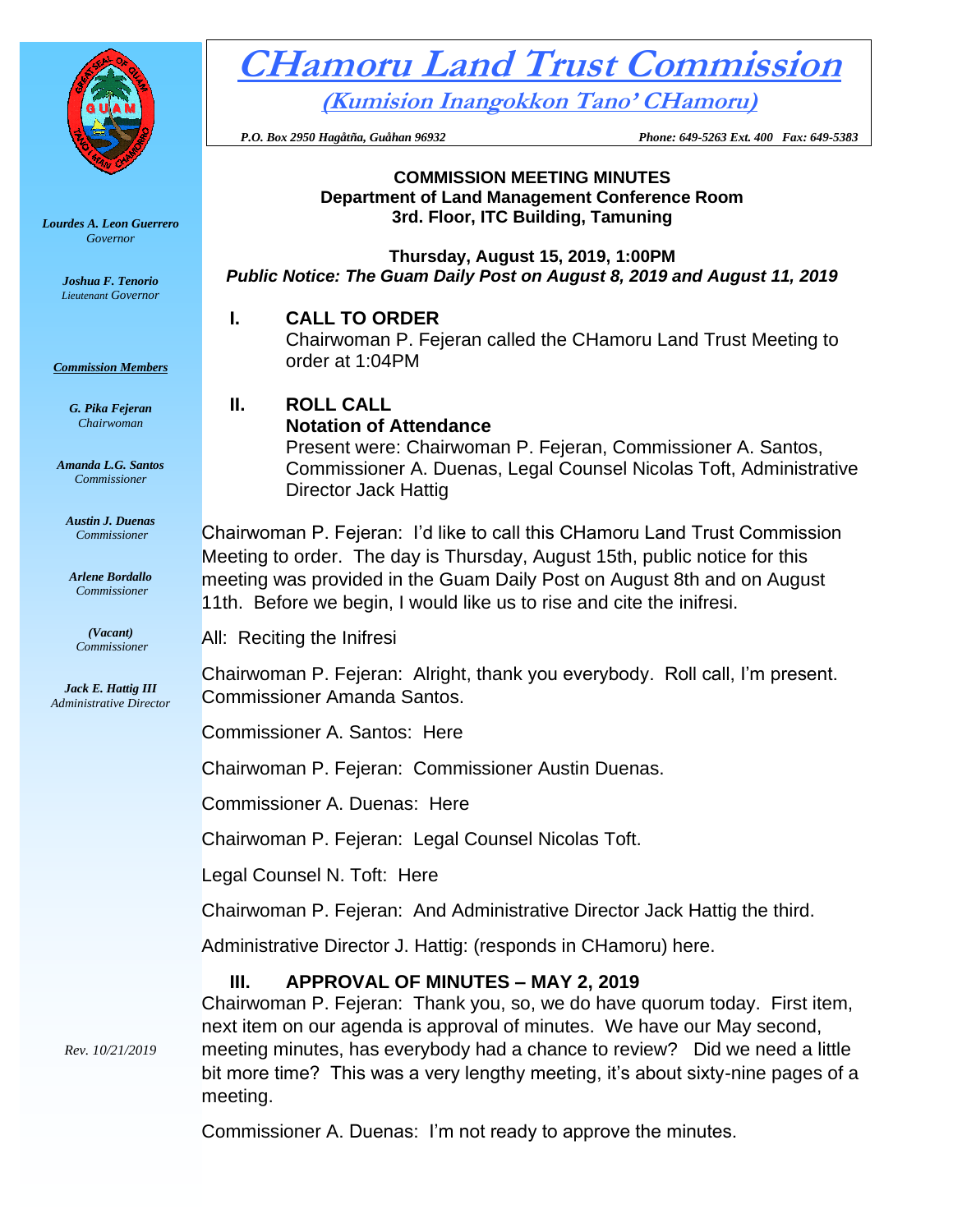

*Lourdes A. Leon Guerrero Governor* 

> *Joshua F. Tenorio Lieutenant Governor*

*Commission Members*

*G. Pika Fejeran Chairwoman*

*Amanda L.G. Santos Commissioner*

*Austin J. Duenas Commissioner*

*Arlene Bordallo Commissioner*

*(Vacant) Commissioner*

*Jack E. Hattig III Administrative Director*

*Rev. 10/21/2019*

# **CHamoru Land Trust Commission (Kumision Inangokkon Tano' CHamoru)**

 *P.O. Box 2950 Hagåtña, Guåhan 96932 Phone: 649-5263 Ext. 400 Fax: 649-5383*

#### **COMMISSION MEETING MINUTES Department of Land Management Conference Room 3rd. Floor, ITC Building, Tamuning**

**Thursday, August 15, 2019, 1:00PM** *Public Notice: The Guam Daily Post on August 8, 2019 and August 11, 2019*

#### **I. CALL TO ORDER**

Chairwoman P. Fejeran called the CHamoru Land Trust Meeting to order at 1:04PM

## **II. ROLL CALL Notation of Attendance**

Present were: Chairwoman P. Fejeran, Commissioner A. Santos, Commissioner A. Duenas, Legal Counsel Nicolas Toft, Administrative Director Jack Hattig

Chairwoman P. Fejeran: I'd like to call this CHamoru Land Trust Commission Meeting to order. The day is Thursday, August 15th, public notice for this meeting was provided in the Guam Daily Post on August 8th and on August 11th. Before we begin, I would like us to rise and cite the inifresi.

All: Reciting the Inifresi

Chairwoman P. Fejeran: Alright, thank you everybody. Roll call, I'm present. Commissioner Amanda Santos.

Commissioner A. Santos: Here

Chairwoman P. Fejeran: Commissioner Austin Duenas.

Commissioner A. Duenas: Here

Chairwoman P. Fejeran: Legal Counsel Nicolas Toft.

Legal Counsel N. Toft: Here

Chairwoman P. Fejeran: And Administrative Director Jack Hattig the third.

Administrative Director J. Hattig: (responds in CHamoru) here.

## **III. APPROVAL OF MINUTES – MAY 2, 2019**

Chairwoman P. Fejeran: Thank you, so, we do have quorum today. First item, next item on our agenda is approval of minutes. We have our May second, meeting minutes, has everybody had a chance to review? Did we need a little bit more time? This was a very lengthy meeting, it's about sixty-nine pages of a meeting.

Commissioner A. Duenas: I'm not ready to approve the minutes.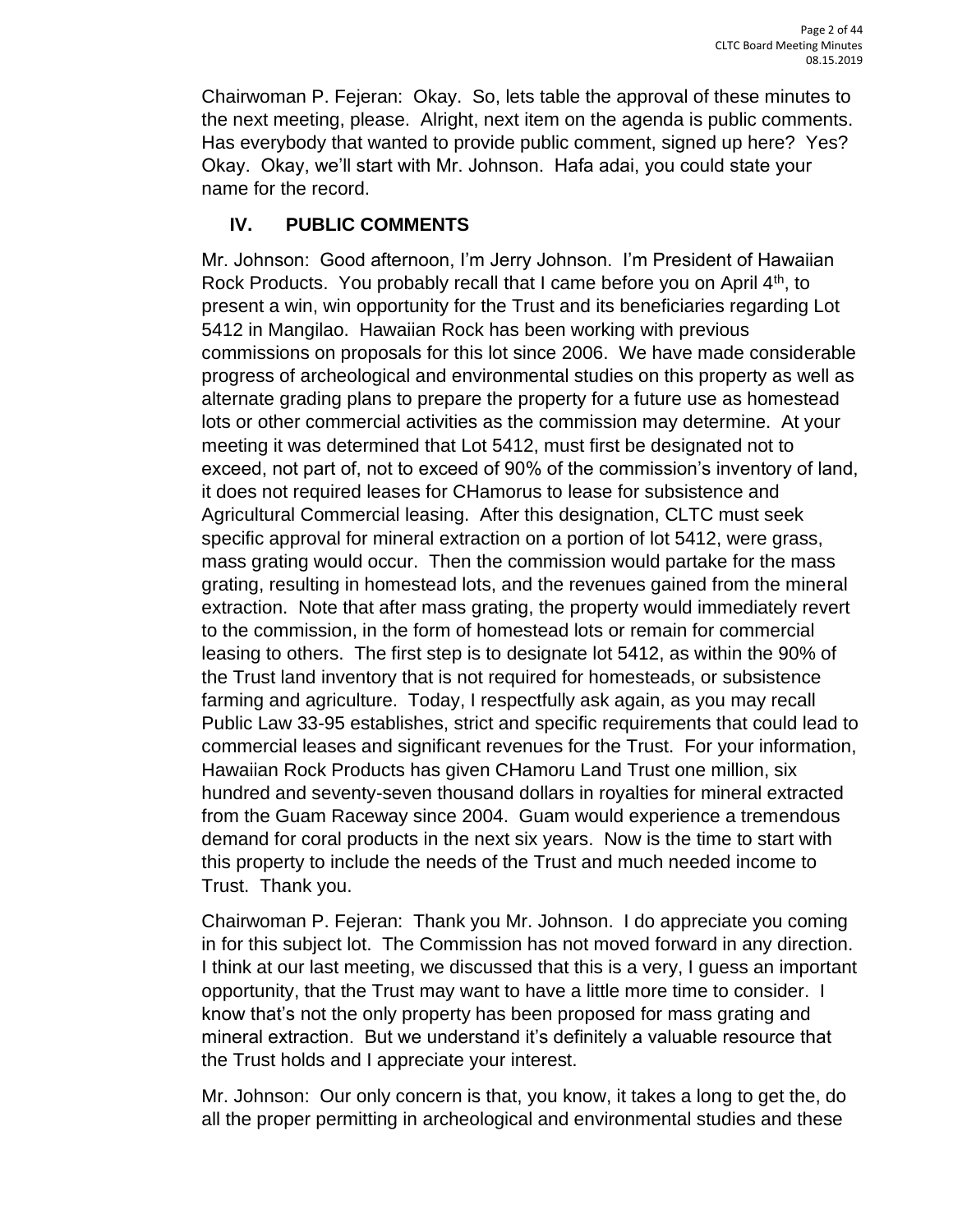Chairwoman P. Fejeran: Okay. So, lets table the approval of these minutes to the next meeting, please. Alright, next item on the agenda is public comments. Has everybody that wanted to provide public comment, signed up here? Yes? Okay. Okay, we'll start with Mr. Johnson. Hafa adai, you could state your name for the record.

## **IV. PUBLIC COMMENTS**

Mr. Johnson: Good afternoon, I'm Jerry Johnson. I'm President of Hawaiian Rock Products. You probably recall that I came before you on April  $4<sup>th</sup>$ , to present a win, win opportunity for the Trust and its beneficiaries regarding Lot 5412 in Mangilao. Hawaiian Rock has been working with previous commissions on proposals for this lot since 2006. We have made considerable progress of archeological and environmental studies on this property as well as alternate grading plans to prepare the property for a future use as homestead lots or other commercial activities as the commission may determine. At your meeting it was determined that Lot 5412, must first be designated not to exceed, not part of, not to exceed of 90% of the commission's inventory of land, it does not required leases for CHamorus to lease for subsistence and Agricultural Commercial leasing. After this designation, CLTC must seek specific approval for mineral extraction on a portion of lot 5412, were grass, mass grating would occur. Then the commission would partake for the mass grating, resulting in homestead lots, and the revenues gained from the mineral extraction. Note that after mass grating, the property would immediately revert to the commission, in the form of homestead lots or remain for commercial leasing to others. The first step is to designate lot 5412, as within the 90% of the Trust land inventory that is not required for homesteads, or subsistence farming and agriculture. Today, I respectfully ask again, as you may recall Public Law 33-95 establishes, strict and specific requirements that could lead to commercial leases and significant revenues for the Trust. For your information, Hawaiian Rock Products has given CHamoru Land Trust one million, six hundred and seventy-seven thousand dollars in royalties for mineral extracted from the Guam Raceway since 2004. Guam would experience a tremendous demand for coral products in the next six years. Now is the time to start with this property to include the needs of the Trust and much needed income to Trust. Thank you.

Chairwoman P. Fejeran: Thank you Mr. Johnson. I do appreciate you coming in for this subject lot. The Commission has not moved forward in any direction. I think at our last meeting, we discussed that this is a very, I guess an important opportunity, that the Trust may want to have a little more time to consider. I know that's not the only property has been proposed for mass grating and mineral extraction. But we understand it's definitely a valuable resource that the Trust holds and I appreciate your interest.

Mr. Johnson: Our only concern is that, you know, it takes a long to get the, do all the proper permitting in archeological and environmental studies and these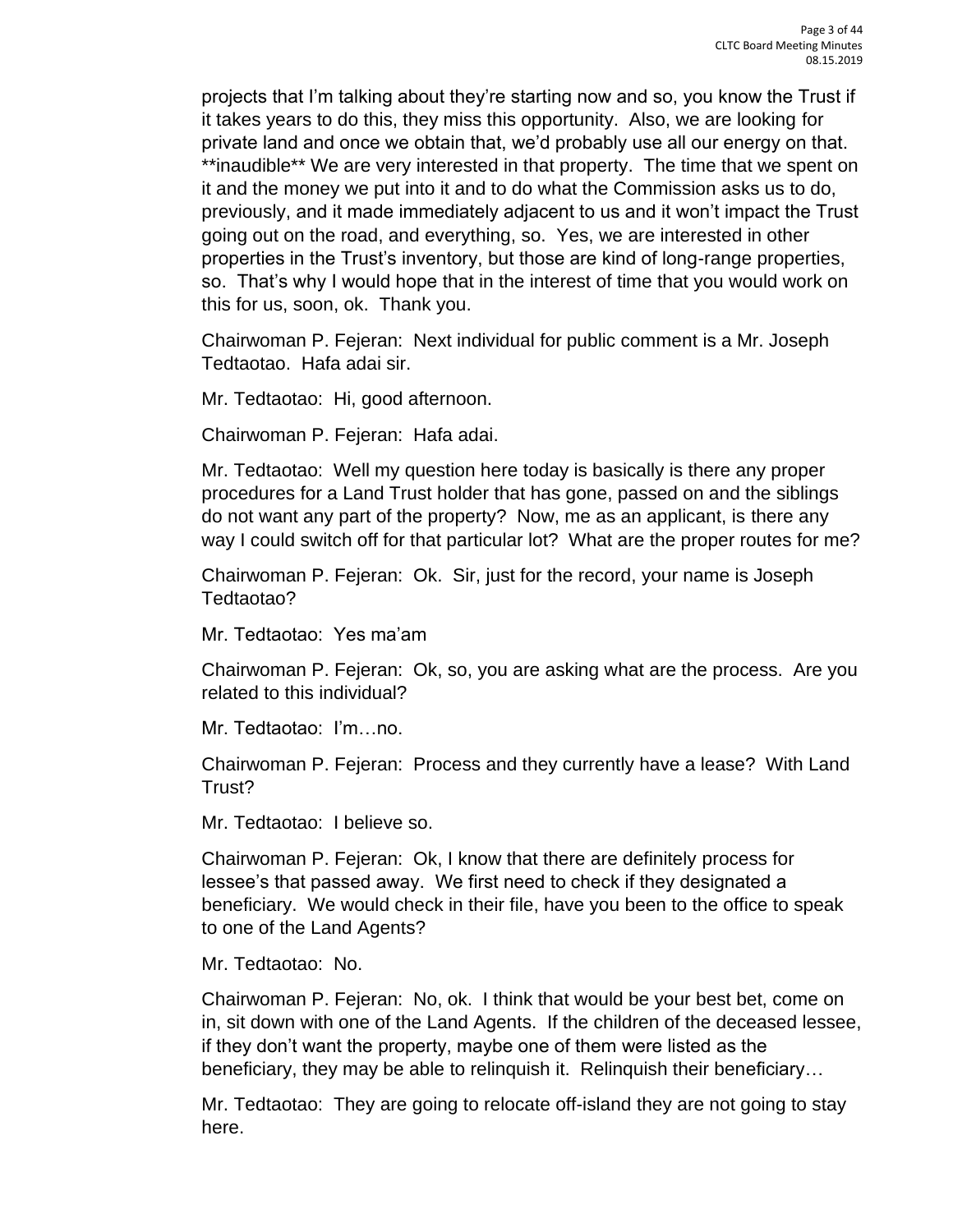projects that I'm talking about they're starting now and so, you know the Trust if it takes years to do this, they miss this opportunity. Also, we are looking for private land and once we obtain that, we'd probably use all our energy on that. \*\*inaudible\*\* We are very interested in that property. The time that we spent on it and the money we put into it and to do what the Commission asks us to do, previously, and it made immediately adjacent to us and it won't impact the Trust going out on the road, and everything, so. Yes, we are interested in other properties in the Trust's inventory, but those are kind of long-range properties, so. That's why I would hope that in the interest of time that you would work on this for us, soon, ok. Thank you.

Chairwoman P. Fejeran: Next individual for public comment is a Mr. Joseph Tedtaotao. Hafa adai sir.

Mr. Tedtaotao: Hi, good afternoon.

Chairwoman P. Fejeran: Hafa adai.

Mr. Tedtaotao: Well my question here today is basically is there any proper procedures for a Land Trust holder that has gone, passed on and the siblings do not want any part of the property? Now, me as an applicant, is there any way I could switch off for that particular lot? What are the proper routes for me?

Chairwoman P. Fejeran: Ok. Sir, just for the record, your name is Joseph Tedtaotao?

Mr. Tedtaotao: Yes ma'am

Chairwoman P. Fejeran: Ok, so, you are asking what are the process. Are you related to this individual?

Mr. Tedtaotao: I'm…no.

Chairwoman P. Fejeran: Process and they currently have a lease? With Land Trust?

Mr. Tedtaotao: I believe so.

Chairwoman P. Fejeran: Ok, I know that there are definitely process for lessee's that passed away. We first need to check if they designated a beneficiary. We would check in their file, have you been to the office to speak to one of the Land Agents?

Mr. Tedtaotao: No.

Chairwoman P. Fejeran: No, ok. I think that would be your best bet, come on in, sit down with one of the Land Agents. If the children of the deceased lessee, if they don't want the property, maybe one of them were listed as the beneficiary, they may be able to relinquish it. Relinquish their beneficiary…

Mr. Tedtaotao: They are going to relocate off-island they are not going to stay here.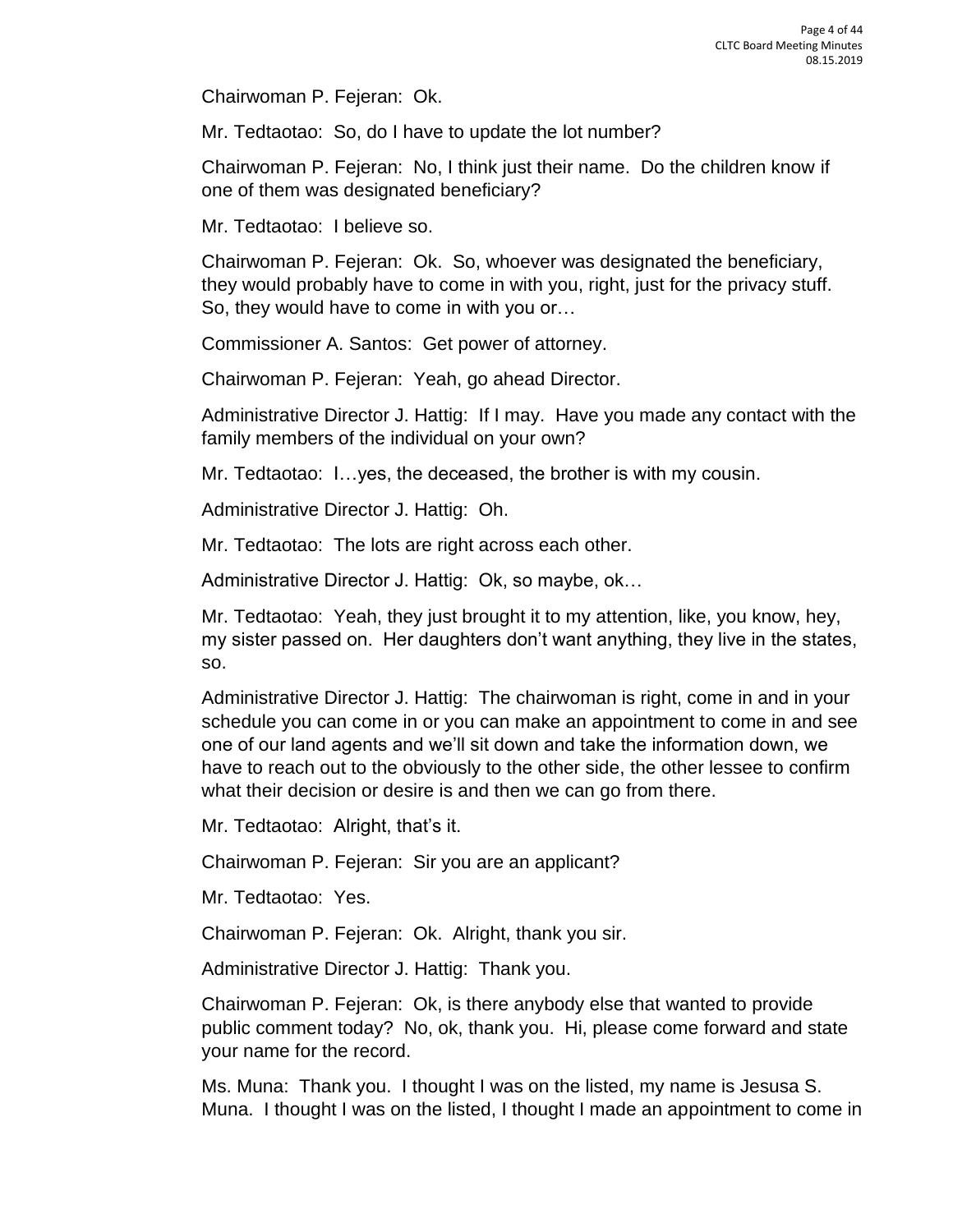Chairwoman P. Fejeran: Ok.

Mr. Tedtaotao: So, do I have to update the lot number?

Chairwoman P. Fejeran: No, I think just their name. Do the children know if one of them was designated beneficiary?

Mr. Tedtaotao: I believe so.

Chairwoman P. Fejeran: Ok. So, whoever was designated the beneficiary, they would probably have to come in with you, right, just for the privacy stuff. So, they would have to come in with you or…

Commissioner A. Santos: Get power of attorney.

Chairwoman P. Fejeran: Yeah, go ahead Director.

Administrative Director J. Hattig: If I may. Have you made any contact with the family members of the individual on your own?

Mr. Tedtaotao: I…yes, the deceased, the brother is with my cousin.

Administrative Director J. Hattig: Oh.

Mr. Tedtaotao: The lots are right across each other.

Administrative Director J. Hattig: Ok, so maybe, ok…

Mr. Tedtaotao: Yeah, they just brought it to my attention, like, you know, hey, my sister passed on. Her daughters don't want anything, they live in the states, so.

Administrative Director J. Hattig: The chairwoman is right, come in and in your schedule you can come in or you can make an appointment to come in and see one of our land agents and we'll sit down and take the information down, we have to reach out to the obviously to the other side, the other lessee to confirm what their decision or desire is and then we can go from there.

Mr. Tedtaotao: Alright, that's it.

Chairwoman P. Fejeran: Sir you are an applicant?

Mr. Tedtaotao: Yes.

Chairwoman P. Fejeran: Ok. Alright, thank you sir.

Administrative Director J. Hattig: Thank you.

Chairwoman P. Fejeran: Ok, is there anybody else that wanted to provide public comment today? No, ok, thank you. Hi, please come forward and state your name for the record.

Ms. Muna: Thank you. I thought I was on the listed, my name is Jesusa S. Muna. I thought I was on the listed, I thought I made an appointment to come in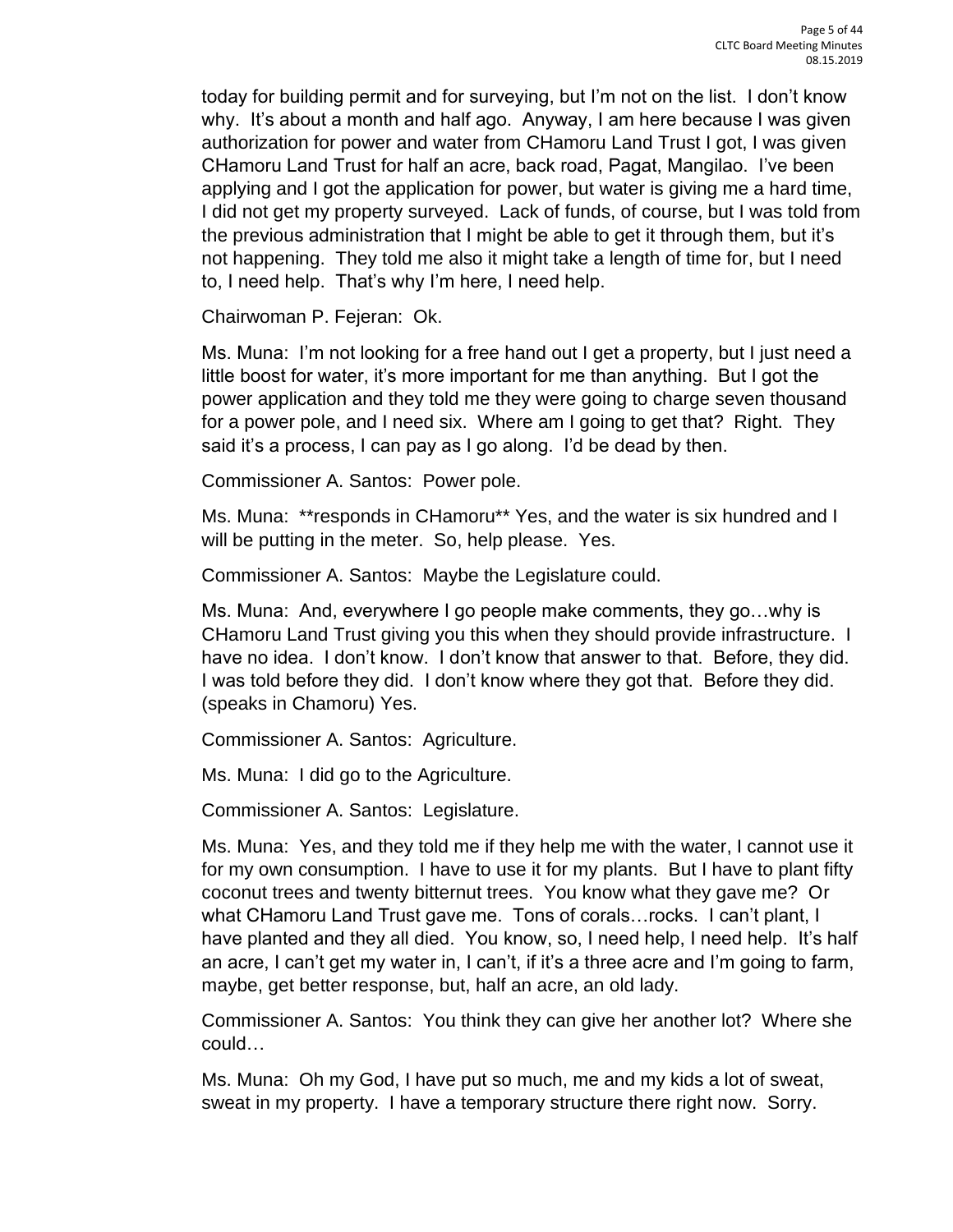today for building permit and for surveying, but I'm not on the list. I don't know why. It's about a month and half ago. Anyway, I am here because I was given authorization for power and water from CHamoru Land Trust I got, I was given CHamoru Land Trust for half an acre, back road, Pagat, Mangilao. I've been applying and I got the application for power, but water is giving me a hard time, I did not get my property surveyed. Lack of funds, of course, but I was told from the previous administration that I might be able to get it through them, but it's not happening. They told me also it might take a length of time for, but I need to, I need help. That's why I'm here, I need help.

Chairwoman P. Fejeran: Ok.

Ms. Muna: I'm not looking for a free hand out I get a property, but I just need a little boost for water, it's more important for me than anything. But I got the power application and they told me they were going to charge seven thousand for a power pole, and I need six. Where am I going to get that? Right. They said it's a process, I can pay as I go along. I'd be dead by then.

Commissioner A. Santos: Power pole.

Ms. Muna: \*\*responds in CHamoru\*\* Yes, and the water is six hundred and I will be putting in the meter. So, help please. Yes.

Commissioner A. Santos: Maybe the Legislature could.

Ms. Muna: And, everywhere I go people make comments, they go…why is CHamoru Land Trust giving you this when they should provide infrastructure. I have no idea. I don't know. I don't know that answer to that. Before, they did. I was told before they did. I don't know where they got that. Before they did. (speaks in Chamoru) Yes.

Commissioner A. Santos: Agriculture.

Ms. Muna: I did go to the Agriculture.

Commissioner A. Santos: Legislature.

Ms. Muna: Yes, and they told me if they help me with the water, I cannot use it for my own consumption. I have to use it for my plants. But I have to plant fifty coconut trees and twenty bitternut trees. You know what they gave me? Or what CHamoru Land Trust gave me. Tons of corals…rocks. I can't plant, I have planted and they all died. You know, so, I need help, I need help. It's half an acre, I can't get my water in, I can't, if it's a three acre and I'm going to farm, maybe, get better response, but, half an acre, an old lady.

Commissioner A. Santos: You think they can give her another lot? Where she could…

Ms. Muna: Oh my God, I have put so much, me and my kids a lot of sweat, sweat in my property. I have a temporary structure there right now. Sorry.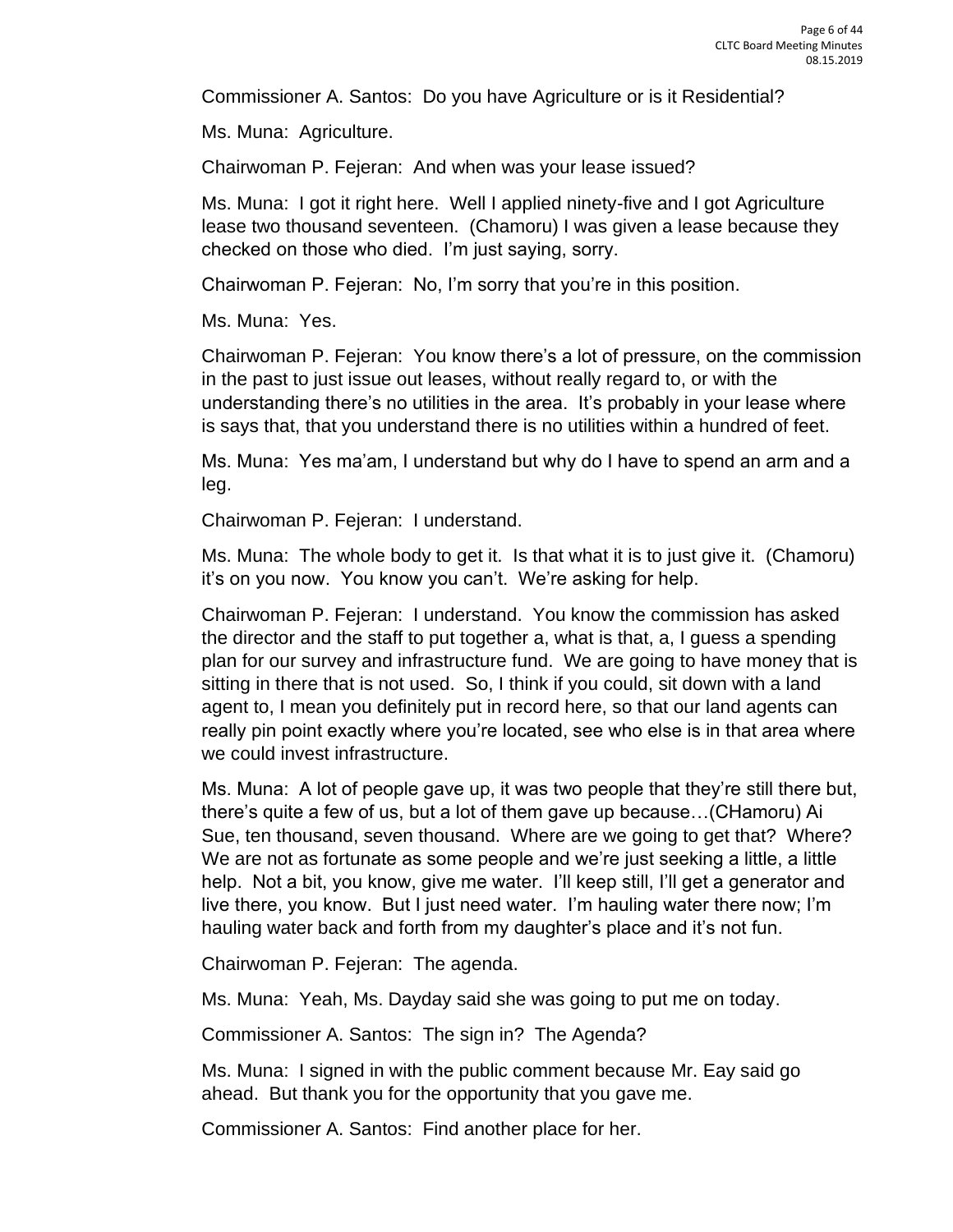Commissioner A. Santos: Do you have Agriculture or is it Residential?

Ms. Muna: Agriculture.

Chairwoman P. Fejeran: And when was your lease issued?

Ms. Muna: I got it right here. Well I applied ninety-five and I got Agriculture lease two thousand seventeen. (Chamoru) I was given a lease because they checked on those who died. I'm just saying, sorry.

Chairwoman P. Fejeran: No, I'm sorry that you're in this position.

Ms. Muna: Yes.

Chairwoman P. Fejeran: You know there's a lot of pressure, on the commission in the past to just issue out leases, without really regard to, or with the understanding there's no utilities in the area. It's probably in your lease where is says that, that you understand there is no utilities within a hundred of feet.

Ms. Muna: Yes ma'am, I understand but why do I have to spend an arm and a leg.

Chairwoman P. Fejeran: I understand.

Ms. Muna: The whole body to get it. Is that what it is to just give it. (Chamoru) it's on you now. You know you can't. We're asking for help.

Chairwoman P. Fejeran: I understand. You know the commission has asked the director and the staff to put together a, what is that, a, I guess a spending plan for our survey and infrastructure fund. We are going to have money that is sitting in there that is not used. So, I think if you could, sit down with a land agent to, I mean you definitely put in record here, so that our land agents can really pin point exactly where you're located, see who else is in that area where we could invest infrastructure.

Ms. Muna: A lot of people gave up, it was two people that they're still there but, there's quite a few of us, but a lot of them gave up because…(CHamoru) Ai Sue, ten thousand, seven thousand. Where are we going to get that? Where? We are not as fortunate as some people and we're just seeking a little, a little help. Not a bit, you know, give me water. I'll keep still, I'll get a generator and live there, you know. But I just need water. I'm hauling water there now; I'm hauling water back and forth from my daughter's place and it's not fun.

Chairwoman P. Fejeran: The agenda.

Ms. Muna: Yeah, Ms. Dayday said she was going to put me on today.

Commissioner A. Santos: The sign in? The Agenda?

Ms. Muna: I signed in with the public comment because Mr. Eay said go ahead. But thank you for the opportunity that you gave me.

Commissioner A. Santos: Find another place for her.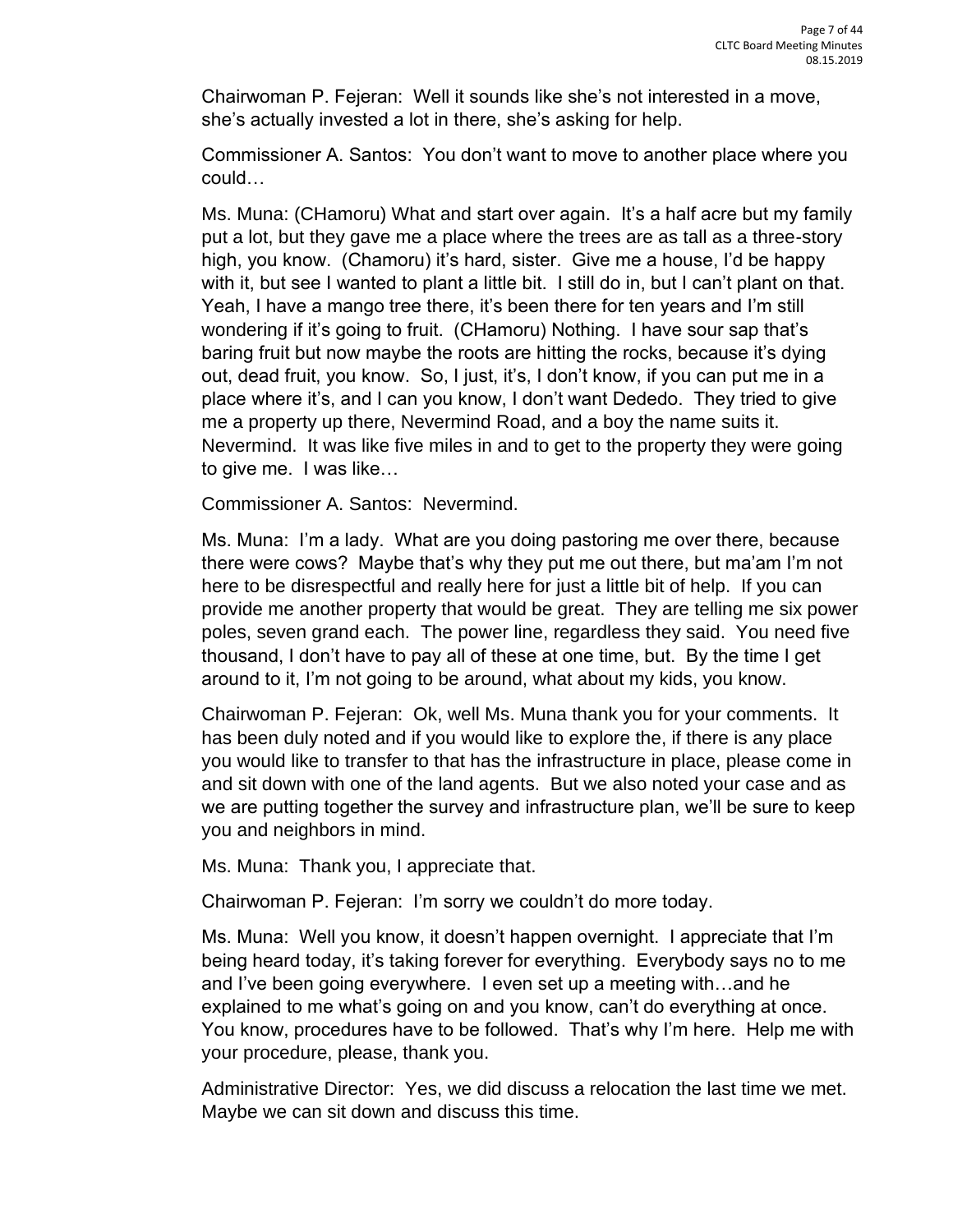Chairwoman P. Fejeran: Well it sounds like she's not interested in a move, she's actually invested a lot in there, she's asking for help.

Commissioner A. Santos: You don't want to move to another place where you could…

Ms. Muna: (CHamoru) What and start over again. It's a half acre but my family put a lot, but they gave me a place where the trees are as tall as a three-story high, you know. (Chamoru) it's hard, sister. Give me a house, I'd be happy with it, but see I wanted to plant a little bit. I still do in, but I can't plant on that. Yeah, I have a mango tree there, it's been there for ten years and I'm still wondering if it's going to fruit. (CHamoru) Nothing. I have sour sap that's baring fruit but now maybe the roots are hitting the rocks, because it's dying out, dead fruit, you know. So, I just, it's, I don't know, if you can put me in a place where it's, and I can you know, I don't want Dededo. They tried to give me a property up there, Nevermind Road, and a boy the name suits it. Nevermind. It was like five miles in and to get to the property they were going to give me. I was like…

Commissioner A. Santos: Nevermind.

Ms. Muna: I'm a lady. What are you doing pastoring me over there, because there were cows? Maybe that's why they put me out there, but ma'am I'm not here to be disrespectful and really here for just a little bit of help. If you can provide me another property that would be great. They are telling me six power poles, seven grand each. The power line, regardless they said. You need five thousand, I don't have to pay all of these at one time, but. By the time I get around to it, I'm not going to be around, what about my kids, you know.

Chairwoman P. Fejeran: Ok, well Ms. Muna thank you for your comments. It has been duly noted and if you would like to explore the, if there is any place you would like to transfer to that has the infrastructure in place, please come in and sit down with one of the land agents. But we also noted your case and as we are putting together the survey and infrastructure plan, we'll be sure to keep you and neighbors in mind.

Ms. Muna: Thank you, I appreciate that.

Chairwoman P. Fejeran: I'm sorry we couldn't do more today.

Ms. Muna: Well you know, it doesn't happen overnight. I appreciate that I'm being heard today, it's taking forever for everything. Everybody says no to me and I've been going everywhere. I even set up a meeting with…and he explained to me what's going on and you know, can't do everything at once. You know, procedures have to be followed. That's why I'm here. Help me with your procedure, please, thank you.

Administrative Director: Yes, we did discuss a relocation the last time we met. Maybe we can sit down and discuss this time.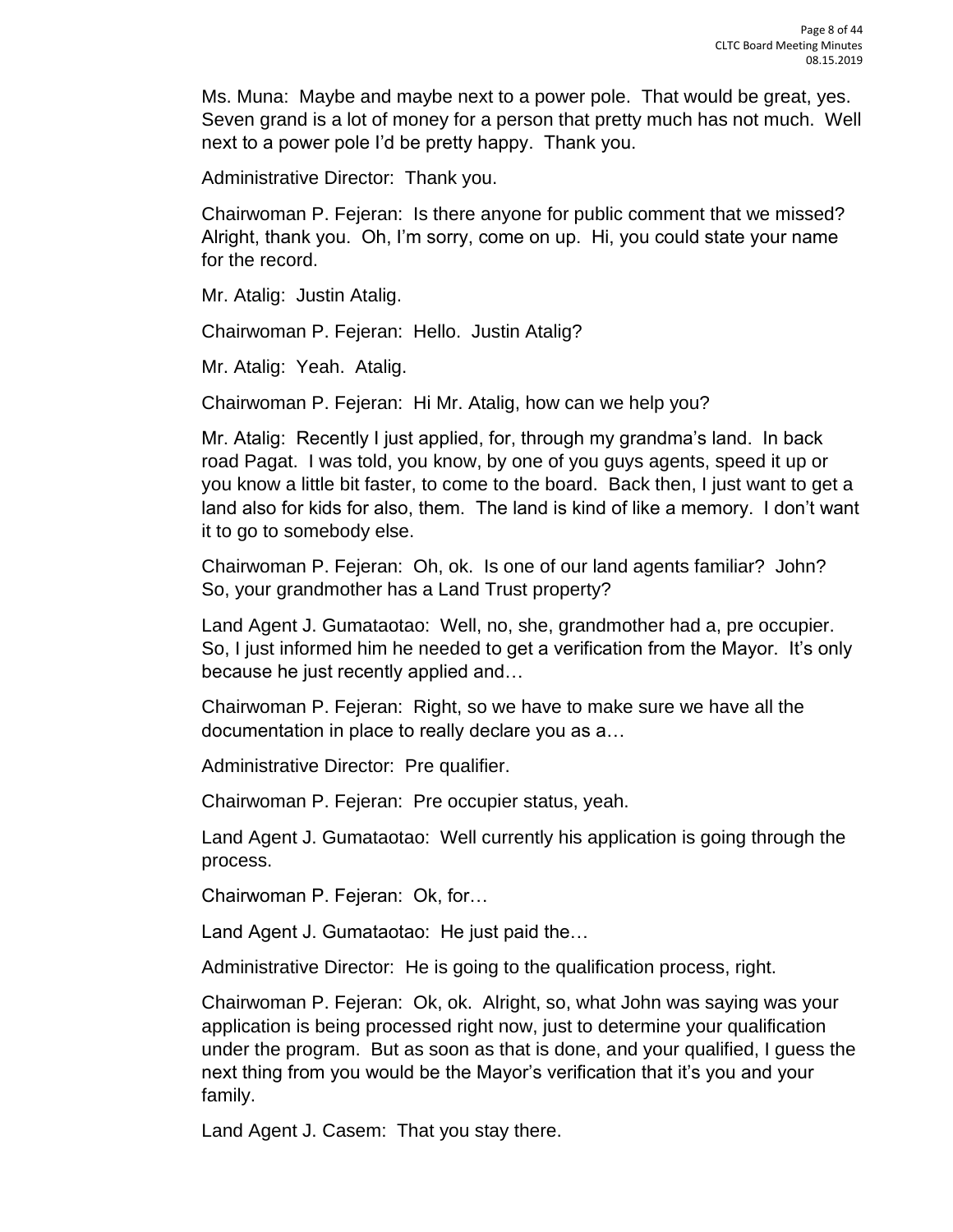Ms. Muna: Maybe and maybe next to a power pole. That would be great, yes. Seven grand is a lot of money for a person that pretty much has not much. Well next to a power pole I'd be pretty happy. Thank you.

Administrative Director: Thank you.

Chairwoman P. Fejeran: Is there anyone for public comment that we missed? Alright, thank you. Oh, I'm sorry, come on up. Hi, you could state your name for the record.

Mr. Atalig: Justin Atalig.

Chairwoman P. Fejeran: Hello. Justin Atalig?

Mr. Atalig: Yeah. Atalig.

Chairwoman P. Fejeran: Hi Mr. Atalig, how can we help you?

Mr. Atalig: Recently I just applied, for, through my grandma's land. In back road Pagat. I was told, you know, by one of you guys agents, speed it up or you know a little bit faster, to come to the board. Back then, I just want to get a land also for kids for also, them. The land is kind of like a memory. I don't want it to go to somebody else.

Chairwoman P. Fejeran: Oh, ok. Is one of our land agents familiar? John? So, your grandmother has a Land Trust property?

Land Agent J. Gumataotao: Well, no, she, grandmother had a, pre occupier. So, I just informed him he needed to get a verification from the Mayor. It's only because he just recently applied and…

Chairwoman P. Fejeran: Right, so we have to make sure we have all the documentation in place to really declare you as a…

Administrative Director: Pre qualifier.

Chairwoman P. Fejeran: Pre occupier status, yeah.

Land Agent J. Gumataotao: Well currently his application is going through the process.

Chairwoman P. Fejeran: Ok, for…

Land Agent J. Gumataotao: He just paid the…

Administrative Director: He is going to the qualification process, right.

Chairwoman P. Fejeran: Ok, ok. Alright, so, what John was saying was your application is being processed right now, just to determine your qualification under the program. But as soon as that is done, and your qualified, I guess the next thing from you would be the Mayor's verification that it's you and your family.

Land Agent J. Casem: That you stay there.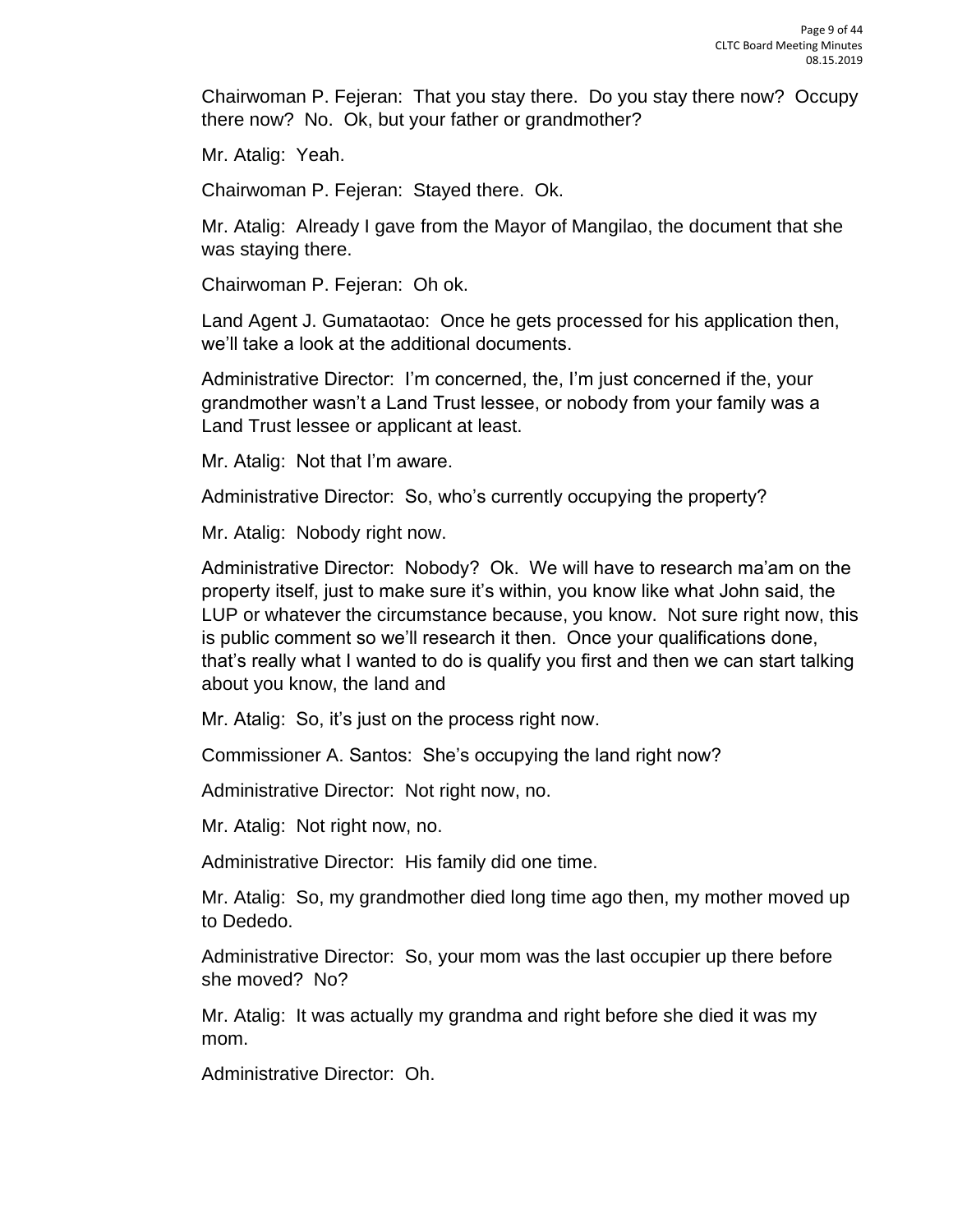Chairwoman P. Fejeran: That you stay there. Do you stay there now? Occupy there now? No. Ok, but your father or grandmother?

Mr. Atalig: Yeah.

Chairwoman P. Fejeran: Stayed there. Ok.

Mr. Atalig: Already I gave from the Mayor of Mangilao, the document that she was staying there.

Chairwoman P. Fejeran: Oh ok.

Land Agent J. Gumataotao: Once he gets processed for his application then, we'll take a look at the additional documents.

Administrative Director: I'm concerned, the, I'm just concerned if the, your grandmother wasn't a Land Trust lessee, or nobody from your family was a Land Trust lessee or applicant at least.

Mr. Atalig: Not that I'm aware.

Administrative Director: So, who's currently occupying the property?

Mr. Atalig: Nobody right now.

Administrative Director: Nobody? Ok. We will have to research ma'am on the property itself, just to make sure it's within, you know like what John said, the LUP or whatever the circumstance because, you know. Not sure right now, this is public comment so we'll research it then. Once your qualifications done, that's really what I wanted to do is qualify you first and then we can start talking about you know, the land and

Mr. Atalig: So, it's just on the process right now.

Commissioner A. Santos: She's occupying the land right now?

Administrative Director: Not right now, no.

Mr. Atalig: Not right now, no.

Administrative Director: His family did one time.

Mr. Atalig: So, my grandmother died long time ago then, my mother moved up to Dededo.

Administrative Director: So, your mom was the last occupier up there before she moved? No?

Mr. Atalig: It was actually my grandma and right before she died it was my mom.

Administrative Director: Oh.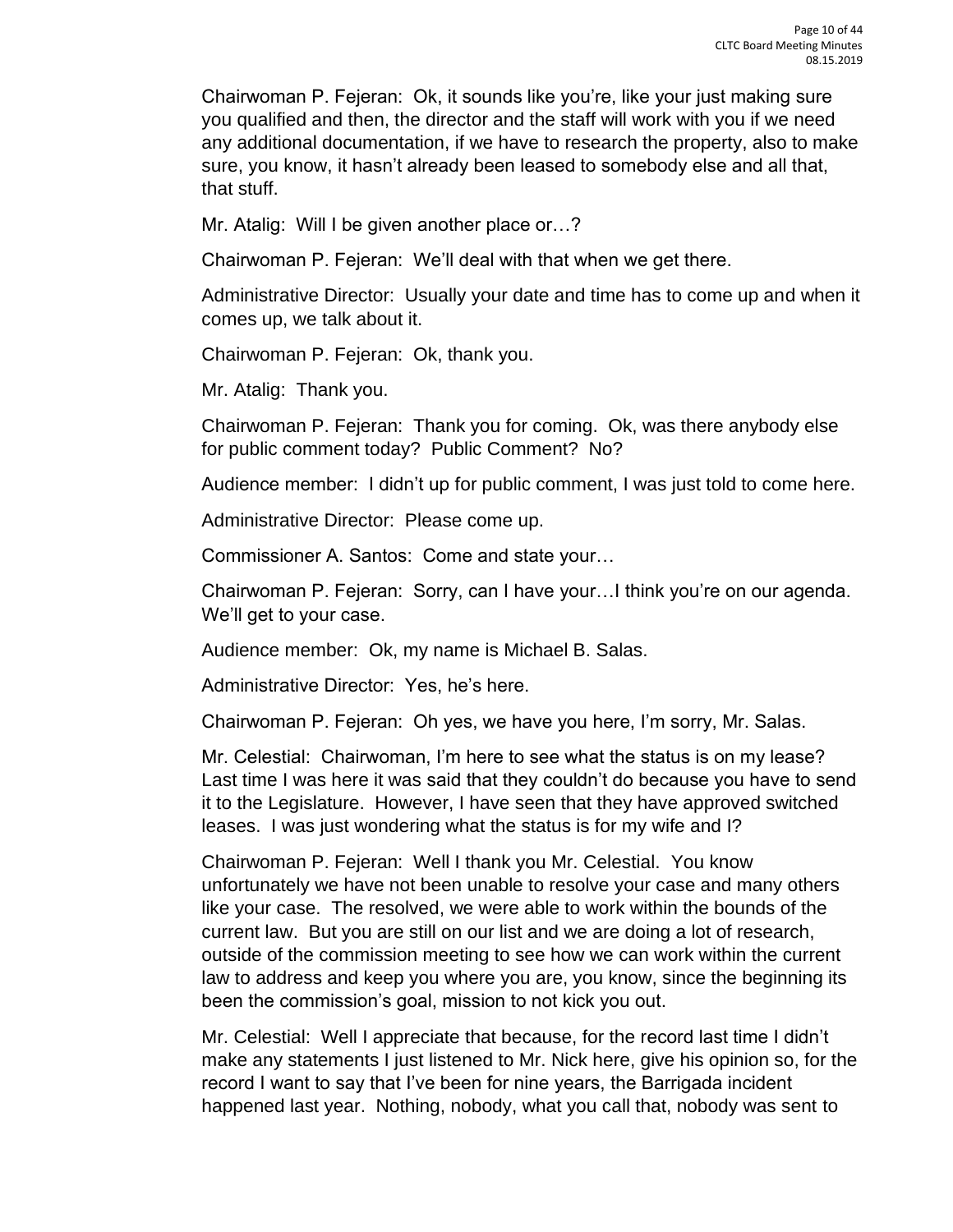Chairwoman P. Fejeran: Ok, it sounds like you're, like your just making sure you qualified and then, the director and the staff will work with you if we need any additional documentation, if we have to research the property, also to make sure, you know, it hasn't already been leased to somebody else and all that, that stuff.

Mr. Atalig: Will I be given another place or…?

Chairwoman P. Fejeran: We'll deal with that when we get there.

Administrative Director: Usually your date and time has to come up and when it comes up, we talk about it.

Chairwoman P. Fejeran: Ok, thank you.

Mr. Atalig: Thank you.

Chairwoman P. Fejeran: Thank you for coming. Ok, was there anybody else for public comment today? Public Comment? No?

Audience member: I didn't up for public comment, I was just told to come here.

Administrative Director: Please come up.

Commissioner A. Santos: Come and state your…

Chairwoman P. Fejeran: Sorry, can I have your…I think you're on our agenda. We'll get to your case.

Audience member: Ok, my name is Michael B. Salas.

Administrative Director: Yes, he's here.

Chairwoman P. Fejeran: Oh yes, we have you here, I'm sorry, Mr. Salas.

Mr. Celestial: Chairwoman, I'm here to see what the status is on my lease? Last time I was here it was said that they couldn't do because you have to send it to the Legislature. However, I have seen that they have approved switched leases. I was just wondering what the status is for my wife and I?

Chairwoman P. Fejeran: Well I thank you Mr. Celestial. You know unfortunately we have not been unable to resolve your case and many others like your case. The resolved, we were able to work within the bounds of the current law. But you are still on our list and we are doing a lot of research, outside of the commission meeting to see how we can work within the current law to address and keep you where you are, you know, since the beginning its been the commission's goal, mission to not kick you out.

Mr. Celestial: Well I appreciate that because, for the record last time I didn't make any statements I just listened to Mr. Nick here, give his opinion so, for the record I want to say that I've been for nine years, the Barrigada incident happened last year. Nothing, nobody, what you call that, nobody was sent to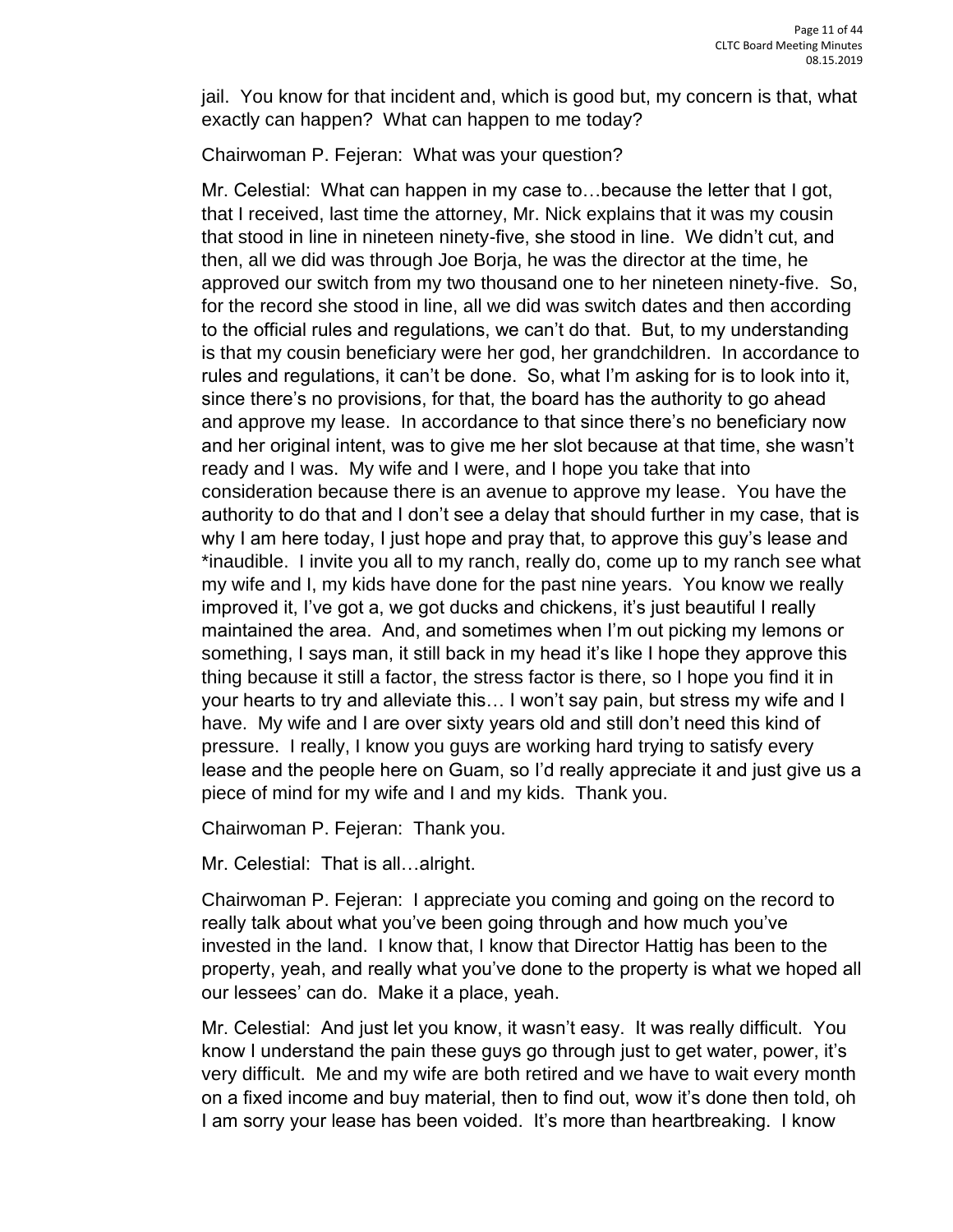jail. You know for that incident and, which is good but, my concern is that, what exactly can happen? What can happen to me today?

Chairwoman P. Fejeran: What was your question?

Mr. Celestial: What can happen in my case to…because the letter that I got, that I received, last time the attorney, Mr. Nick explains that it was my cousin that stood in line in nineteen ninety-five, she stood in line. We didn't cut, and then, all we did was through Joe Borja, he was the director at the time, he approved our switch from my two thousand one to her nineteen ninety-five. So, for the record she stood in line, all we did was switch dates and then according to the official rules and regulations, we can't do that. But, to my understanding is that my cousin beneficiary were her god, her grandchildren. In accordance to rules and regulations, it can't be done. So, what I'm asking for is to look into it, since there's no provisions, for that, the board has the authority to go ahead and approve my lease. In accordance to that since there's no beneficiary now and her original intent, was to give me her slot because at that time, she wasn't ready and I was. My wife and I were, and I hope you take that into consideration because there is an avenue to approve my lease. You have the authority to do that and I don't see a delay that should further in my case, that is why I am here today, I just hope and pray that, to approve this guy's lease and \*inaudible. I invite you all to my ranch, really do, come up to my ranch see what my wife and I, my kids have done for the past nine years. You know we really improved it, I've got a, we got ducks and chickens, it's just beautiful I really maintained the area. And, and sometimes when I'm out picking my lemons or something, I says man, it still back in my head it's like I hope they approve this thing because it still a factor, the stress factor is there, so I hope you find it in your hearts to try and alleviate this… I won't say pain, but stress my wife and I have. My wife and I are over sixty years old and still don't need this kind of pressure. I really, I know you guys are working hard trying to satisfy every lease and the people here on Guam, so I'd really appreciate it and just give us a piece of mind for my wife and I and my kids. Thank you.

Chairwoman P. Fejeran: Thank you.

Mr. Celestial: That is all…alright.

Chairwoman P. Fejeran: I appreciate you coming and going on the record to really talk about what you've been going through and how much you've invested in the land. I know that, I know that Director Hattig has been to the property, yeah, and really what you've done to the property is what we hoped all our lessees' can do. Make it a place, yeah.

Mr. Celestial: And just let you know, it wasn't easy. It was really difficult. You know I understand the pain these guys go through just to get water, power, it's very difficult. Me and my wife are both retired and we have to wait every month on a fixed income and buy material, then to find out, wow it's done then told, oh I am sorry your lease has been voided. It's more than heartbreaking. I know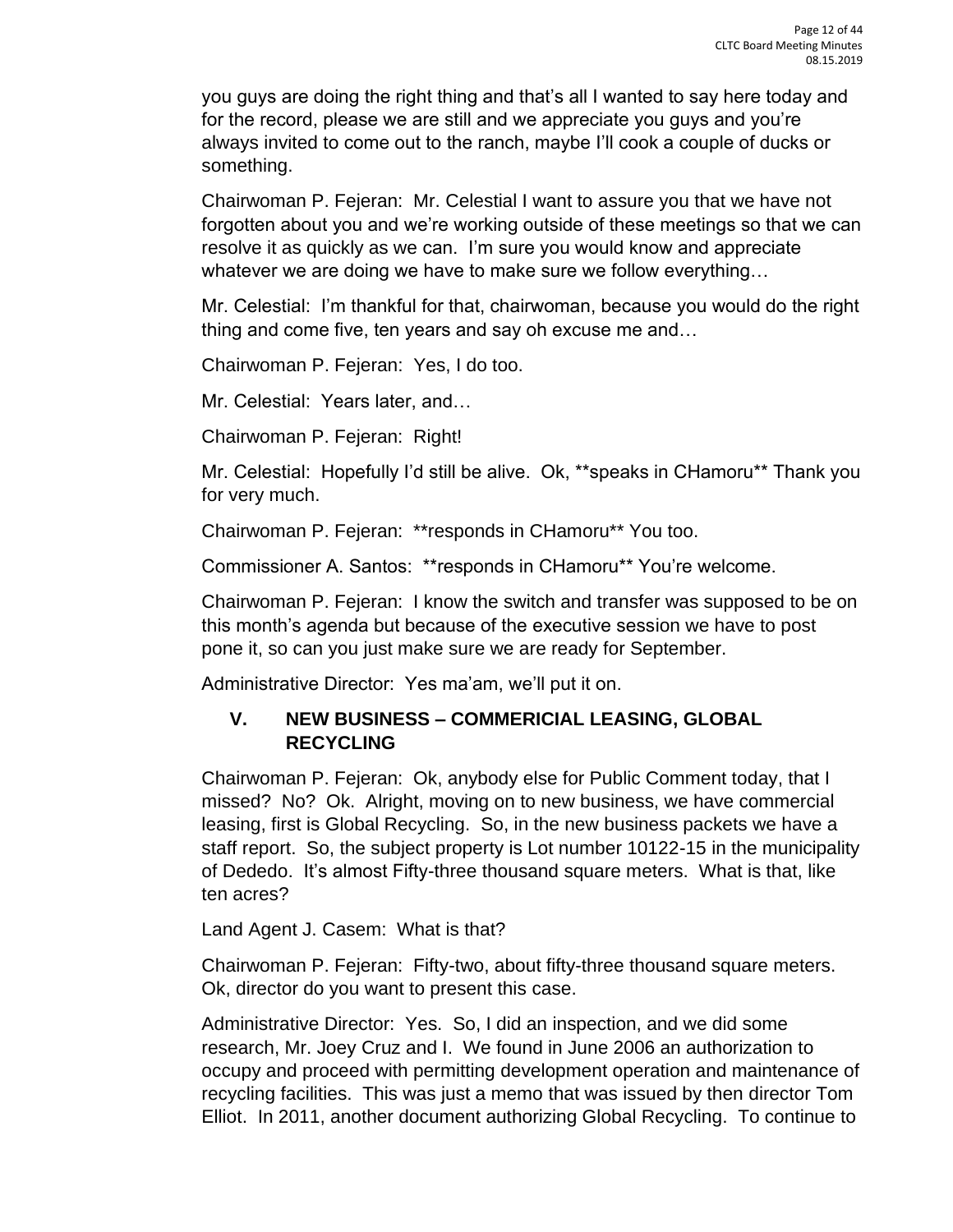you guys are doing the right thing and that's all I wanted to say here today and for the record, please we are still and we appreciate you guys and you're always invited to come out to the ranch, maybe I'll cook a couple of ducks or something.

Chairwoman P. Fejeran: Mr. Celestial I want to assure you that we have not forgotten about you and we're working outside of these meetings so that we can resolve it as quickly as we can. I'm sure you would know and appreciate whatever we are doing we have to make sure we follow everything…

Mr. Celestial: I'm thankful for that, chairwoman, because you would do the right thing and come five, ten years and say oh excuse me and…

Chairwoman P. Fejeran: Yes, I do too.

Mr. Celestial: Years later, and…

Chairwoman P. Fejeran: Right!

Mr. Celestial: Hopefully I'd still be alive. Ok, \*\*speaks in CHamoru\*\* Thank you for very much.

Chairwoman P. Fejeran: \*\*responds in CHamoru\*\* You too.

Commissioner A. Santos: \*\*responds in CHamoru\*\* You're welcome.

Chairwoman P. Fejeran: I know the switch and transfer was supposed to be on this month's agenda but because of the executive session we have to post pone it, so can you just make sure we are ready for September.

Administrative Director: Yes ma'am, we'll put it on.

## **V. NEW BUSINESS – COMMERICIAL LEASING, GLOBAL RECYCLING**

Chairwoman P. Fejeran: Ok, anybody else for Public Comment today, that I missed? No? Ok. Alright, moving on to new business, we have commercial leasing, first is Global Recycling. So, in the new business packets we have a staff report. So, the subject property is Lot number 10122-15 in the municipality of Dededo. It's almost Fifty-three thousand square meters. What is that, like ten acres?

Land Agent J. Casem: What is that?

Chairwoman P. Fejeran: Fifty-two, about fifty-three thousand square meters. Ok, director do you want to present this case.

Administrative Director: Yes. So, I did an inspection, and we did some research, Mr. Joey Cruz and I. We found in June 2006 an authorization to occupy and proceed with permitting development operation and maintenance of recycling facilities. This was just a memo that was issued by then director Tom Elliot. In 2011, another document authorizing Global Recycling. To continue to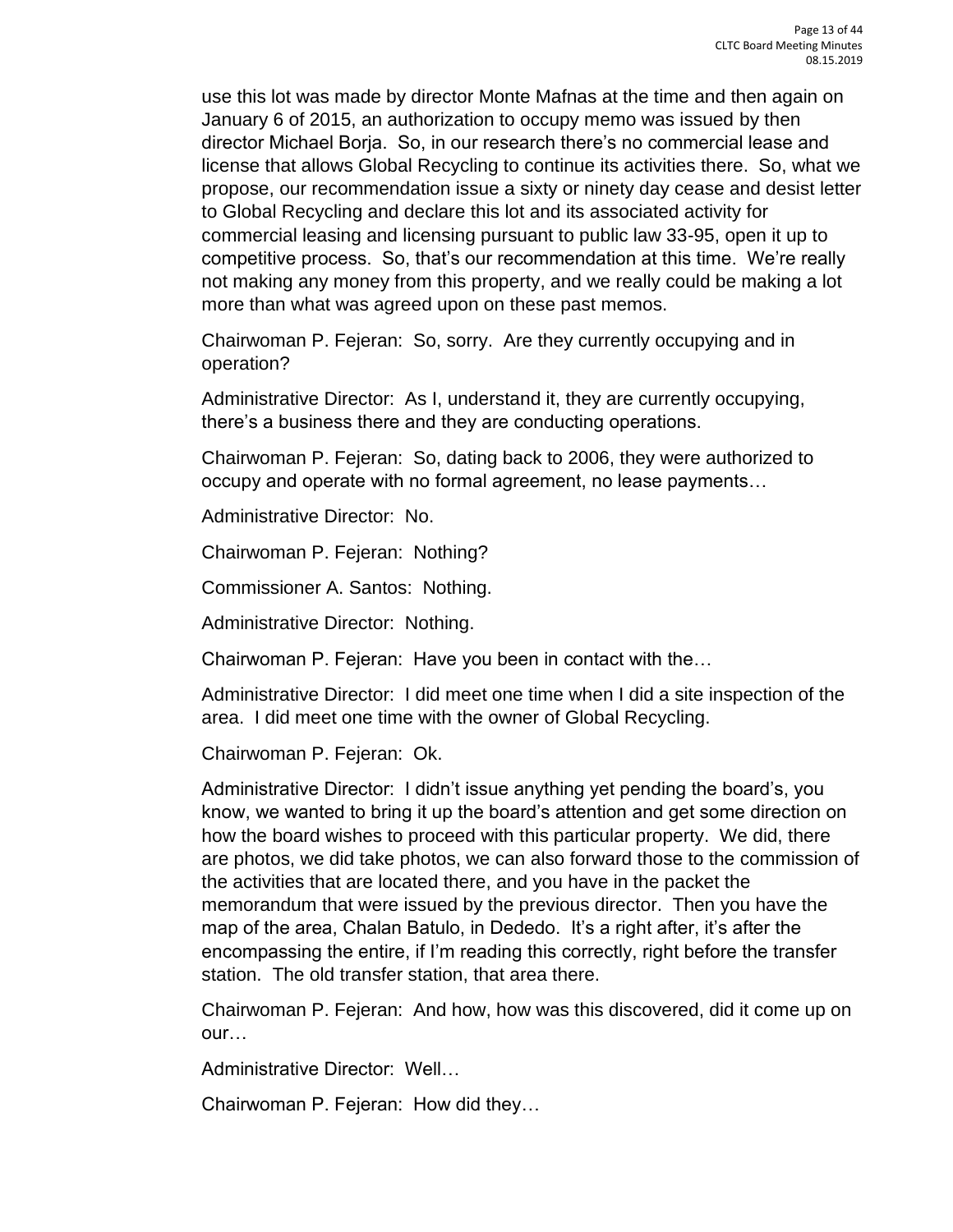use this lot was made by director Monte Mafnas at the time and then again on January 6 of 2015, an authorization to occupy memo was issued by then director Michael Borja. So, in our research there's no commercial lease and license that allows Global Recycling to continue its activities there. So, what we propose, our recommendation issue a sixty or ninety day cease and desist letter to Global Recycling and declare this lot and its associated activity for commercial leasing and licensing pursuant to public law 33-95, open it up to competitive process. So, that's our recommendation at this time. We're really not making any money from this property, and we really could be making a lot more than what was agreed upon on these past memos.

Chairwoman P. Fejeran: So, sorry. Are they currently occupying and in operation?

Administrative Director: As I, understand it, they are currently occupying, there's a business there and they are conducting operations.

Chairwoman P. Fejeran: So, dating back to 2006, they were authorized to occupy and operate with no formal agreement, no lease payments…

Administrative Director: No.

Chairwoman P. Fejeran: Nothing?

Commissioner A. Santos: Nothing.

Administrative Director: Nothing.

Chairwoman P. Fejeran: Have you been in contact with the…

Administrative Director: I did meet one time when I did a site inspection of the area. I did meet one time with the owner of Global Recycling.

Chairwoman P. Fejeran: Ok.

Administrative Director: I didn't issue anything yet pending the board's, you know, we wanted to bring it up the board's attention and get some direction on how the board wishes to proceed with this particular property. We did, there are photos, we did take photos, we can also forward those to the commission of the activities that are located there, and you have in the packet the memorandum that were issued by the previous director. Then you have the map of the area, Chalan Batulo, in Dededo. It's a right after, it's after the encompassing the entire, if I'm reading this correctly, right before the transfer station. The old transfer station, that area there.

Chairwoman P. Fejeran: And how, how was this discovered, did it come up on our…

Administrative Director: Well…

Chairwoman P. Fejeran: How did they…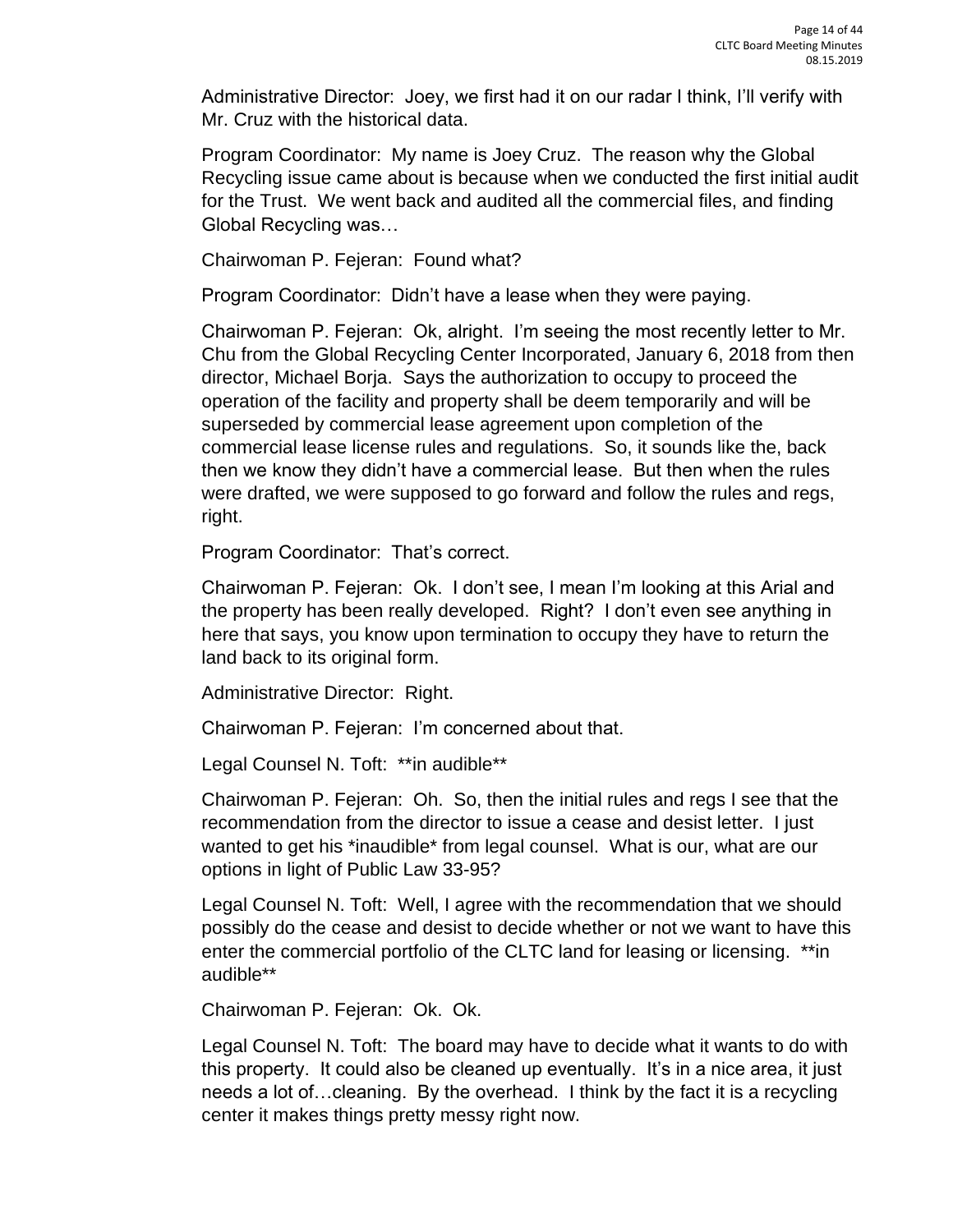Administrative Director: Joey, we first had it on our radar I think, I'll verify with Mr. Cruz with the historical data.

Program Coordinator: My name is Joey Cruz. The reason why the Global Recycling issue came about is because when we conducted the first initial audit for the Trust. We went back and audited all the commercial files, and finding Global Recycling was…

Chairwoman P. Fejeran: Found what?

Program Coordinator: Didn't have a lease when they were paying.

Chairwoman P. Fejeran: Ok, alright. I'm seeing the most recently letter to Mr. Chu from the Global Recycling Center Incorporated, January 6, 2018 from then director, Michael Borja. Says the authorization to occupy to proceed the operation of the facility and property shall be deem temporarily and will be superseded by commercial lease agreement upon completion of the commercial lease license rules and regulations. So, it sounds like the, back then we know they didn't have a commercial lease. But then when the rules were drafted, we were supposed to go forward and follow the rules and regs, right.

Program Coordinator: That's correct.

Chairwoman P. Fejeran: Ok. I don't see, I mean I'm looking at this Arial and the property has been really developed. Right? I don't even see anything in here that says, you know upon termination to occupy they have to return the land back to its original form.

Administrative Director: Right.

Chairwoman P. Fejeran: I'm concerned about that.

Legal Counsel N. Toft: \*\* in audible\*\*

Chairwoman P. Fejeran: Oh. So, then the initial rules and regs I see that the recommendation from the director to issue a cease and desist letter. I just wanted to get his \*inaudible\* from legal counsel. What is our, what are our options in light of Public Law 33-95?

Legal Counsel N. Toft: Well, I agree with the recommendation that we should possibly do the cease and desist to decide whether or not we want to have this enter the commercial portfolio of the CLTC land for leasing or licensing. \*\*in audible\*\*

Chairwoman P. Fejeran: Ok. Ok.

Legal Counsel N. Toft: The board may have to decide what it wants to do with this property. It could also be cleaned up eventually. It's in a nice area, it just needs a lot of…cleaning. By the overhead. I think by the fact it is a recycling center it makes things pretty messy right now.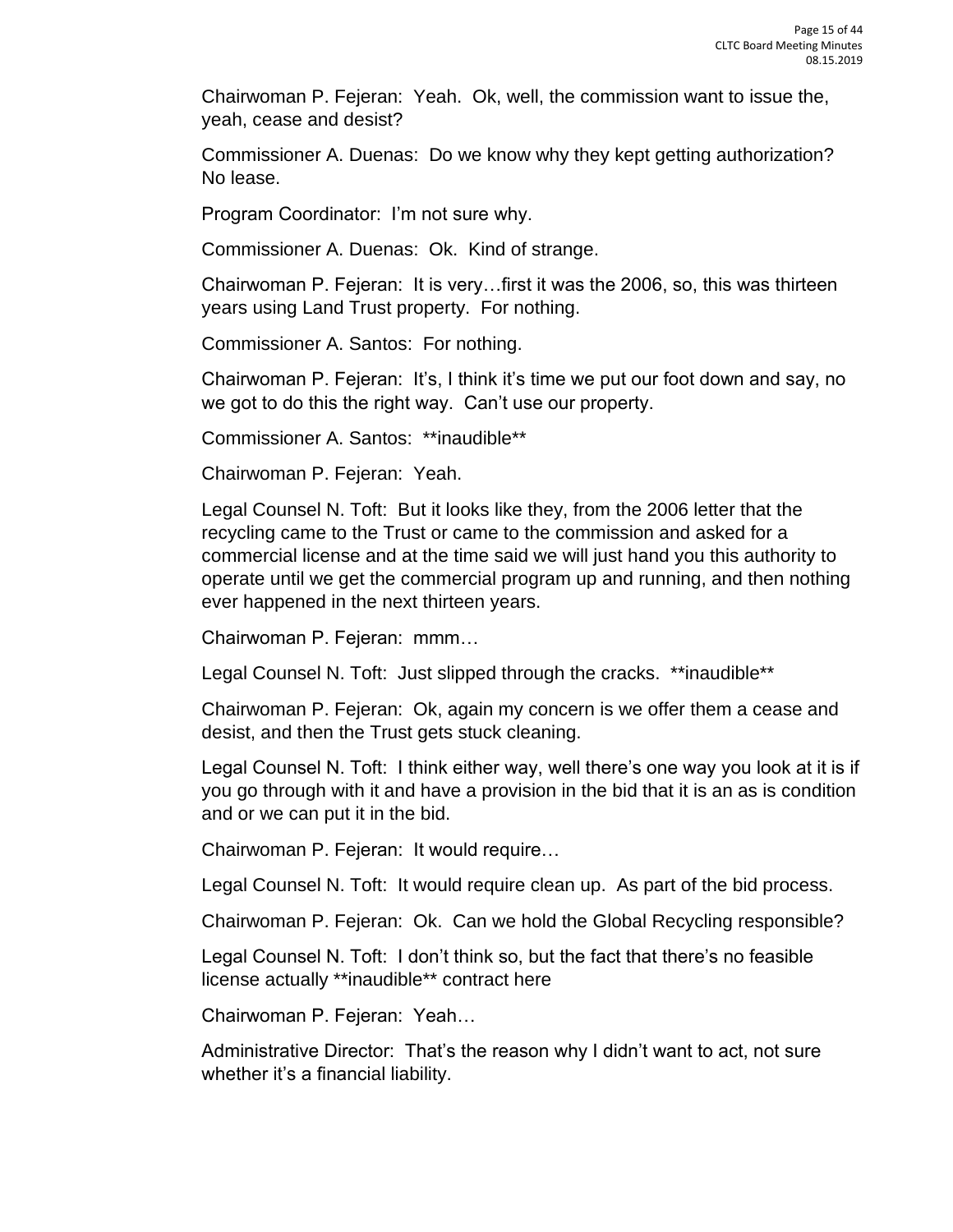Chairwoman P. Fejeran: Yeah. Ok, well, the commission want to issue the, yeah, cease and desist?

Commissioner A. Duenas: Do we know why they kept getting authorization? No lease.

Program Coordinator: I'm not sure why.

Commissioner A. Duenas: Ok. Kind of strange.

Chairwoman P. Fejeran: It is very…first it was the 2006, so, this was thirteen years using Land Trust property. For nothing.

Commissioner A. Santos: For nothing.

Chairwoman P. Fejeran: It's, I think it's time we put our foot down and say, no we got to do this the right way. Can't use our property.

Commissioner A. Santos: \*\*inaudible\*\*

Chairwoman P. Fejeran: Yeah.

Legal Counsel N. Toft: But it looks like they, from the 2006 letter that the recycling came to the Trust or came to the commission and asked for a commercial license and at the time said we will just hand you this authority to operate until we get the commercial program up and running, and then nothing ever happened in the next thirteen years.

Chairwoman P. Fejeran: mmm…

Legal Counsel N. Toft: Just slipped through the cracks. \*\*inaudible\*\*

Chairwoman P. Fejeran: Ok, again my concern is we offer them a cease and desist, and then the Trust gets stuck cleaning.

Legal Counsel N. Toft: I think either way, well there's one way you look at it is if you go through with it and have a provision in the bid that it is an as is condition and or we can put it in the bid.

Chairwoman P. Fejeran: It would require…

Legal Counsel N. Toft: It would require clean up. As part of the bid process.

Chairwoman P. Fejeran: Ok. Can we hold the Global Recycling responsible?

Legal Counsel N. Toft: I don't think so, but the fact that there's no feasible license actually \*\*inaudible\*\* contract here

Chairwoman P. Fejeran: Yeah…

Administrative Director: That's the reason why I didn't want to act, not sure whether it's a financial liability.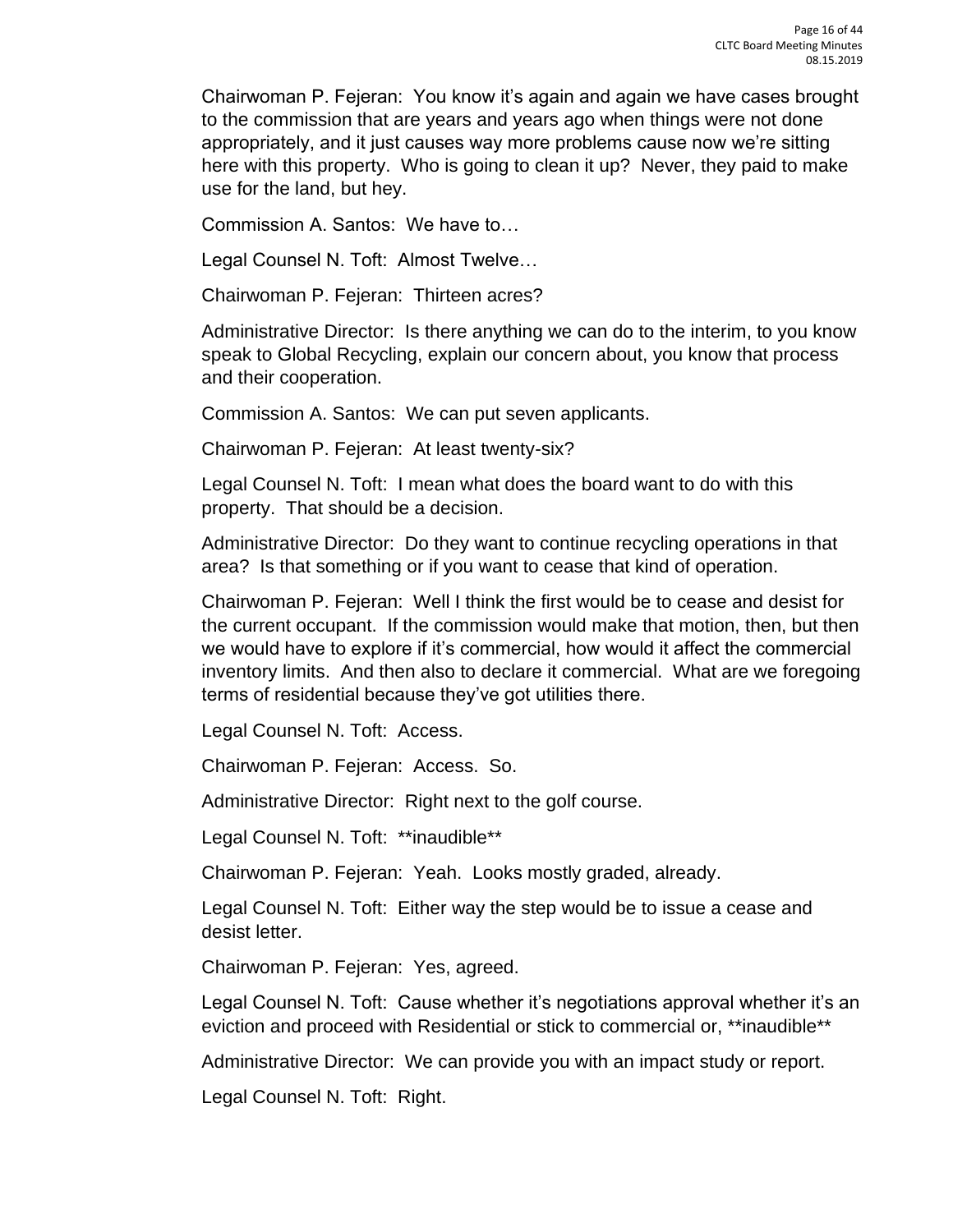Chairwoman P. Fejeran: You know it's again and again we have cases brought to the commission that are years and years ago when things were not done appropriately, and it just causes way more problems cause now we're sitting here with this property. Who is going to clean it up? Never, they paid to make use for the land, but hey.

Commission A. Santos: We have to…

Legal Counsel N. Toft: Almost Twelve…

Chairwoman P. Fejeran: Thirteen acres?

Administrative Director: Is there anything we can do to the interim, to you know speak to Global Recycling, explain our concern about, you know that process and their cooperation.

Commission A. Santos: We can put seven applicants.

Chairwoman P. Fejeran: At least twenty-six?

Legal Counsel N. Toft: I mean what does the board want to do with this property. That should be a decision.

Administrative Director: Do they want to continue recycling operations in that area? Is that something or if you want to cease that kind of operation.

Chairwoman P. Fejeran: Well I think the first would be to cease and desist for the current occupant. If the commission would make that motion, then, but then we would have to explore if it's commercial, how would it affect the commercial inventory limits. And then also to declare it commercial. What are we foregoing terms of residential because they've got utilities there.

Legal Counsel N. Toft: Access.

Chairwoman P. Fejeran: Access. So.

Administrative Director: Right next to the golf course.

Legal Counsel N. Toft: \*\*inaudible\*\*

Chairwoman P. Fejeran: Yeah. Looks mostly graded, already.

Legal Counsel N. Toft: Either way the step would be to issue a cease and desist letter.

Chairwoman P. Fejeran: Yes, agreed.

Legal Counsel N. Toft: Cause whether it's negotiations approval whether it's an eviction and proceed with Residential or stick to commercial or, \*\*inaudible\*\*

Administrative Director: We can provide you with an impact study or report.

Legal Counsel N. Toft: Right.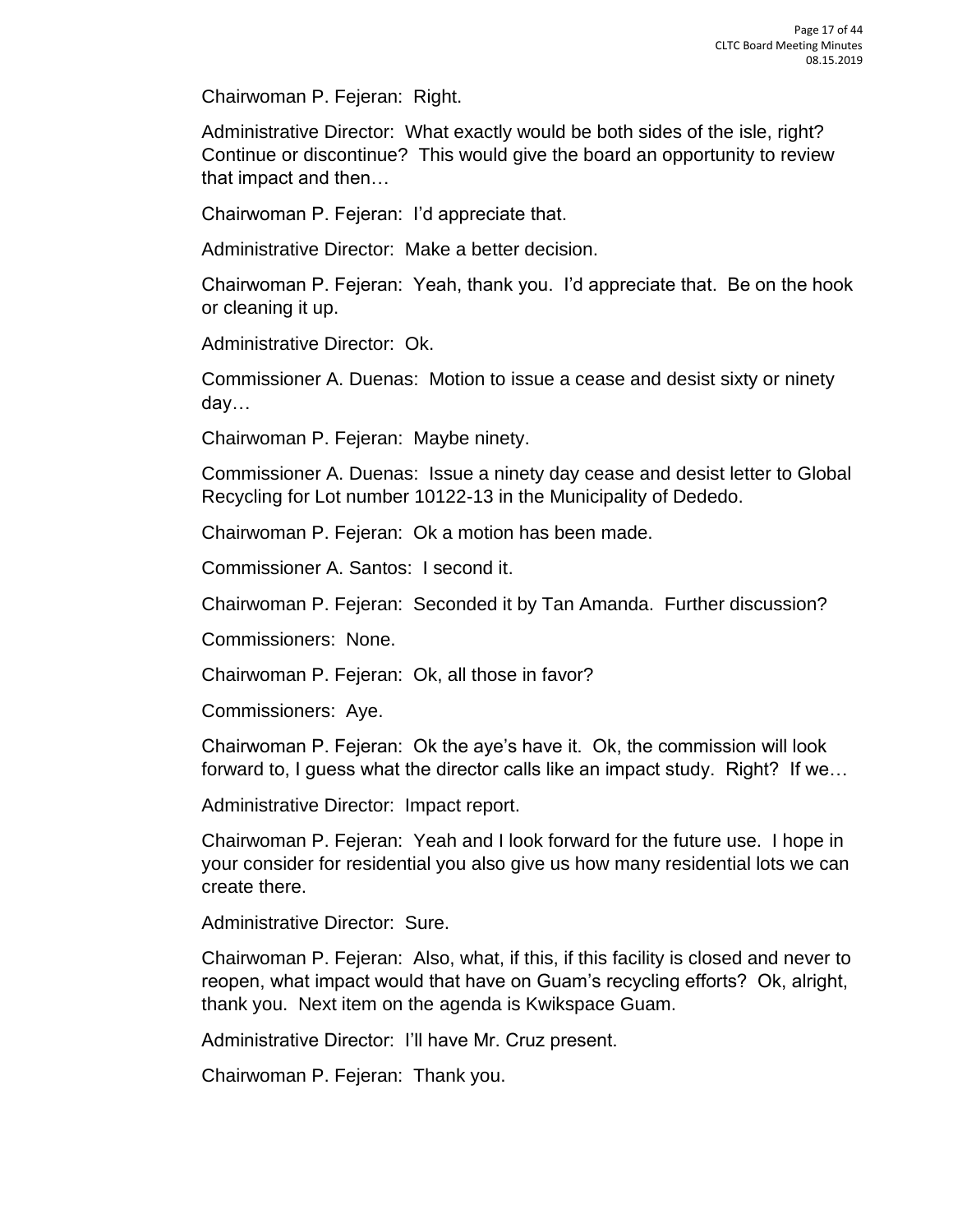Chairwoman P. Fejeran: Right.

Administrative Director: What exactly would be both sides of the isle, right? Continue or discontinue? This would give the board an opportunity to review that impact and then…

Chairwoman P. Fejeran: I'd appreciate that.

Administrative Director: Make a better decision.

Chairwoman P. Fejeran: Yeah, thank you. I'd appreciate that. Be on the hook or cleaning it up.

Administrative Director: Ok.

Commissioner A. Duenas: Motion to issue a cease and desist sixty or ninety day…

Chairwoman P. Fejeran: Maybe ninety.

Commissioner A. Duenas: Issue a ninety day cease and desist letter to Global Recycling for Lot number 10122-13 in the Municipality of Dededo.

Chairwoman P. Fejeran: Ok a motion has been made.

Commissioner A. Santos: I second it.

Chairwoman P. Fejeran: Seconded it by Tan Amanda. Further discussion?

Commissioners: None.

Chairwoman P. Fejeran: Ok, all those in favor?

Commissioners: Aye.

Chairwoman P. Fejeran: Ok the aye's have it. Ok, the commission will look forward to, I guess what the director calls like an impact study. Right? If we…

Administrative Director: Impact report.

Chairwoman P. Fejeran: Yeah and I look forward for the future use. I hope in your consider for residential you also give us how many residential lots we can create there.

Administrative Director: Sure.

Chairwoman P. Fejeran: Also, what, if this, if this facility is closed and never to reopen, what impact would that have on Guam's recycling efforts? Ok, alright, thank you. Next item on the agenda is Kwikspace Guam.

Administrative Director: I'll have Mr. Cruz present.

Chairwoman P. Fejeran: Thank you.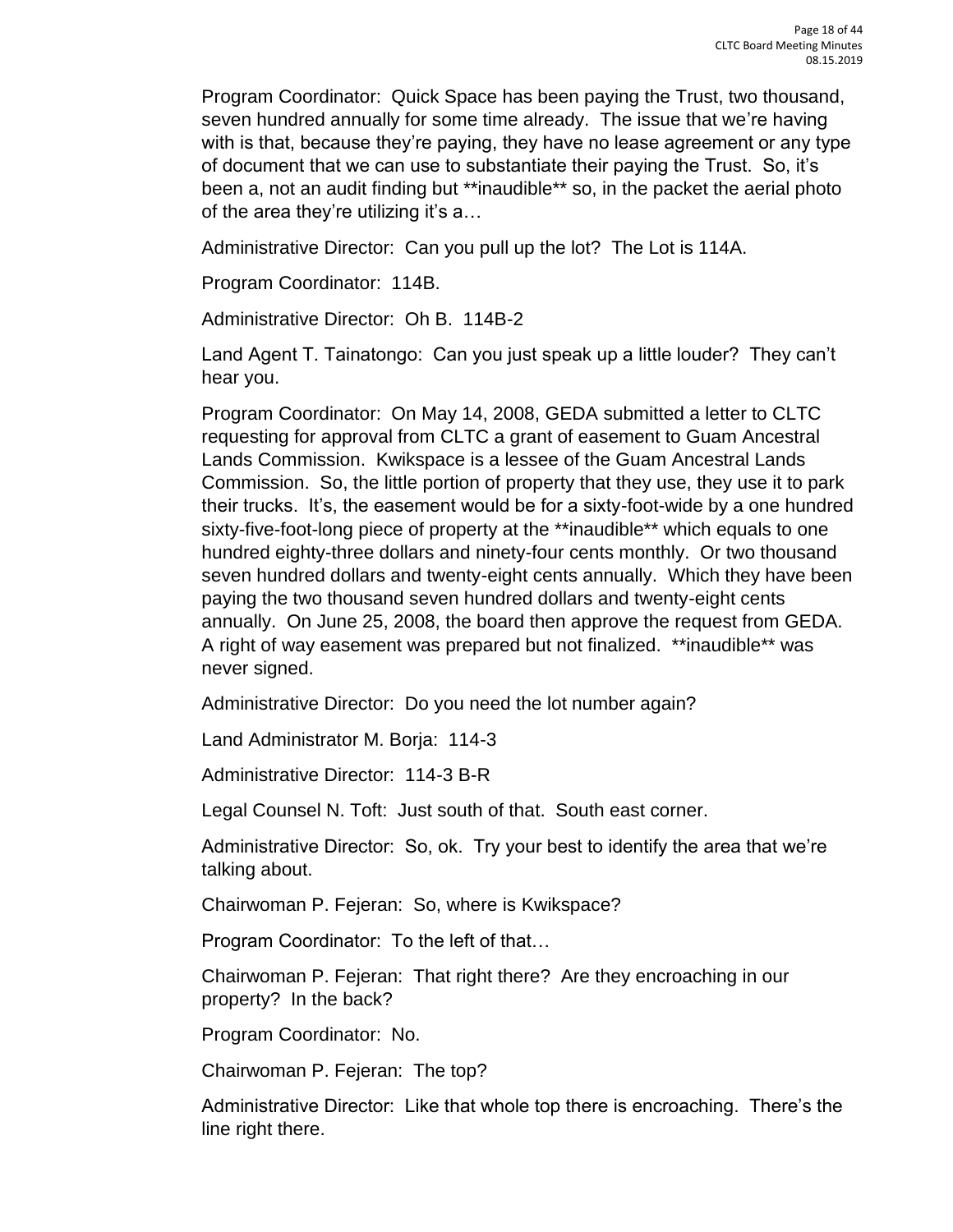Program Coordinator: Quick Space has been paying the Trust, two thousand, seven hundred annually for some time already. The issue that we're having with is that, because they're paying, they have no lease agreement or any type of document that we can use to substantiate their paying the Trust. So, it's been a, not an audit finding but \*\*inaudible\*\* so, in the packet the aerial photo of the area they're utilizing it's a…

Administrative Director: Can you pull up the lot? The Lot is 114A.

Program Coordinator: 114B.

Administrative Director: Oh B. 114B-2

Land Agent T. Tainatongo: Can you just speak up a little louder? They can't hear you.

Program Coordinator: On May 14, 2008, GEDA submitted a letter to CLTC requesting for approval from CLTC a grant of easement to Guam Ancestral Lands Commission. Kwikspace is a lessee of the Guam Ancestral Lands Commission. So, the little portion of property that they use, they use it to park their trucks. It's, the easement would be for a sixty-foot-wide by a one hundred sixty-five-foot-long piece of property at the \*\*inaudible\*\* which equals to one hundred eighty-three dollars and ninety-four cents monthly. Or two thousand seven hundred dollars and twenty-eight cents annually. Which they have been paying the two thousand seven hundred dollars and twenty-eight cents annually. On June 25, 2008, the board then approve the request from GEDA. A right of way easement was prepared but not finalized. \*\*inaudible\*\* was never signed.

Administrative Director: Do you need the lot number again?

Land Administrator M. Borja: 114-3

Administrative Director: 114-3 B-R

Legal Counsel N. Toft: Just south of that. South east corner.

Administrative Director: So, ok. Try your best to identify the area that we're talking about.

Chairwoman P. Fejeran: So, where is Kwikspace?

Program Coordinator: To the left of that…

Chairwoman P. Fejeran: That right there? Are they encroaching in our property? In the back?

Program Coordinator: No.

Chairwoman P. Fejeran: The top?

Administrative Director: Like that whole top there is encroaching. There's the line right there.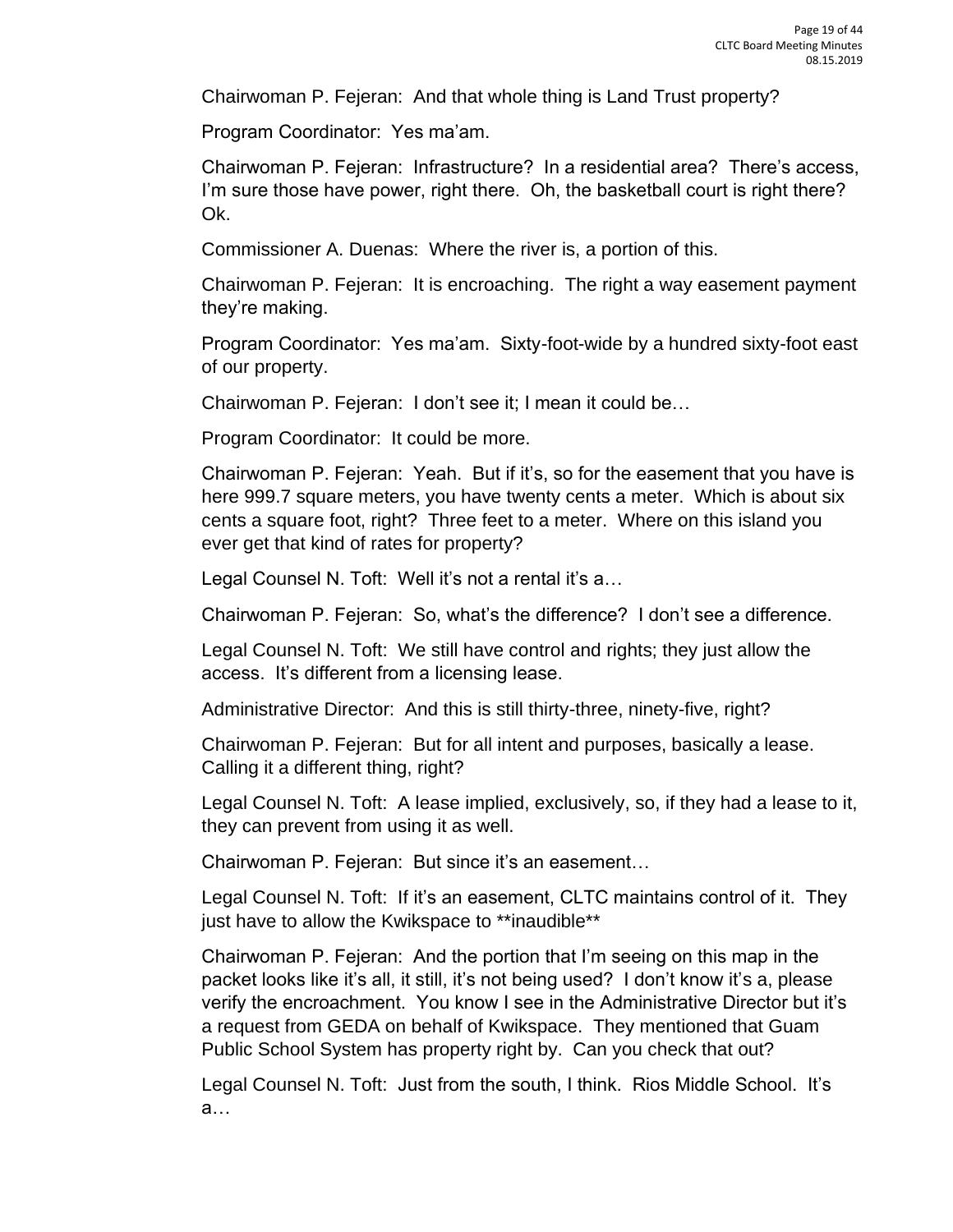Chairwoman P. Fejeran: And that whole thing is Land Trust property?

Program Coordinator: Yes ma'am.

Chairwoman P. Fejeran: Infrastructure? In a residential area? There's access, I'm sure those have power, right there. Oh, the basketball court is right there? Ok.

Commissioner A. Duenas: Where the river is, a portion of this.

Chairwoman P. Fejeran: It is encroaching. The right a way easement payment they're making.

Program Coordinator: Yes ma'am. Sixty-foot-wide by a hundred sixty-foot east of our property.

Chairwoman P. Fejeran: I don't see it; I mean it could be…

Program Coordinator: It could be more.

Chairwoman P. Fejeran: Yeah. But if it's, so for the easement that you have is here 999.7 square meters, you have twenty cents a meter. Which is about six cents a square foot, right? Three feet to a meter. Where on this island you ever get that kind of rates for property?

Legal Counsel N. Toft: Well it's not a rental it's a...

Chairwoman P. Fejeran: So, what's the difference? I don't see a difference.

Legal Counsel N. Toft: We still have control and rights; they just allow the access. It's different from a licensing lease.

Administrative Director: And this is still thirty-three, ninety-five, right?

Chairwoman P. Fejeran: But for all intent and purposes, basically a lease. Calling it a different thing, right?

Legal Counsel N. Toft: A lease implied, exclusively, so, if they had a lease to it, they can prevent from using it as well.

Chairwoman P. Fejeran: But since it's an easement…

Legal Counsel N. Toft: If it's an easement, CLTC maintains control of it. They just have to allow the Kwikspace to \*\*inaudible\*\*

Chairwoman P. Fejeran: And the portion that I'm seeing on this map in the packet looks like it's all, it still, it's not being used? I don't know it's a, please verify the encroachment. You know I see in the Administrative Director but it's a request from GEDA on behalf of Kwikspace. They mentioned that Guam Public School System has property right by. Can you check that out?

Legal Counsel N. Toft: Just from the south, I think. Rios Middle School. It's a…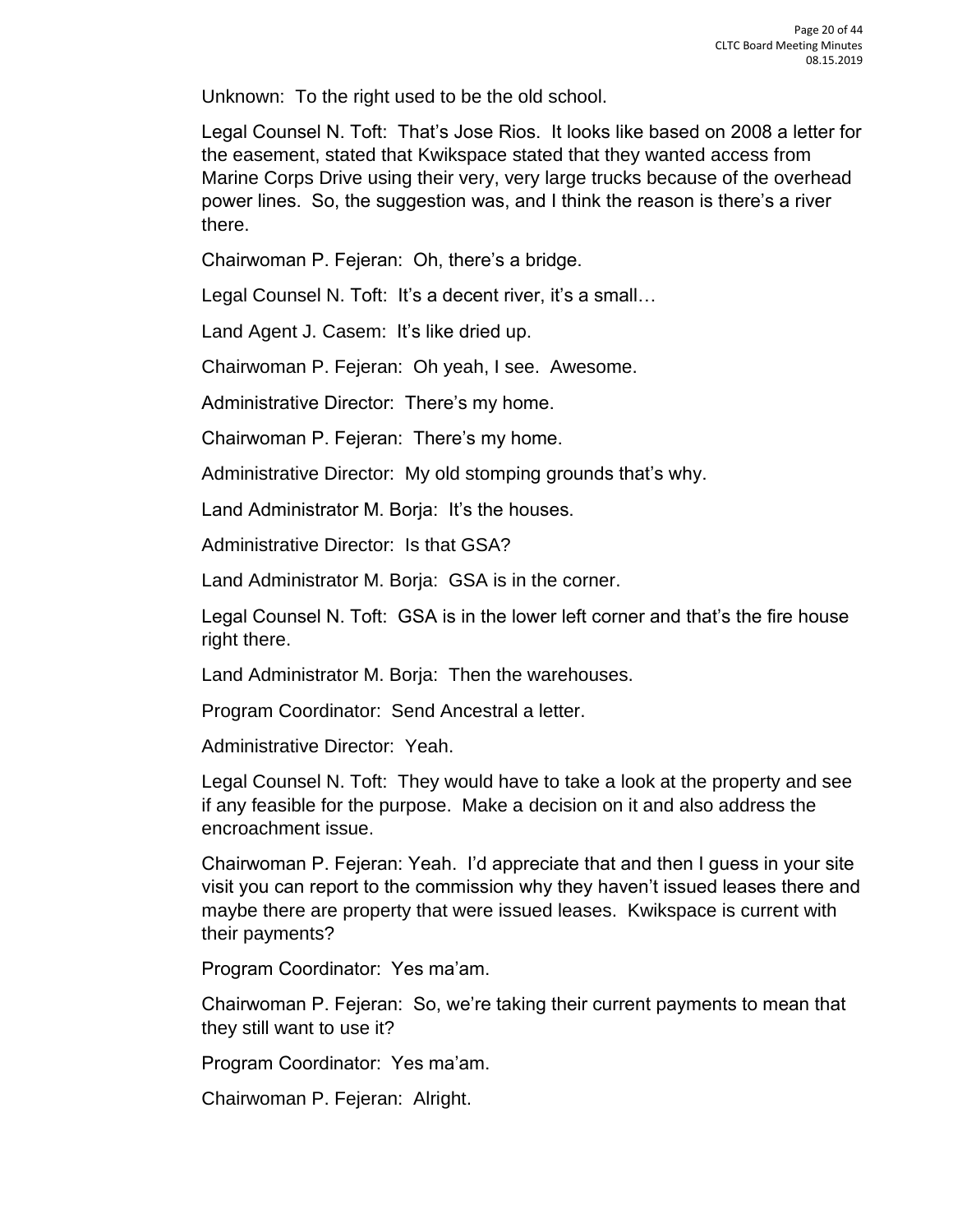Unknown: To the right used to be the old school.

Legal Counsel N. Toft: That's Jose Rios. It looks like based on 2008 a letter for the easement, stated that Kwikspace stated that they wanted access from Marine Corps Drive using their very, very large trucks because of the overhead power lines. So, the suggestion was, and I think the reason is there's a river there.

Chairwoman P. Fejeran: Oh, there's a bridge.

Legal Counsel N. Toft: It's a decent river, it's a small...

Land Agent J. Casem: It's like dried up.

Chairwoman P. Fejeran: Oh yeah, I see. Awesome.

Administrative Director: There's my home.

Chairwoman P. Fejeran: There's my home.

Administrative Director: My old stomping grounds that's why.

Land Administrator M. Borja: It's the houses.

Administrative Director: Is that GSA?

Land Administrator M. Borja: GSA is in the corner.

Legal Counsel N. Toft: GSA is in the lower left corner and that's the fire house right there.

Land Administrator M. Borja: Then the warehouses.

Program Coordinator: Send Ancestral a letter.

Administrative Director: Yeah.

Legal Counsel N. Toft: They would have to take a look at the property and see if any feasible for the purpose. Make a decision on it and also address the encroachment issue.

Chairwoman P. Fejeran: Yeah. I'd appreciate that and then I guess in your site visit you can report to the commission why they haven't issued leases there and maybe there are property that were issued leases. Kwikspace is current with their payments?

Program Coordinator: Yes ma'am.

Chairwoman P. Fejeran: So, we're taking their current payments to mean that they still want to use it?

Program Coordinator: Yes ma'am.

Chairwoman P. Fejeran: Alright.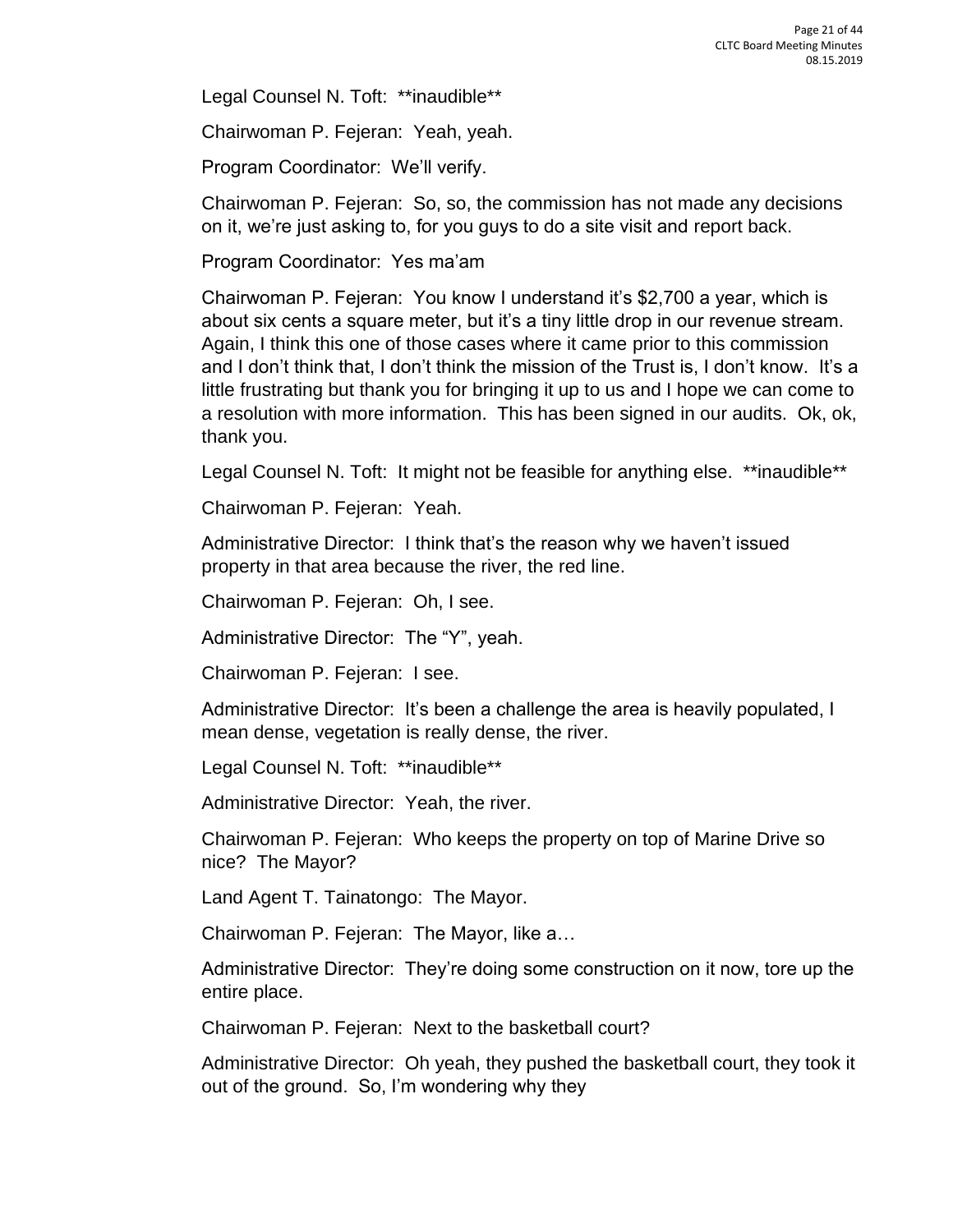Legal Counsel N. Toft: \*\*inaudible\*\*

Chairwoman P. Fejeran: Yeah, yeah.

Program Coordinator: We'll verify.

Chairwoman P. Fejeran: So, so, the commission has not made any decisions on it, we're just asking to, for you guys to do a site visit and report back.

Program Coordinator: Yes ma'am

Chairwoman P. Fejeran: You know I understand it's \$2,700 a year, which is about six cents a square meter, but it's a tiny little drop in our revenue stream. Again, I think this one of those cases where it came prior to this commission and I don't think that, I don't think the mission of the Trust is, I don't know. It's a little frustrating but thank you for bringing it up to us and I hope we can come to a resolution with more information. This has been signed in our audits. Ok, ok, thank you.

Legal Counsel N. Toft: It might not be feasible for anything else. \*\*inaudible\*\*

Chairwoman P. Fejeran: Yeah.

Administrative Director: I think that's the reason why we haven't issued property in that area because the river, the red line.

Chairwoman P. Fejeran: Oh, I see.

Administrative Director: The "Y", yeah.

Chairwoman P. Fejeran: I see.

Administrative Director: It's been a challenge the area is heavily populated, I mean dense, vegetation is really dense, the river.

Legal Counsel N. Toft: \*\*inaudible\*\*

Administrative Director: Yeah, the river.

Chairwoman P. Fejeran: Who keeps the property on top of Marine Drive so nice? The Mayor?

Land Agent T. Tainatongo: The Mayor.

Chairwoman P. Fejeran: The Mayor, like a…

Administrative Director: They're doing some construction on it now, tore up the entire place.

Chairwoman P. Fejeran: Next to the basketball court?

Administrative Director: Oh yeah, they pushed the basketball court, they took it out of the ground. So, I'm wondering why they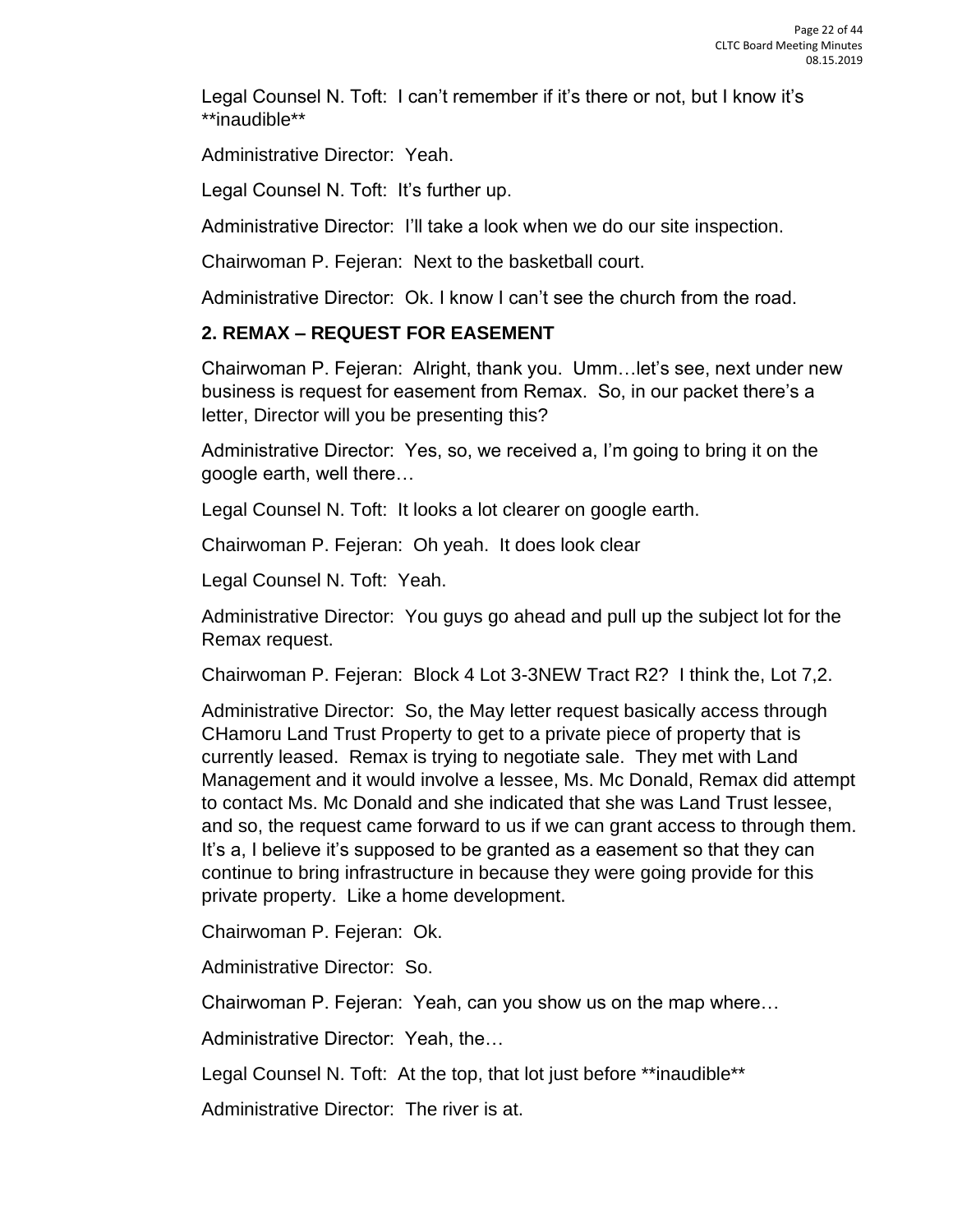Legal Counsel N. Toft: I can't remember if it's there or not, but I know it's \*\*inaudible\*\*

Administrative Director: Yeah.

Legal Counsel N. Toft: It's further up.

Administrative Director: I'll take a look when we do our site inspection.

Chairwoman P. Fejeran: Next to the basketball court.

Administrative Director: Ok. I know I can't see the church from the road.

#### **2. REMAX – REQUEST FOR EASEMENT**

Chairwoman P. Fejeran: Alright, thank you. Umm…let's see, next under new business is request for easement from Remax. So, in our packet there's a letter, Director will you be presenting this?

Administrative Director: Yes, so, we received a, I'm going to bring it on the google earth, well there…

Legal Counsel N. Toft: It looks a lot clearer on google earth.

Chairwoman P. Fejeran: Oh yeah. It does look clear

Legal Counsel N. Toft: Yeah.

Administrative Director: You guys go ahead and pull up the subject lot for the Remax request.

Chairwoman P. Fejeran: Block 4 Lot 3-3NEW Tract R2? I think the, Lot 7,2.

Administrative Director: So, the May letter request basically access through CHamoru Land Trust Property to get to a private piece of property that is currently leased. Remax is trying to negotiate sale. They met with Land Management and it would involve a lessee, Ms. Mc Donald, Remax did attempt to contact Ms. Mc Donald and she indicated that she was Land Trust lessee, and so, the request came forward to us if we can grant access to through them. It's a, I believe it's supposed to be granted as a easement so that they can continue to bring infrastructure in because they were going provide for this private property. Like a home development.

Chairwoman P. Fejeran: Ok.

Administrative Director: So.

Chairwoman P. Fejeran: Yeah, can you show us on the map where…

Administrative Director: Yeah, the…

Legal Counsel N. Toft: At the top, that lot just before \*\*inaudible\*\*

Administrative Director: The river is at.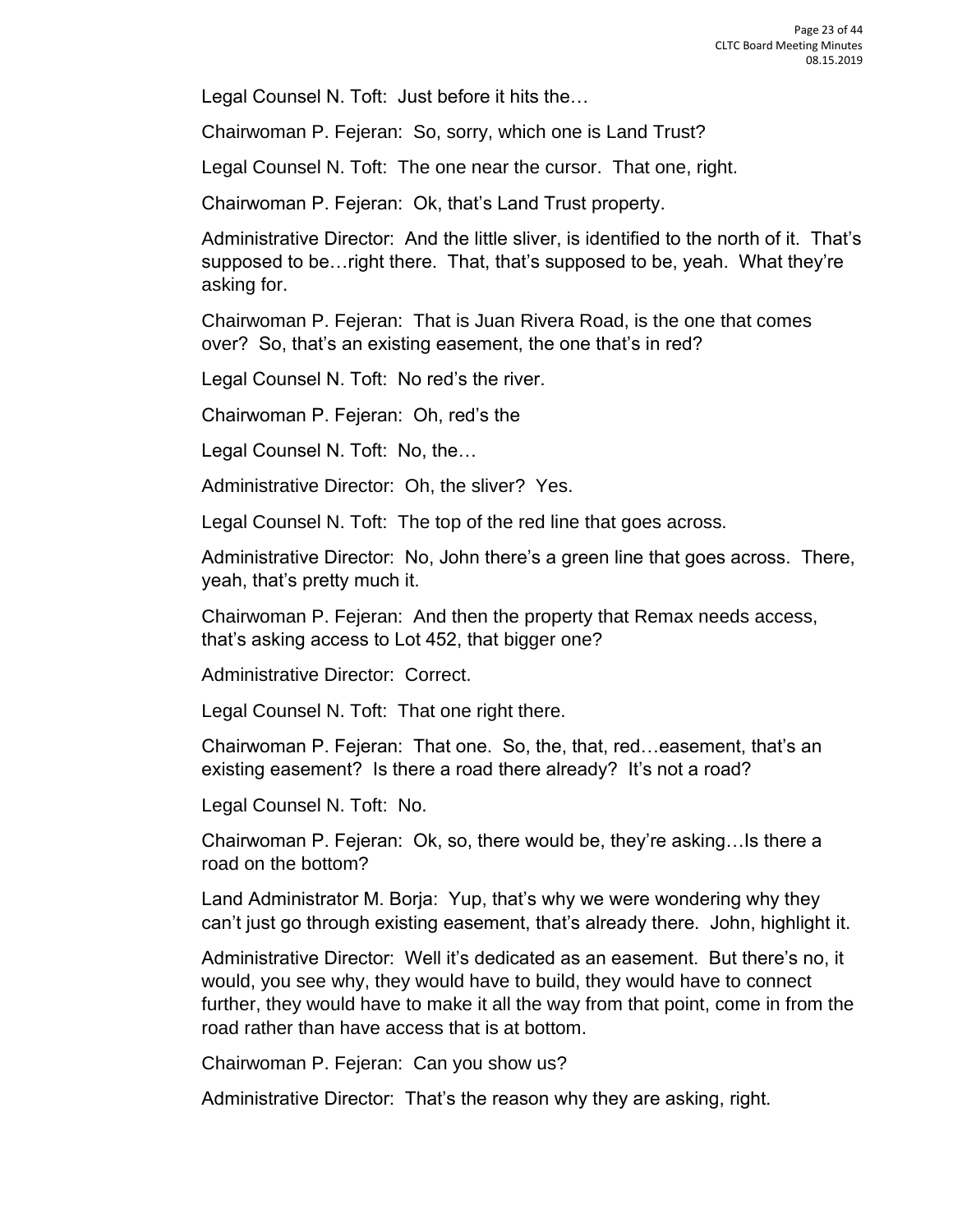Legal Counsel N. Toft: Just before it hits the…

Chairwoman P. Fejeran: So, sorry, which one is Land Trust?

Legal Counsel N. Toft: The one near the cursor. That one, right.

Chairwoman P. Fejeran: Ok, that's Land Trust property.

Administrative Director: And the little sliver, is identified to the north of it. That's supposed to be…right there. That, that's supposed to be, yeah. What they're asking for.

Chairwoman P. Fejeran: That is Juan Rivera Road, is the one that comes over? So, that's an existing easement, the one that's in red?

Legal Counsel N. Toft: No red's the river.

Chairwoman P. Fejeran: Oh, red's the

Legal Counsel N. Toft: No, the…

Administrative Director: Oh, the sliver? Yes.

Legal Counsel N. Toft: The top of the red line that goes across.

Administrative Director: No, John there's a green line that goes across. There, yeah, that's pretty much it.

Chairwoman P. Fejeran: And then the property that Remax needs access, that's asking access to Lot 452, that bigger one?

Administrative Director: Correct.

Legal Counsel N. Toft: That one right there.

Chairwoman P. Fejeran: That one. So, the, that, red…easement, that's an existing easement? Is there a road there already? It's not a road?

Legal Counsel N. Toft: No.

Chairwoman P. Fejeran: Ok, so, there would be, they're asking…Is there a road on the bottom?

Land Administrator M. Borja: Yup, that's why we were wondering why they can't just go through existing easement, that's already there. John, highlight it.

Administrative Director: Well it's dedicated as an easement. But there's no, it would, you see why, they would have to build, they would have to connect further, they would have to make it all the way from that point, come in from the road rather than have access that is at bottom.

Chairwoman P. Fejeran: Can you show us?

Administrative Director: That's the reason why they are asking, right.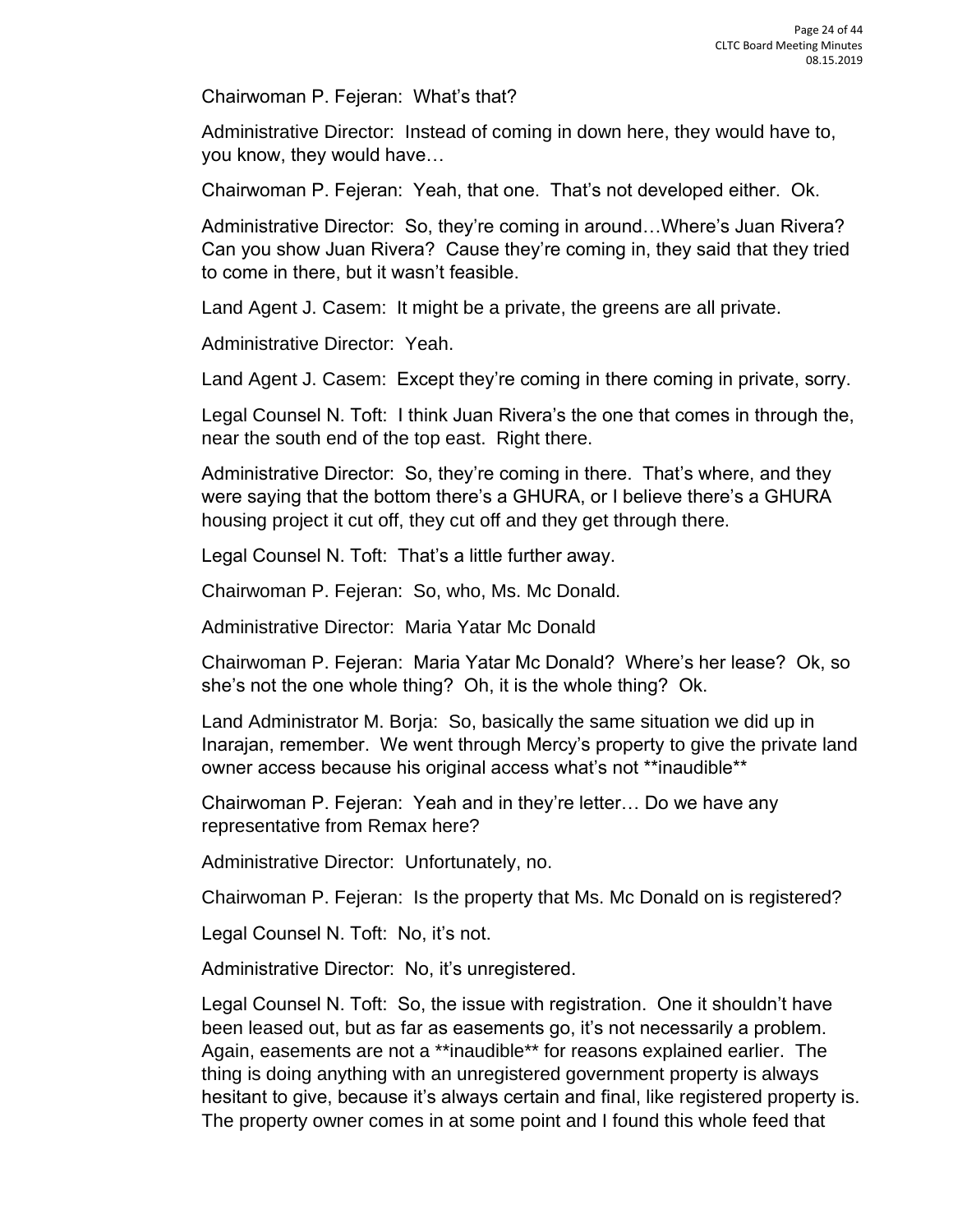Chairwoman P. Fejeran: What's that?

Administrative Director: Instead of coming in down here, they would have to, you know, they would have…

Chairwoman P. Fejeran: Yeah, that one. That's not developed either. Ok.

Administrative Director: So, they're coming in around…Where's Juan Rivera? Can you show Juan Rivera? Cause they're coming in, they said that they tried to come in there, but it wasn't feasible.

Land Agent J. Casem: It might be a private, the greens are all private.

Administrative Director: Yeah.

Land Agent J. Casem: Except they're coming in there coming in private, sorry.

Legal Counsel N. Toft: I think Juan Rivera's the one that comes in through the, near the south end of the top east. Right there.

Administrative Director: So, they're coming in there. That's where, and they were saying that the bottom there's a GHURA, or I believe there's a GHURA housing project it cut off, they cut off and they get through there.

Legal Counsel N. Toft: That's a little further away.

Chairwoman P. Fejeran: So, who, Ms. Mc Donald.

Administrative Director: Maria Yatar Mc Donald

Chairwoman P. Fejeran: Maria Yatar Mc Donald? Where's her lease? Ok, so she's not the one whole thing? Oh, it is the whole thing? Ok.

Land Administrator M. Borja: So, basically the same situation we did up in Inarajan, remember. We went through Mercy's property to give the private land owner access because his original access what's not \*\*inaudible\*\*

Chairwoman P. Fejeran: Yeah and in they're letter… Do we have any representative from Remax here?

Administrative Director: Unfortunately, no.

Chairwoman P. Fejeran: Is the property that Ms. Mc Donald on is registered?

Legal Counsel N. Toft: No, it's not.

Administrative Director: No, it's unregistered.

Legal Counsel N. Toft: So, the issue with registration. One it shouldn't have been leased out, but as far as easements go, it's not necessarily a problem. Again, easements are not a \*\*inaudible\*\* for reasons explained earlier. The thing is doing anything with an unregistered government property is always hesitant to give, because it's always certain and final, like registered property is. The property owner comes in at some point and I found this whole feed that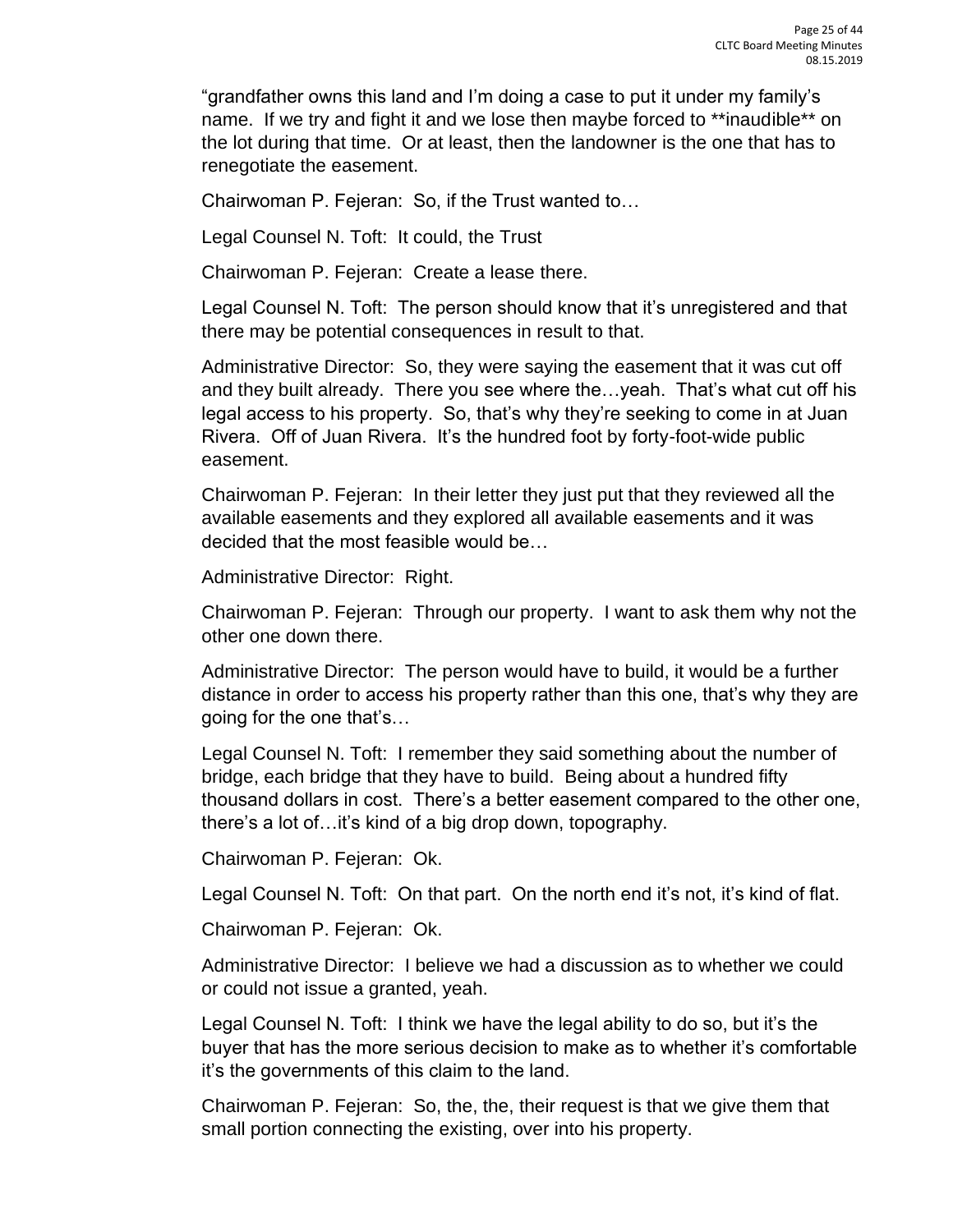"grandfather owns this land and I'm doing a case to put it under my family's name. If we try and fight it and we lose then maybe forced to \*\*inaudible\*\* on the lot during that time. Or at least, then the landowner is the one that has to renegotiate the easement.

Chairwoman P. Fejeran: So, if the Trust wanted to…

Legal Counsel N. Toft: It could, the Trust

Chairwoman P. Fejeran: Create a lease there.

Legal Counsel N. Toft: The person should know that it's unregistered and that there may be potential consequences in result to that.

Administrative Director: So, they were saying the easement that it was cut off and they built already. There you see where the…yeah. That's what cut off his legal access to his property. So, that's why they're seeking to come in at Juan Rivera. Off of Juan Rivera. It's the hundred foot by forty-foot-wide public easement.

Chairwoman P. Fejeran: In their letter they just put that they reviewed all the available easements and they explored all available easements and it was decided that the most feasible would be…

Administrative Director: Right.

Chairwoman P. Fejeran: Through our property. I want to ask them why not the other one down there.

Administrative Director: The person would have to build, it would be a further distance in order to access his property rather than this one, that's why they are going for the one that's…

Legal Counsel N. Toft: I remember they said something about the number of bridge, each bridge that they have to build. Being about a hundred fifty thousand dollars in cost. There's a better easement compared to the other one, there's a lot of…it's kind of a big drop down, topography.

Chairwoman P. Fejeran: Ok.

Legal Counsel N. Toft: On that part. On the north end it's not, it's kind of flat.

Chairwoman P. Fejeran: Ok.

Administrative Director: I believe we had a discussion as to whether we could or could not issue a granted, yeah.

Legal Counsel N. Toft: I think we have the legal ability to do so, but it's the buyer that has the more serious decision to make as to whether it's comfortable it's the governments of this claim to the land.

Chairwoman P. Fejeran: So, the, the, their request is that we give them that small portion connecting the existing, over into his property.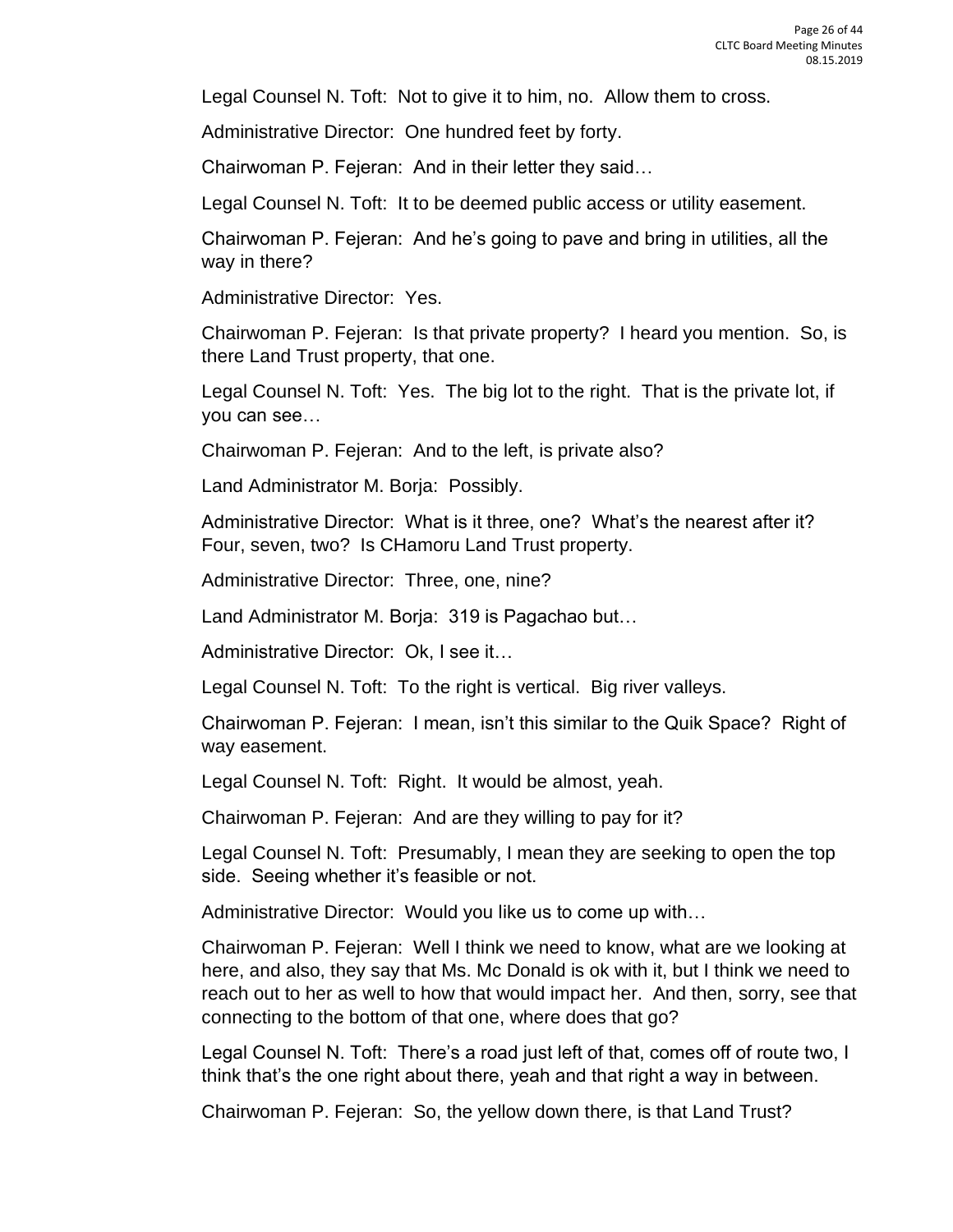Legal Counsel N. Toft: Not to give it to him, no. Allow them to cross.

Administrative Director: One hundred feet by forty.

Chairwoman P. Fejeran: And in their letter they said…

Legal Counsel N. Toft: It to be deemed public access or utility easement.

Chairwoman P. Fejeran: And he's going to pave and bring in utilities, all the way in there?

Administrative Director: Yes.

Chairwoman P. Fejeran: Is that private property? I heard you mention. So, is there Land Trust property, that one.

Legal Counsel N. Toft: Yes. The big lot to the right. That is the private lot, if you can see…

Chairwoman P. Fejeran: And to the left, is private also?

Land Administrator M. Borja: Possibly.

Administrative Director: What is it three, one? What's the nearest after it? Four, seven, two? Is CHamoru Land Trust property.

Administrative Director: Three, one, nine?

Land Administrator M. Borja: 319 is Pagachao but…

Administrative Director: Ok, I see it…

Legal Counsel N. Toft: To the right is vertical. Big river valleys.

Chairwoman P. Fejeran: I mean, isn't this similar to the Quik Space? Right of way easement.

Legal Counsel N. Toft: Right. It would be almost, yeah.

Chairwoman P. Fejeran: And are they willing to pay for it?

Legal Counsel N. Toft: Presumably, I mean they are seeking to open the top side. Seeing whether it's feasible or not.

Administrative Director: Would you like us to come up with…

Chairwoman P. Fejeran: Well I think we need to know, what are we looking at here, and also, they say that Ms. Mc Donald is ok with it, but I think we need to reach out to her as well to how that would impact her. And then, sorry, see that connecting to the bottom of that one, where does that go?

Legal Counsel N. Toft: There's a road just left of that, comes off of route two, I think that's the one right about there, yeah and that right a way in between.

Chairwoman P. Fejeran: So, the yellow down there, is that Land Trust?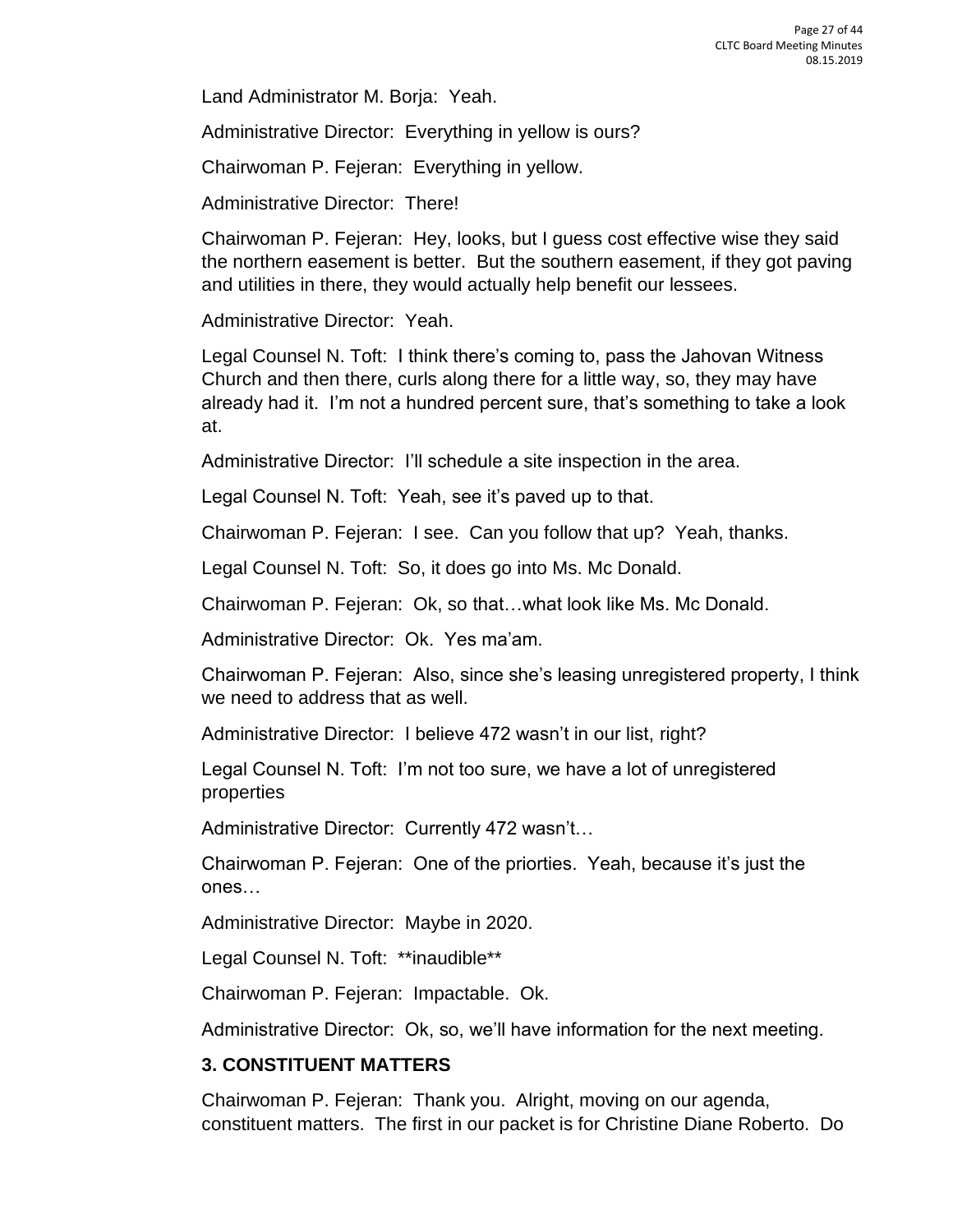Land Administrator M. Borja: Yeah.

Administrative Director: Everything in yellow is ours?

Chairwoman P. Fejeran: Everything in yellow.

Administrative Director: There!

Chairwoman P. Fejeran: Hey, looks, but I guess cost effective wise they said the northern easement is better. But the southern easement, if they got paving and utilities in there, they would actually help benefit our lessees.

Administrative Director: Yeah.

Legal Counsel N. Toft: I think there's coming to, pass the Jahovan Witness Church and then there, curls along there for a little way, so, they may have already had it. I'm not a hundred percent sure, that's something to take a look at.

Administrative Director: I'll schedule a site inspection in the area.

Legal Counsel N. Toft: Yeah, see it's paved up to that.

Chairwoman P. Fejeran: I see. Can you follow that up? Yeah, thanks.

Legal Counsel N. Toft: So, it does go into Ms. Mc Donald.

Chairwoman P. Fejeran: Ok, so that…what look like Ms. Mc Donald.

Administrative Director: Ok. Yes ma'am.

Chairwoman P. Fejeran: Also, since she's leasing unregistered property, I think we need to address that as well.

Administrative Director: I believe 472 wasn't in our list, right?

Legal Counsel N. Toft: I'm not too sure, we have a lot of unregistered properties

Administrative Director: Currently 472 wasn't…

Chairwoman P. Fejeran: One of the priorties. Yeah, because it's just the ones…

Administrative Director: Maybe in 2020.

Legal Counsel N. Toft: \*\*inaudible\*\*

Chairwoman P. Fejeran: Impactable. Ok.

Administrative Director: Ok, so, we'll have information for the next meeting.

## **3. CONSTITUENT MATTERS**

Chairwoman P. Fejeran: Thank you. Alright, moving on our agenda, constituent matters. The first in our packet is for Christine Diane Roberto. Do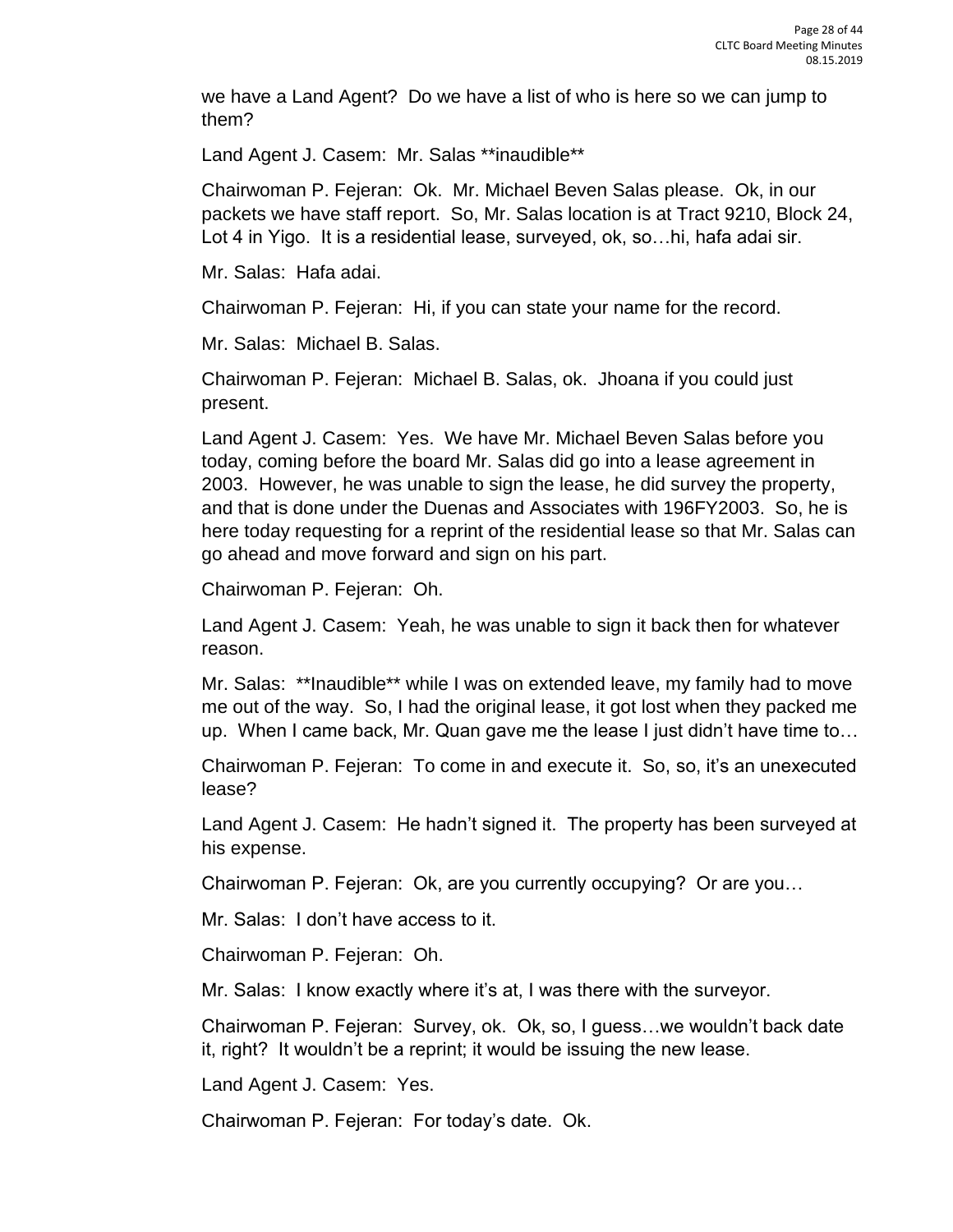we have a Land Agent? Do we have a list of who is here so we can jump to them?

Land Agent J. Casem: Mr. Salas \*\*inaudible\*\*

Chairwoman P. Fejeran: Ok. Mr. Michael Beven Salas please. Ok, in our packets we have staff report. So, Mr. Salas location is at Tract 9210, Block 24, Lot 4 in Yigo. It is a residential lease, surveyed, ok, so…hi, hafa adai sir.

Mr. Salas: Hafa adai.

Chairwoman P. Fejeran: Hi, if you can state your name for the record.

Mr. Salas: Michael B. Salas.

Chairwoman P. Fejeran: Michael B. Salas, ok. Jhoana if you could just present.

Land Agent J. Casem: Yes. We have Mr. Michael Beven Salas before you today, coming before the board Mr. Salas did go into a lease agreement in 2003. However, he was unable to sign the lease, he did survey the property, and that is done under the Duenas and Associates with 196FY2003. So, he is here today requesting for a reprint of the residential lease so that Mr. Salas can go ahead and move forward and sign on his part.

Chairwoman P. Fejeran: Oh.

Land Agent J. Casem: Yeah, he was unable to sign it back then for whatever reason.

Mr. Salas: \*\*Inaudible\*\* while I was on extended leave, my family had to move me out of the way. So, I had the original lease, it got lost when they packed me up. When I came back, Mr. Quan gave me the lease I just didn't have time to…

Chairwoman P. Fejeran: To come in and execute it. So, so, it's an unexecuted lease?

Land Agent J. Casem: He hadn't signed it. The property has been surveyed at his expense.

Chairwoman P. Fejeran: Ok, are you currently occupying? Or are you…

Mr. Salas: I don't have access to it.

Chairwoman P. Fejeran: Oh.

Mr. Salas: I know exactly where it's at, I was there with the surveyor.

Chairwoman P. Fejeran: Survey, ok. Ok, so, I guess…we wouldn't back date it, right? It wouldn't be a reprint; it would be issuing the new lease.

Land Agent J. Casem: Yes.

Chairwoman P. Fejeran: For today's date. Ok.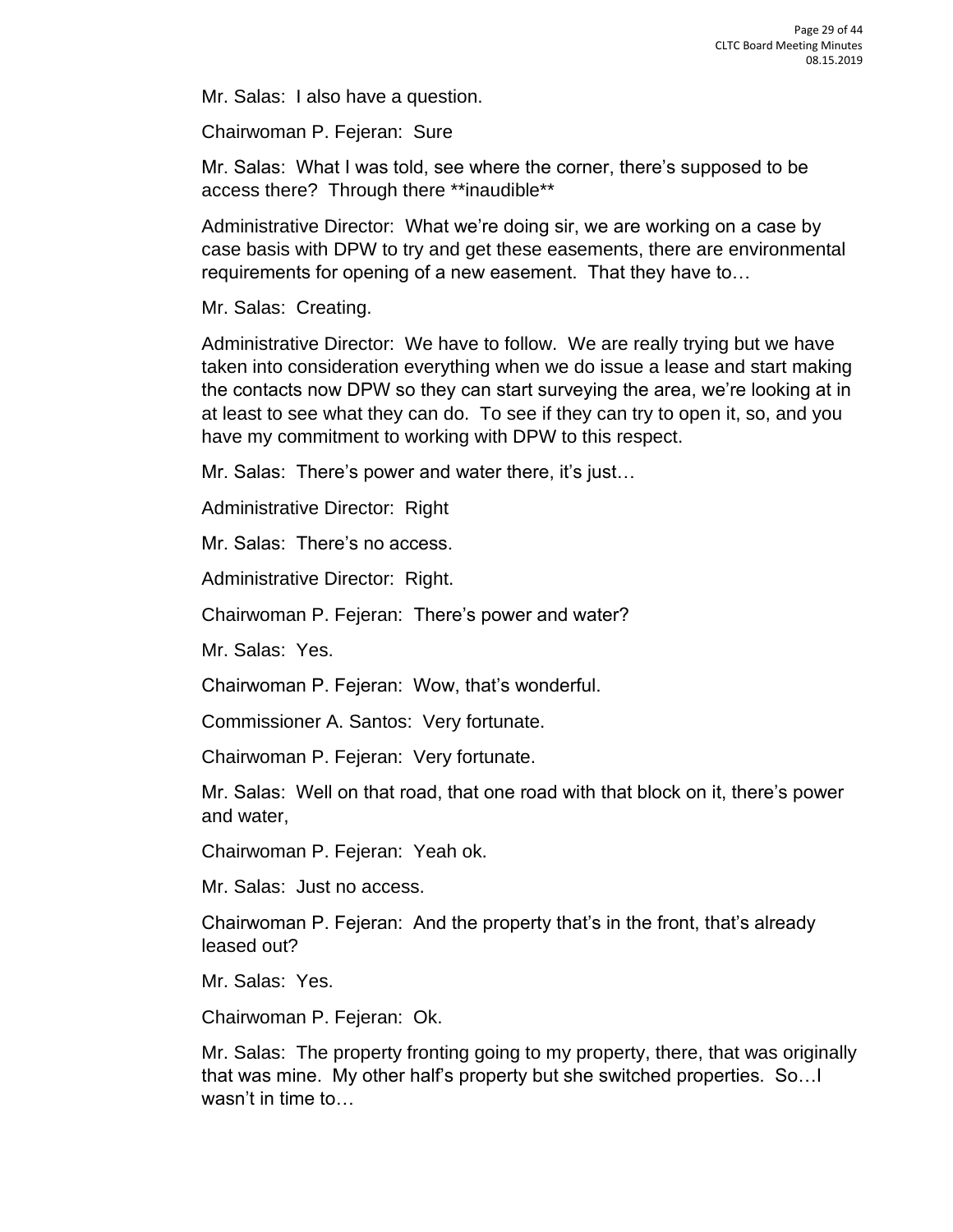Mr. Salas: I also have a question.

Chairwoman P. Fejeran: Sure

Mr. Salas: What I was told, see where the corner, there's supposed to be access there? Through there \*\*inaudible\*\*

Administrative Director: What we're doing sir, we are working on a case by case basis with DPW to try and get these easements, there are environmental requirements for opening of a new easement. That they have to…

Mr. Salas: Creating.

Administrative Director: We have to follow. We are really trying but we have taken into consideration everything when we do issue a lease and start making the contacts now DPW so they can start surveying the area, we're looking at in at least to see what they can do. To see if they can try to open it, so, and you have my commitment to working with DPW to this respect.

Mr. Salas: There's power and water there, it's just…

Administrative Director: Right

Mr. Salas: There's no access.

Administrative Director: Right.

Chairwoman P. Fejeran: There's power and water?

Mr. Salas: Yes.

Chairwoman P. Fejeran: Wow, that's wonderful.

Commissioner A. Santos: Very fortunate.

Chairwoman P. Fejeran: Very fortunate.

Mr. Salas: Well on that road, that one road with that block on it, there's power and water,

Chairwoman P. Fejeran: Yeah ok.

Mr. Salas: Just no access.

Chairwoman P. Fejeran: And the property that's in the front, that's already leased out?

Mr. Salas: Yes.

Chairwoman P. Fejeran: Ok.

Mr. Salas: The property fronting going to my property, there, that was originally that was mine. My other half's property but she switched properties. So…I wasn't in time to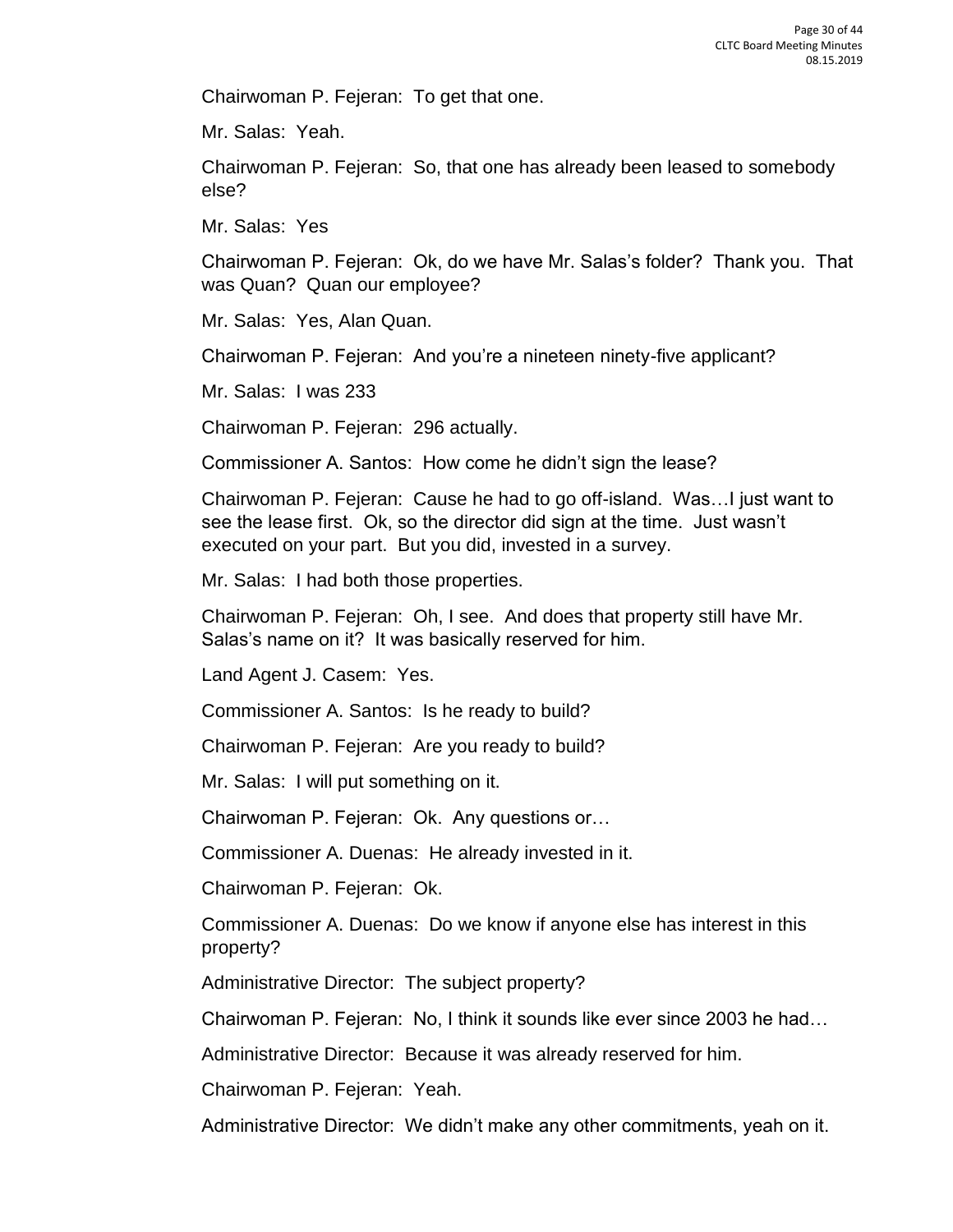Chairwoman P. Fejeran: To get that one.

Mr. Salas: Yeah.

Chairwoman P. Fejeran: So, that one has already been leased to somebody else?

Mr. Salas: Yes

Chairwoman P. Fejeran: Ok, do we have Mr. Salas's folder? Thank you. That was Quan? Quan our employee?

Mr. Salas: Yes, Alan Quan.

Chairwoman P. Fejeran: And you're a nineteen ninety-five applicant?

Mr. Salas: I was 233

Chairwoman P. Fejeran: 296 actually.

Commissioner A. Santos: How come he didn't sign the lease?

Chairwoman P. Fejeran: Cause he had to go off-island. Was…I just want to see the lease first. Ok, so the director did sign at the time. Just wasn't executed on your part. But you did, invested in a survey.

Mr. Salas: I had both those properties.

Chairwoman P. Fejeran: Oh, I see. And does that property still have Mr. Salas's name on it? It was basically reserved for him.

Land Agent J. Casem: Yes.

Commissioner A. Santos: Is he ready to build?

Chairwoman P. Fejeran: Are you ready to build?

Mr. Salas: I will put something on it.

Chairwoman P. Fejeran: Ok. Any questions or…

Commissioner A. Duenas: He already invested in it.

Chairwoman P. Fejeran: Ok.

Commissioner A. Duenas: Do we know if anyone else has interest in this property?

Administrative Director: The subject property?

Chairwoman P. Fejeran: No, I think it sounds like ever since 2003 he had…

Administrative Director: Because it was already reserved for him.

Chairwoman P. Fejeran: Yeah.

Administrative Director: We didn't make any other commitments, yeah on it.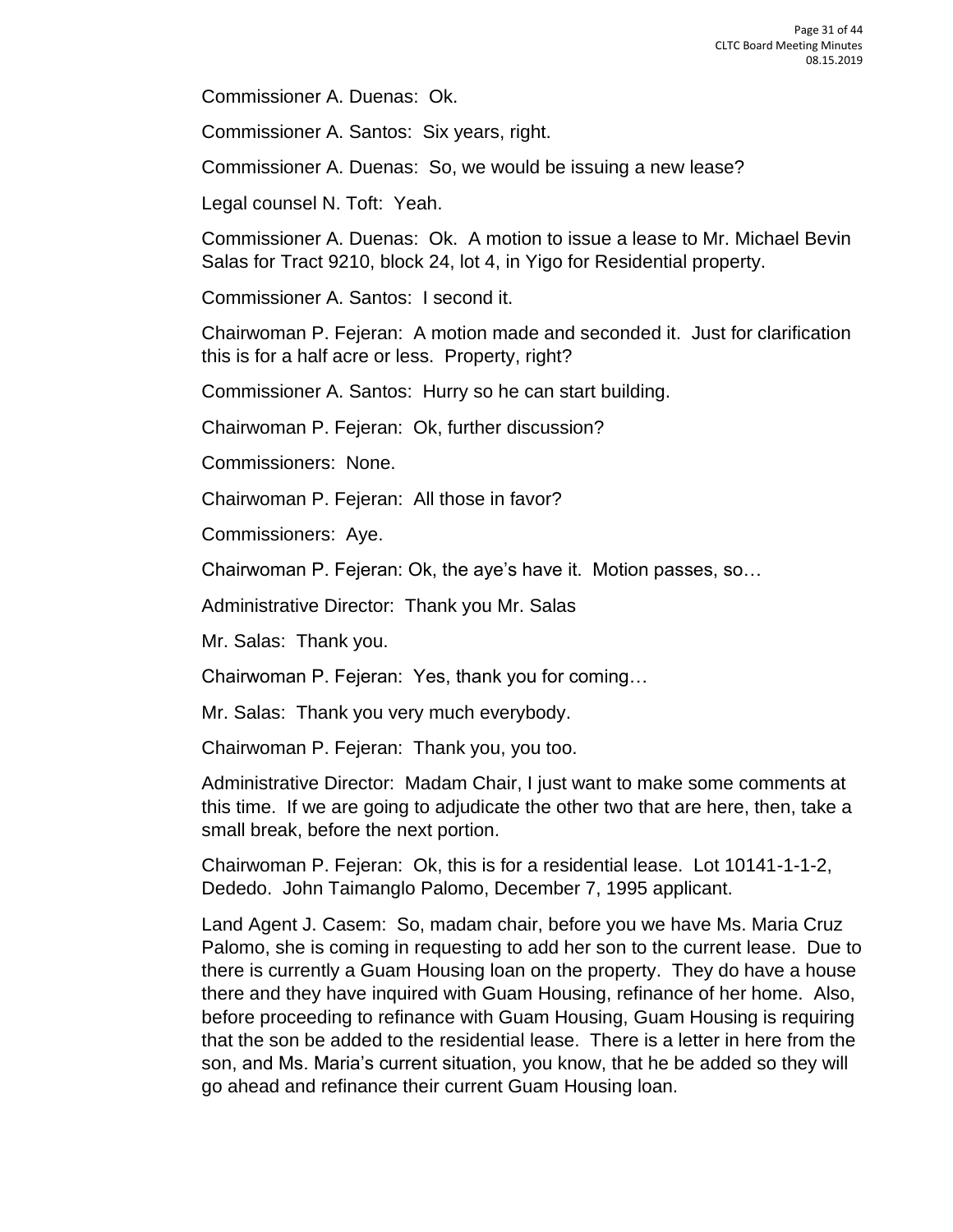Commissioner A. Duenas: Ok.

Commissioner A. Santos: Six years, right.

Commissioner A. Duenas: So, we would be issuing a new lease?

Legal counsel N. Toft: Yeah.

Commissioner A. Duenas: Ok. A motion to issue a lease to Mr. Michael Bevin Salas for Tract 9210, block 24, lot 4, in Yigo for Residential property.

Commissioner A. Santos: I second it.

Chairwoman P. Fejeran: A motion made and seconded it. Just for clarification this is for a half acre or less. Property, right?

Commissioner A. Santos: Hurry so he can start building.

Chairwoman P. Fejeran: Ok, further discussion?

Commissioners: None.

Chairwoman P. Fejeran: All those in favor?

Commissioners: Aye.

Chairwoman P. Fejeran: Ok, the aye's have it. Motion passes, so…

Administrative Director: Thank you Mr. Salas

Mr. Salas: Thank you.

Chairwoman P. Fejeran: Yes, thank you for coming…

Mr. Salas: Thank you very much everybody.

Chairwoman P. Fejeran: Thank you, you too.

Administrative Director: Madam Chair, I just want to make some comments at this time. If we are going to adjudicate the other two that are here, then, take a small break, before the next portion.

Chairwoman P. Fejeran: Ok, this is for a residential lease. Lot 10141-1-1-2, Dededo. John Taimanglo Palomo, December 7, 1995 applicant.

Land Agent J. Casem: So, madam chair, before you we have Ms. Maria Cruz Palomo, she is coming in requesting to add her son to the current lease. Due to there is currently a Guam Housing loan on the property. They do have a house there and they have inquired with Guam Housing, refinance of her home. Also, before proceeding to refinance with Guam Housing, Guam Housing is requiring that the son be added to the residential lease. There is a letter in here from the son, and Ms. Maria's current situation, you know, that he be added so they will go ahead and refinance their current Guam Housing loan.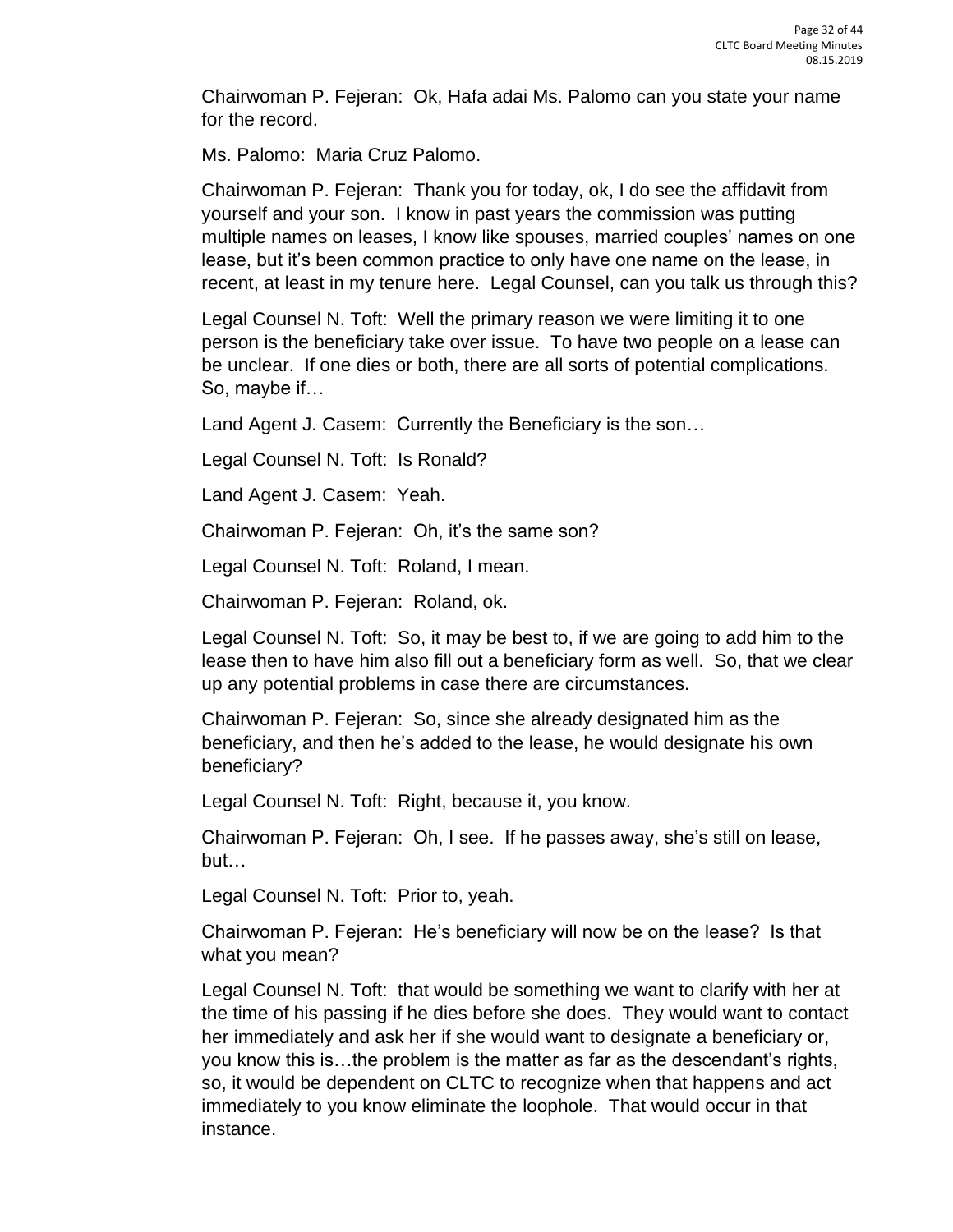Chairwoman P. Fejeran: Ok, Hafa adai Ms. Palomo can you state your name for the record.

Ms. Palomo: Maria Cruz Palomo.

Chairwoman P. Fejeran: Thank you for today, ok, I do see the affidavit from yourself and your son. I know in past years the commission was putting multiple names on leases, I know like spouses, married couples' names on one lease, but it's been common practice to only have one name on the lease, in recent, at least in my tenure here. Legal Counsel, can you talk us through this?

Legal Counsel N. Toft: Well the primary reason we were limiting it to one person is the beneficiary take over issue. To have two people on a lease can be unclear. If one dies or both, there are all sorts of potential complications. So, maybe if…

Land Agent J. Casem: Currently the Beneficiary is the son…

Legal Counsel N. Toft: Is Ronald?

Land Agent J. Casem: Yeah.

Chairwoman P. Fejeran: Oh, it's the same son?

Legal Counsel N. Toft: Roland, I mean.

Chairwoman P. Fejeran: Roland, ok.

Legal Counsel N. Toft: So, it may be best to, if we are going to add him to the lease then to have him also fill out a beneficiary form as well. So, that we clear up any potential problems in case there are circumstances.

Chairwoman P. Fejeran: So, since she already designated him as the beneficiary, and then he's added to the lease, he would designate his own beneficiary?

Legal Counsel N. Toft: Right, because it, you know.

Chairwoman P. Fejeran: Oh, I see. If he passes away, she's still on lease, but…

Legal Counsel N. Toft: Prior to, yeah.

Chairwoman P. Fejeran: He's beneficiary will now be on the lease? Is that what you mean?

Legal Counsel N. Toft: that would be something we want to clarify with her at the time of his passing if he dies before she does. They would want to contact her immediately and ask her if she would want to designate a beneficiary or, you know this is…the problem is the matter as far as the descendant's rights, so, it would be dependent on CLTC to recognize when that happens and act immediately to you know eliminate the loophole. That would occur in that instance.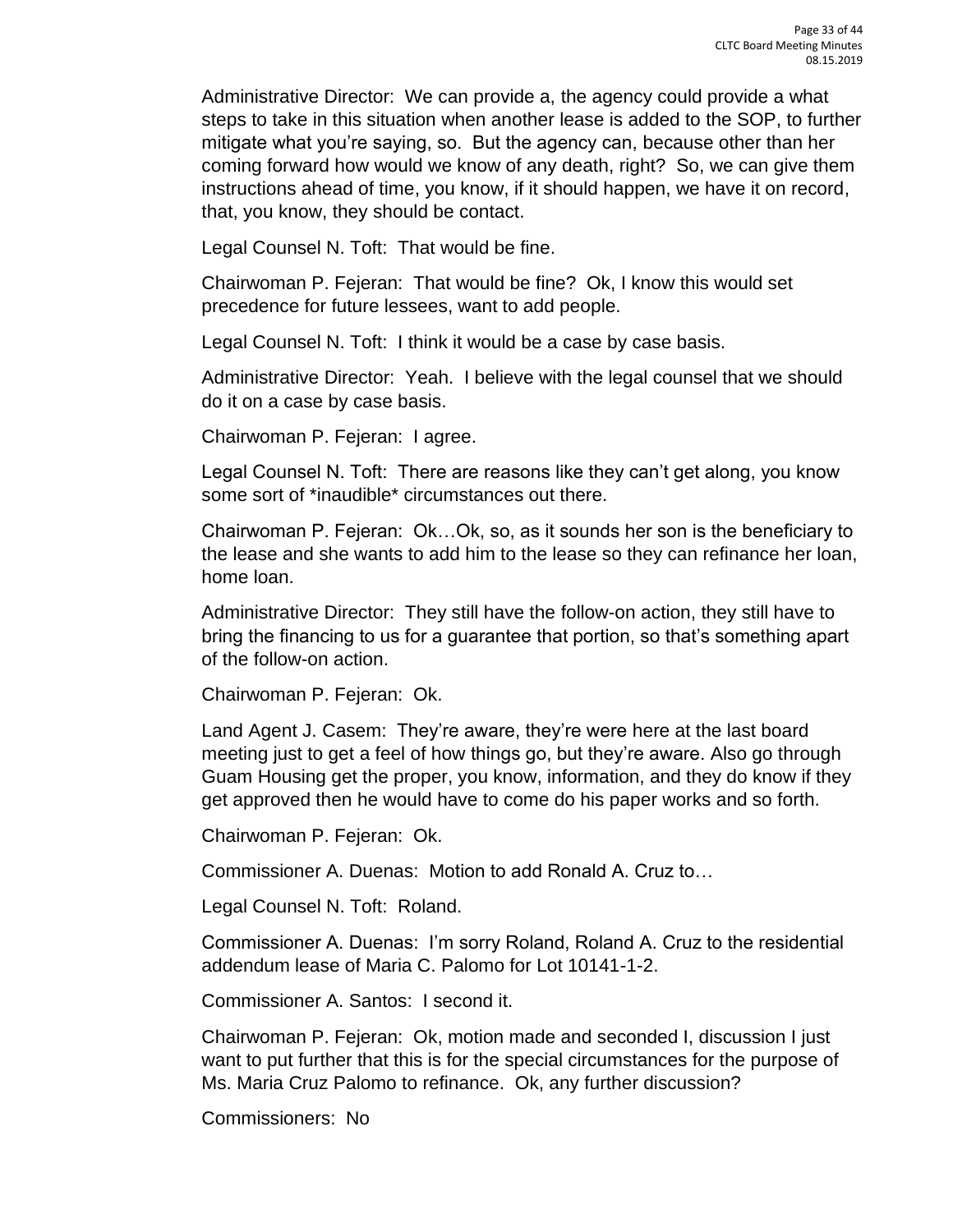Administrative Director: We can provide a, the agency could provide a what steps to take in this situation when another lease is added to the SOP, to further mitigate what you're saying, so. But the agency can, because other than her coming forward how would we know of any death, right? So, we can give them instructions ahead of time, you know, if it should happen, we have it on record, that, you know, they should be contact.

Legal Counsel N. Toft: That would be fine.

Chairwoman P. Fejeran: That would be fine? Ok, I know this would set precedence for future lessees, want to add people.

Legal Counsel N. Toft: I think it would be a case by case basis.

Administrative Director: Yeah. I believe with the legal counsel that we should do it on a case by case basis.

Chairwoman P. Fejeran: I agree.

Legal Counsel N. Toft: There are reasons like they can't get along, you know some sort of \*inaudible\* circumstances out there.

Chairwoman P. Fejeran: Ok…Ok, so, as it sounds her son is the beneficiary to the lease and she wants to add him to the lease so they can refinance her loan, home loan.

Administrative Director: They still have the follow-on action, they still have to bring the financing to us for a guarantee that portion, so that's something apart of the follow-on action.

Chairwoman P. Fejeran: Ok.

Land Agent J. Casem: They're aware, they're were here at the last board meeting just to get a feel of how things go, but they're aware. Also go through Guam Housing get the proper, you know, information, and they do know if they get approved then he would have to come do his paper works and so forth.

Chairwoman P. Fejeran: Ok.

Commissioner A. Duenas: Motion to add Ronald A. Cruz to…

Legal Counsel N. Toft: Roland.

Commissioner A. Duenas: I'm sorry Roland, Roland A. Cruz to the residential addendum lease of Maria C. Palomo for Lot 10141-1-2.

Commissioner A. Santos: I second it.

Chairwoman P. Fejeran: Ok, motion made and seconded I, discussion I just want to put further that this is for the special circumstances for the purpose of Ms. Maria Cruz Palomo to refinance. Ok, any further discussion?

Commissioners: No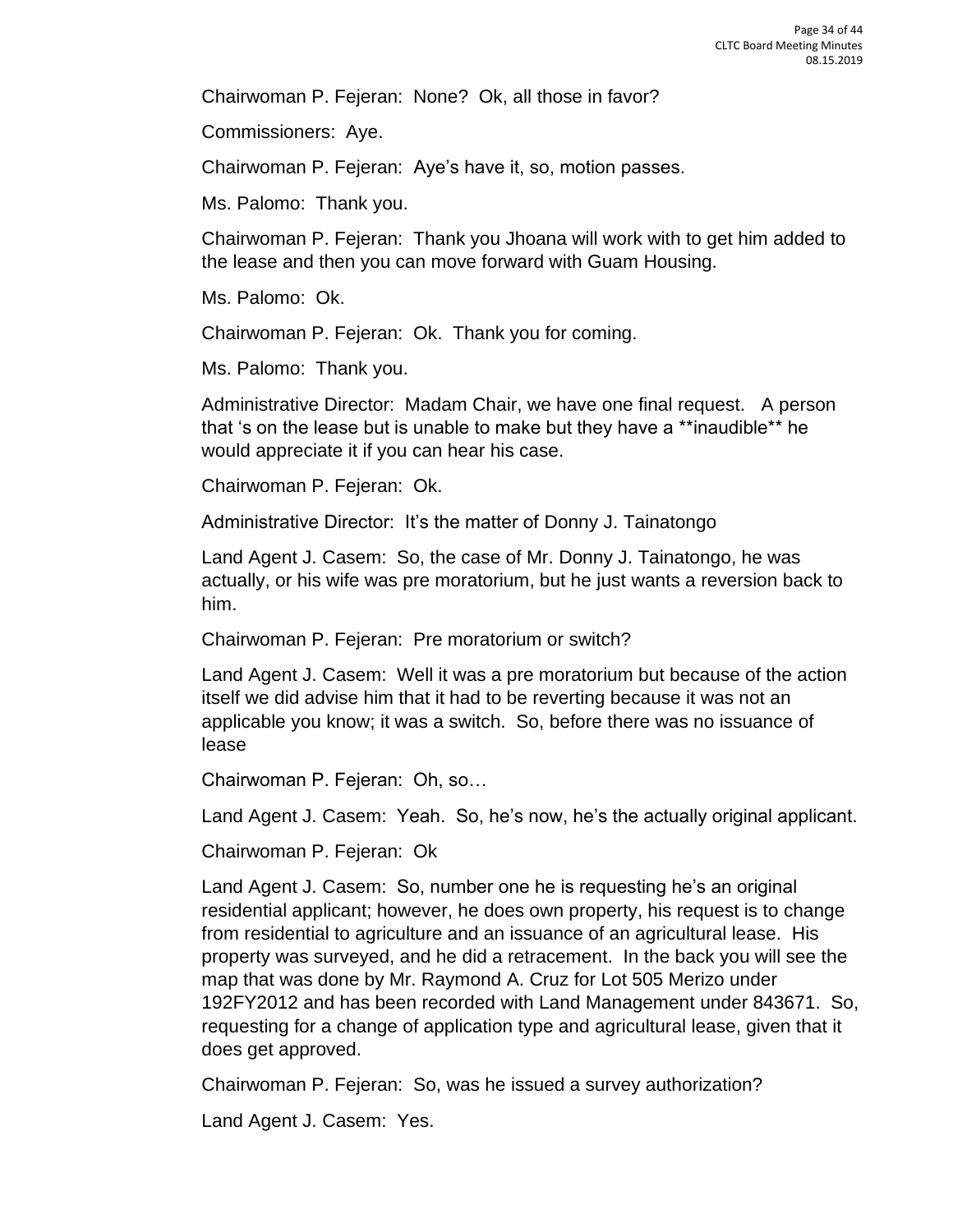Chairwoman P. Fejeran: None? Ok, all those in favor?

Commissioners: Aye.

Chairwoman P. Fejeran: Aye's have it, so, motion passes.

Ms. Palomo: Thank you.

Chairwoman P. Fejeran: Thank you Jhoana will work with to get him added to the lease and then you can move forward with Guam Housing.

Ms. Palomo: Ok.

Chairwoman P. Fejeran: Ok. Thank you for coming.

Ms. Palomo: Thank you.

Administrative Director: Madam Chair, we have one final request. A person that 's on the lease but is unable to make but they have a \*\*inaudible\*\* he would appreciate it if you can hear his case.

Chairwoman P. Fejeran: Ok.

Administrative Director: It's the matter of Donny J. Tainatongo

Land Agent J. Casem: So, the case of Mr. Donny J. Tainatongo, he was actually, or his wife was pre moratorium, but he just wants a reversion back to him.

Chairwoman P. Fejeran: Pre moratorium or switch?

Land Agent J. Casem: Well it was a pre moratorium but because of the action itself we did advise him that it had to be reverting because it was not an applicable you know; it was a switch. So, before there was no issuance of lease

Chairwoman P. Fejeran: Oh, so…

Land Agent J. Casem: Yeah. So, he's now, he's the actually original applicant.

Chairwoman P. Fejeran: Ok

Land Agent J. Casem: So, number one he is requesting he's an original residential applicant; however, he does own property, his request is to change from residential to agriculture and an issuance of an agricultural lease. His property was surveyed, and he did a retracement. In the back you will see the map that was done by Mr. Raymond A. Cruz for Lot 505 Merizo under 192FY2012 and has been recorded with Land Management under 843671. So, requesting for a change of application type and agricultural lease, given that it does get approved.

Chairwoman P. Fejeran: So, was he issued a survey authorization?

Land Agent J. Casem: Yes.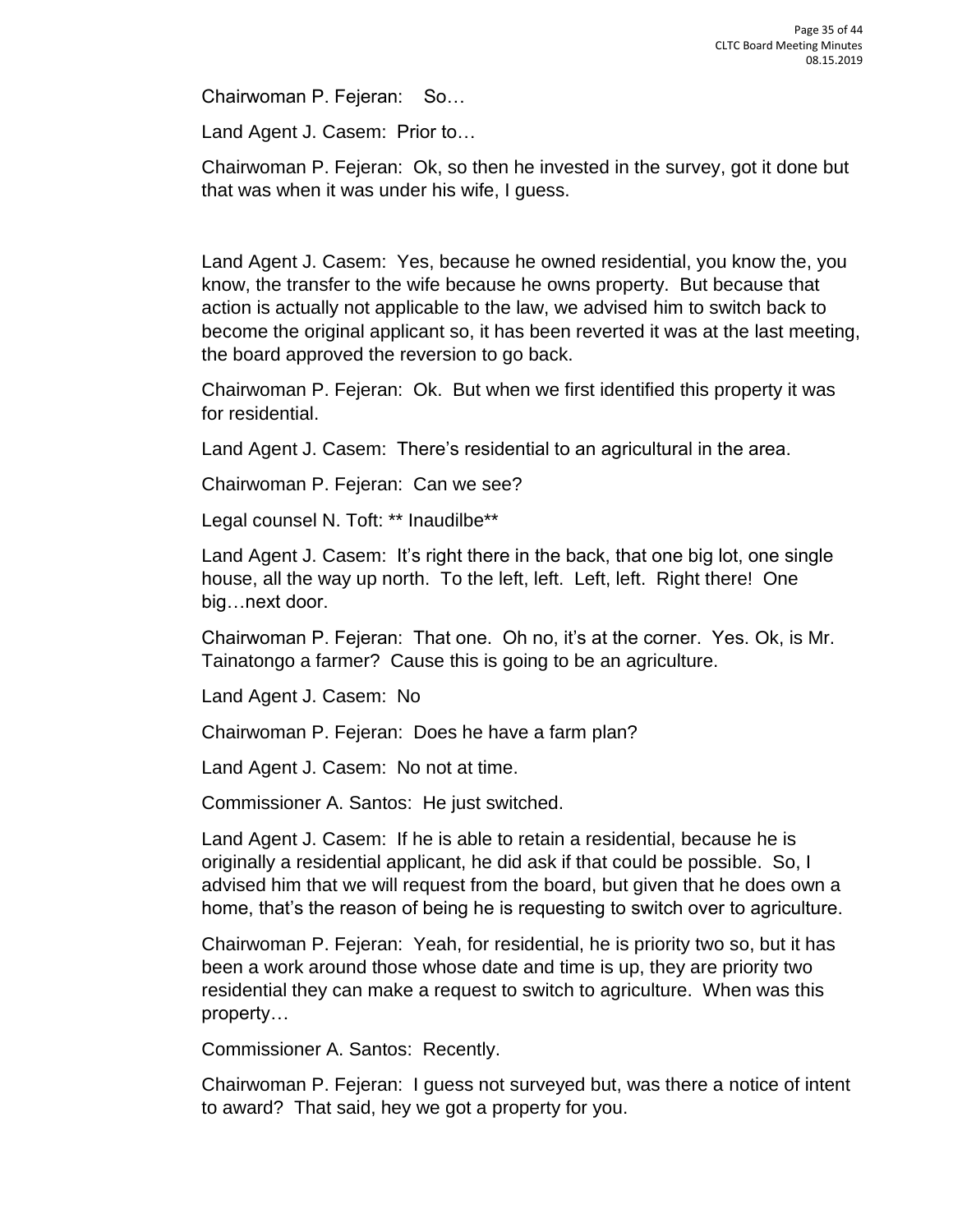Chairwoman P. Fejeran: So…

Land Agent J. Casem: Prior to…

Chairwoman P. Fejeran: Ok, so then he invested in the survey, got it done but that was when it was under his wife, I guess.

Land Agent J. Casem: Yes, because he owned residential, you know the, you know, the transfer to the wife because he owns property. But because that action is actually not applicable to the law, we advised him to switch back to become the original applicant so, it has been reverted it was at the last meeting, the board approved the reversion to go back.

Chairwoman P. Fejeran: Ok. But when we first identified this property it was for residential.

Land Agent J. Casem: There's residential to an agricultural in the area.

Chairwoman P. Fejeran: Can we see?

Legal counsel N. Toft: \*\* Inaudilbe\*\*

Land Agent J. Casem: It's right there in the back, that one big lot, one single house, all the way up north. To the left, left. Left, left. Right there! One big…next door.

Chairwoman P. Fejeran: That one. Oh no, it's at the corner. Yes. Ok, is Mr. Tainatongo a farmer? Cause this is going to be an agriculture.

Land Agent J. Casem: No

Chairwoman P. Fejeran: Does he have a farm plan?

Land Agent J. Casem: No not at time.

Commissioner A. Santos: He just switched.

Land Agent J. Casem: If he is able to retain a residential, because he is originally a residential applicant, he did ask if that could be possible. So, I advised him that we will request from the board, but given that he does own a home, that's the reason of being he is requesting to switch over to agriculture.

Chairwoman P. Fejeran: Yeah, for residential, he is priority two so, but it has been a work around those whose date and time is up, they are priority two residential they can make a request to switch to agriculture. When was this property…

Commissioner A. Santos: Recently.

Chairwoman P. Fejeran: I guess not surveyed but, was there a notice of intent to award? That said, hey we got a property for you.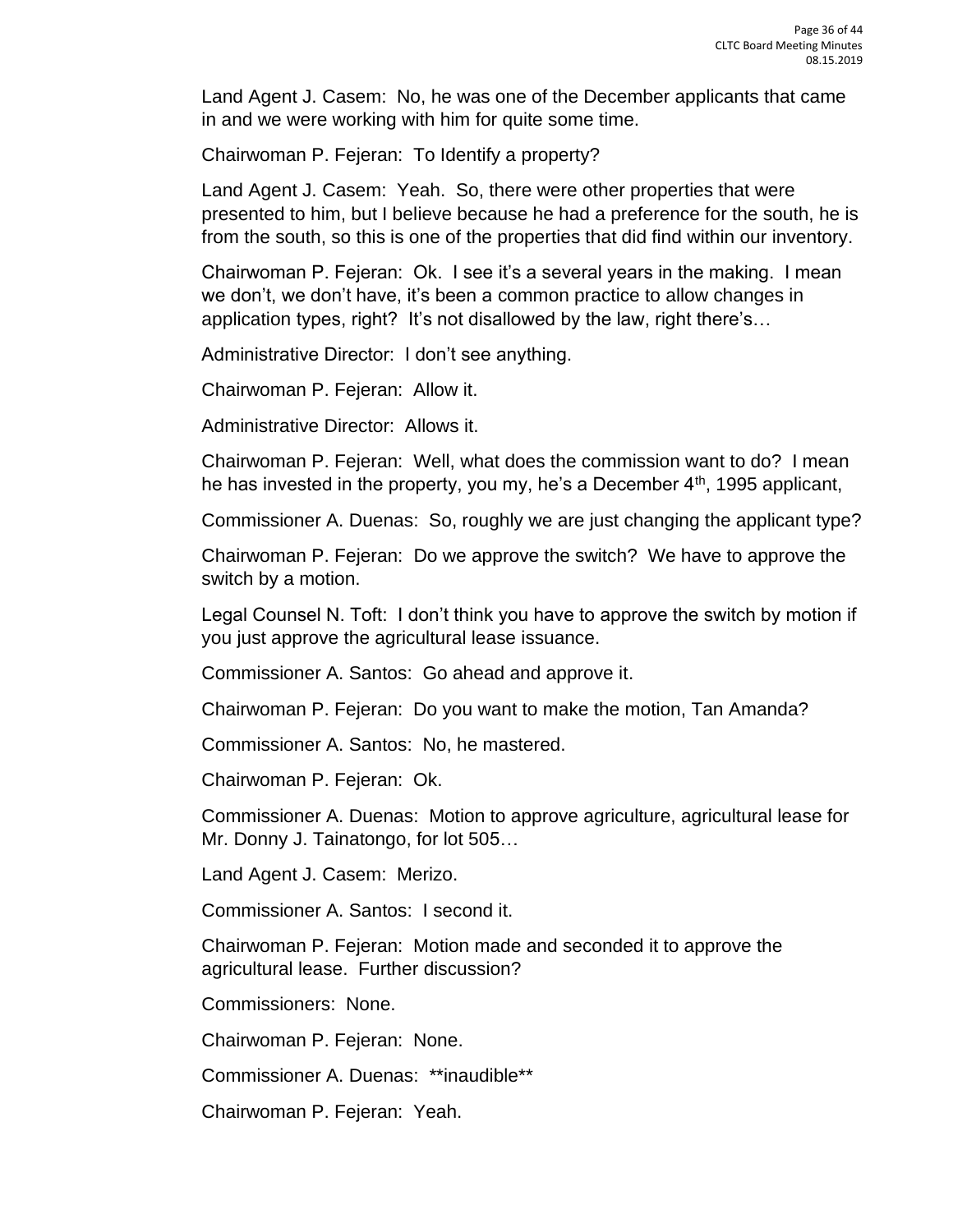Land Agent J. Casem: No, he was one of the December applicants that came in and we were working with him for quite some time.

Chairwoman P. Fejeran: To Identify a property?

Land Agent J. Casem: Yeah. So, there were other properties that were presented to him, but I believe because he had a preference for the south, he is from the south, so this is one of the properties that did find within our inventory.

Chairwoman P. Fejeran: Ok. I see it's a several years in the making. I mean we don't, we don't have, it's been a common practice to allow changes in application types, right? It's not disallowed by the law, right there's…

Administrative Director: I don't see anything.

Chairwoman P. Fejeran: Allow it.

Administrative Director: Allows it.

Chairwoman P. Fejeran: Well, what does the commission want to do? I mean he has invested in the property, you my, he's a December 4<sup>th</sup>, 1995 applicant,

Commissioner A. Duenas: So, roughly we are just changing the applicant type?

Chairwoman P. Fejeran: Do we approve the switch? We have to approve the switch by a motion.

Legal Counsel N. Toft: I don't think you have to approve the switch by motion if you just approve the agricultural lease issuance.

Commissioner A. Santos: Go ahead and approve it.

Chairwoman P. Fejeran: Do you want to make the motion, Tan Amanda?

Commissioner A. Santos: No, he mastered.

Chairwoman P. Fejeran: Ok.

Commissioner A. Duenas: Motion to approve agriculture, agricultural lease for Mr. Donny J. Tainatongo, for lot 505…

Land Agent J. Casem: Merizo.

Commissioner A. Santos: I second it.

Chairwoman P. Fejeran: Motion made and seconded it to approve the agricultural lease. Further discussion?

Commissioners: None.

Chairwoman P. Fejeran: None.

Commissioner A. Duenas: \*\*inaudible\*\*

Chairwoman P. Fejeran: Yeah.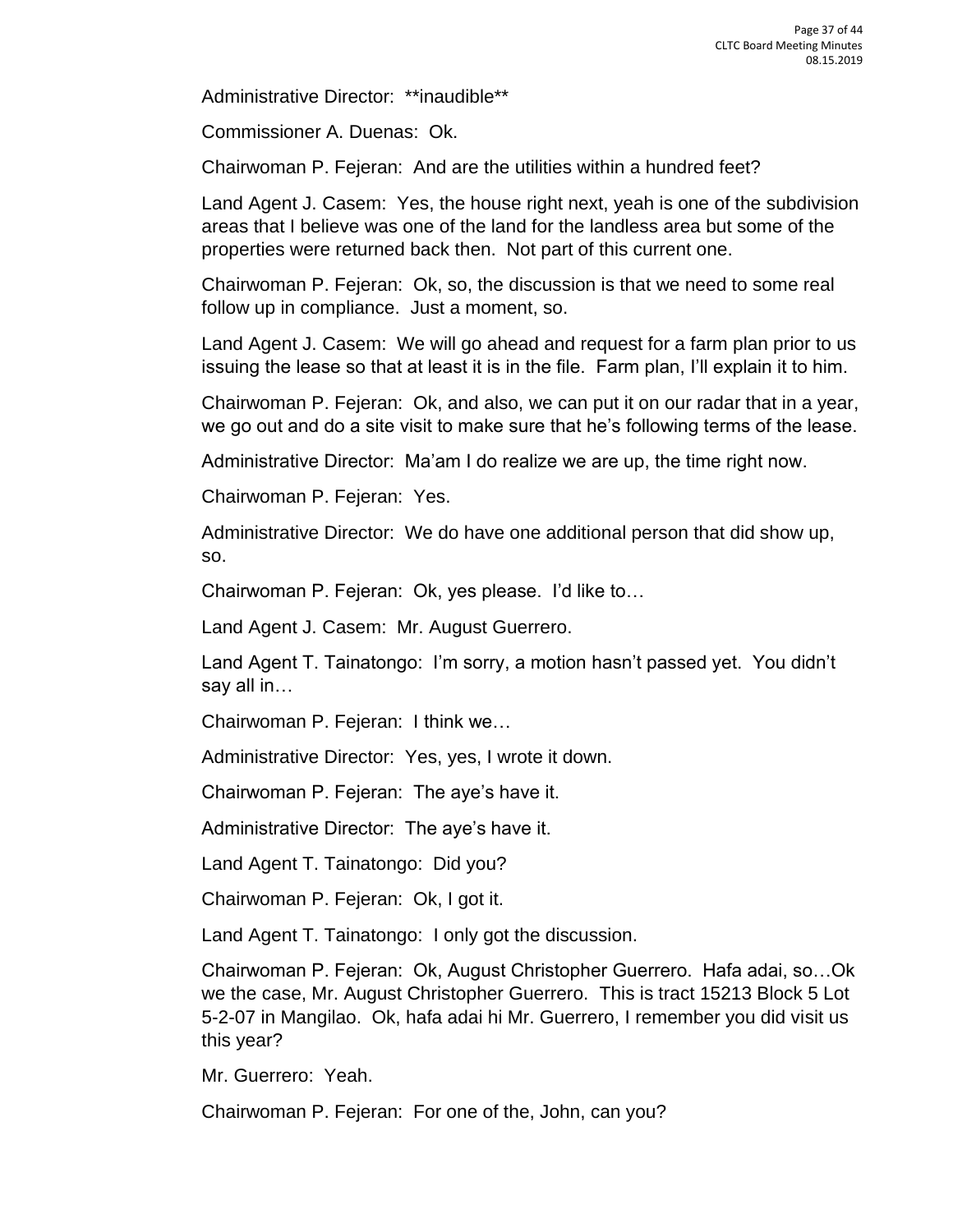Administrative Director: \*\*inaudible\*\*

Commissioner A. Duenas: Ok.

Chairwoman P. Fejeran: And are the utilities within a hundred feet?

Land Agent J. Casem: Yes, the house right next, yeah is one of the subdivision areas that I believe was one of the land for the landless area but some of the properties were returned back then. Not part of this current one.

Chairwoman P. Fejeran: Ok, so, the discussion is that we need to some real follow up in compliance. Just a moment, so.

Land Agent J. Casem: We will go ahead and request for a farm plan prior to us issuing the lease so that at least it is in the file. Farm plan, I'll explain it to him.

Chairwoman P. Fejeran: Ok, and also, we can put it on our radar that in a year, we go out and do a site visit to make sure that he's following terms of the lease.

Administrative Director: Ma'am I do realize we are up, the time right now.

Chairwoman P. Fejeran: Yes.

Administrative Director: We do have one additional person that did show up, so.

Chairwoman P. Fejeran: Ok, yes please. I'd like to…

Land Agent J. Casem: Mr. August Guerrero.

Land Agent T. Tainatongo: I'm sorry, a motion hasn't passed yet. You didn't say all in…

Chairwoman P. Fejeran: I think we…

Administrative Director: Yes, yes, I wrote it down.

Chairwoman P. Fejeran: The aye's have it.

Administrative Director: The aye's have it.

Land Agent T. Tainatongo: Did you?

Chairwoman P. Fejeran: Ok, I got it.

Land Agent T. Tainatongo: I only got the discussion.

Chairwoman P. Fejeran: Ok, August Christopher Guerrero. Hafa adai, so…Ok we the case, Mr. August Christopher Guerrero. This is tract 15213 Block 5 Lot 5-2-07 in Mangilao. Ok, hafa adai hi Mr. Guerrero, I remember you did visit us this year?

Mr. Guerrero: Yeah.

Chairwoman P. Fejeran: For one of the, John, can you?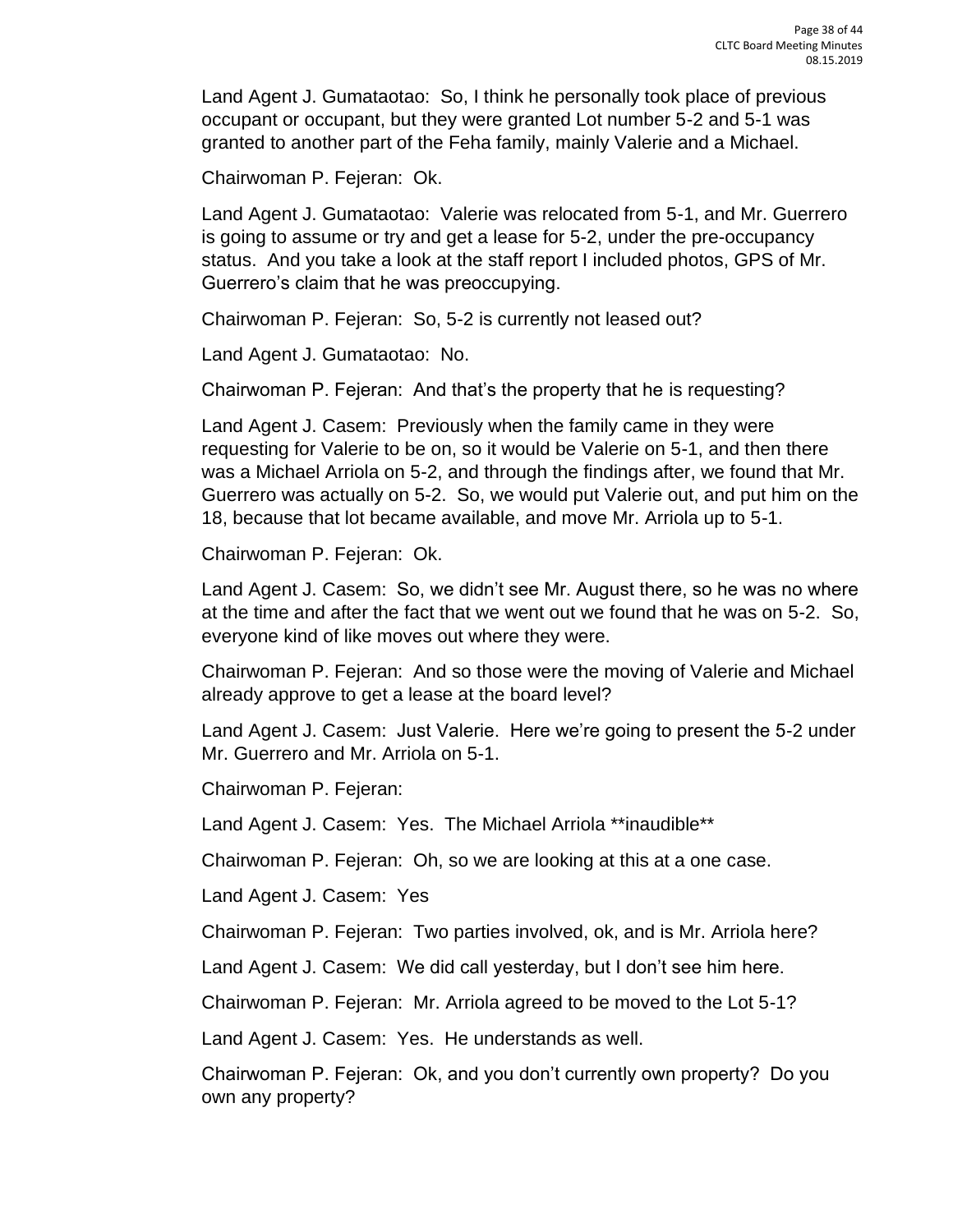Land Agent J. Gumataotao: So, I think he personally took place of previous occupant or occupant, but they were granted Lot number 5-2 and 5-1 was granted to another part of the Feha family, mainly Valerie and a Michael.

Chairwoman P. Fejeran: Ok.

Land Agent J. Gumataotao: Valerie was relocated from 5-1, and Mr. Guerrero is going to assume or try and get a lease for 5-2, under the pre-occupancy status. And you take a look at the staff report I included photos, GPS of Mr. Guerrero's claim that he was preoccupying.

Chairwoman P. Fejeran: So, 5-2 is currently not leased out?

Land Agent J. Gumataotao: No.

Chairwoman P. Fejeran: And that's the property that he is requesting?

Land Agent J. Casem: Previously when the family came in they were requesting for Valerie to be on, so it would be Valerie on 5-1, and then there was a Michael Arriola on 5-2, and through the findings after, we found that Mr. Guerrero was actually on 5-2. So, we would put Valerie out, and put him on the 18, because that lot became available, and move Mr. Arriola up to 5-1.

Chairwoman P. Fejeran: Ok.

Land Agent J. Casem: So, we didn't see Mr. August there, so he was no where at the time and after the fact that we went out we found that he was on 5-2. So, everyone kind of like moves out where they were.

Chairwoman P. Fejeran: And so those were the moving of Valerie and Michael already approve to get a lease at the board level?

Land Agent J. Casem: Just Valerie. Here we're going to present the 5-2 under Mr. Guerrero and Mr. Arriola on 5-1.

Chairwoman P. Fejeran:

Land Agent J. Casem: Yes. The Michael Arriola \*\*inaudible\*\*

Chairwoman P. Fejeran: Oh, so we are looking at this at a one case.

Land Agent J. Casem: Yes

Chairwoman P. Fejeran: Two parties involved, ok, and is Mr. Arriola here?

Land Agent J. Casem: We did call yesterday, but I don't see him here.

Chairwoman P. Fejeran: Mr. Arriola agreed to be moved to the Lot 5-1?

Land Agent J. Casem: Yes. He understands as well.

Chairwoman P. Fejeran: Ok, and you don't currently own property? Do you own any property?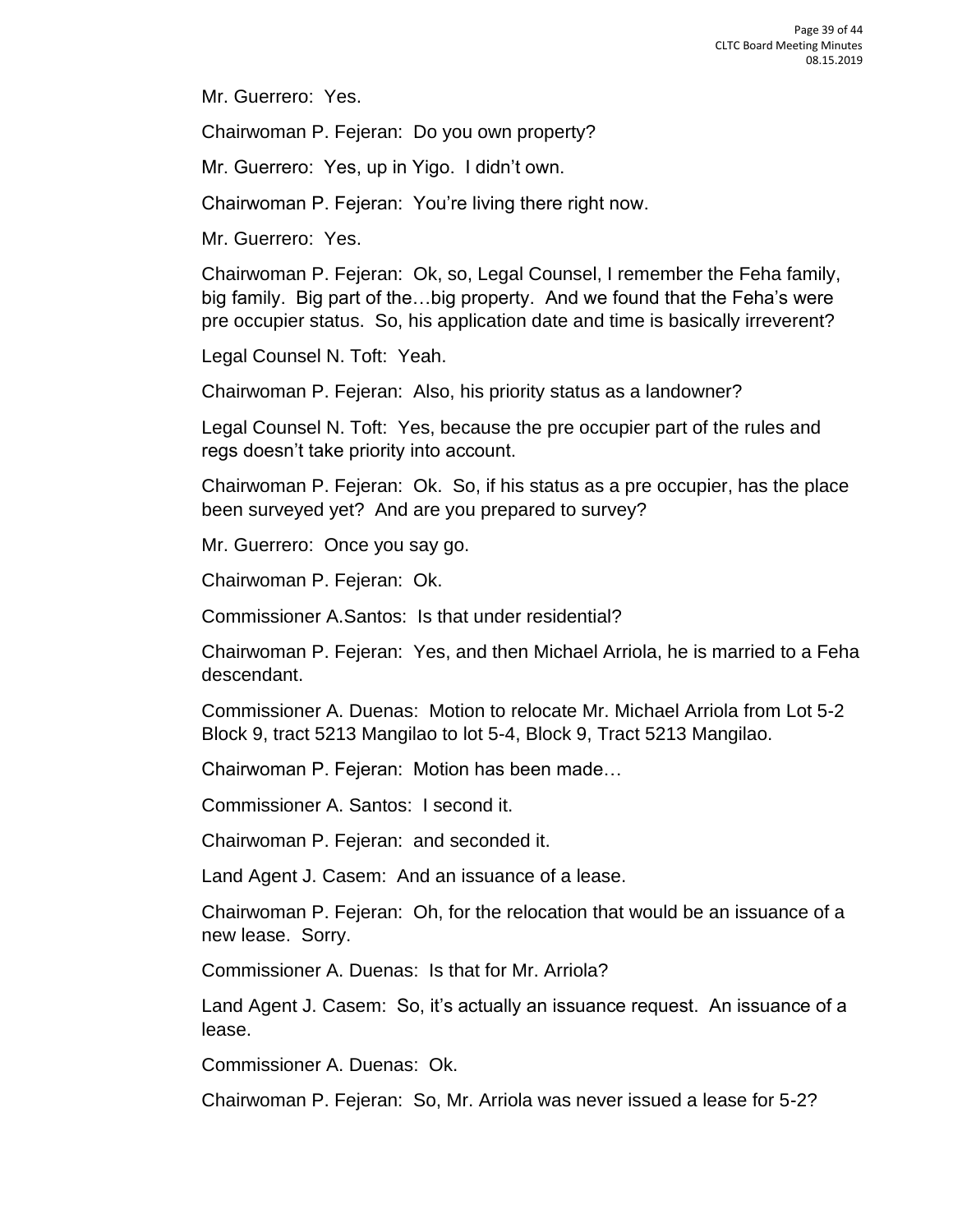Mr. Guerrero: Yes.

Chairwoman P. Fejeran: Do you own property?

Mr. Guerrero: Yes, up in Yigo. I didn't own.

Chairwoman P. Fejeran: You're living there right now.

Mr. Guerrero: Yes.

Chairwoman P. Fejeran: Ok, so, Legal Counsel, I remember the Feha family, big family. Big part of the…big property. And we found that the Feha's were pre occupier status. So, his application date and time is basically irreverent?

Legal Counsel N. Toft: Yeah.

Chairwoman P. Fejeran: Also, his priority status as a landowner?

Legal Counsel N. Toft: Yes, because the pre occupier part of the rules and regs doesn't take priority into account.

Chairwoman P. Fejeran: Ok. So, if his status as a pre occupier, has the place been surveyed yet? And are you prepared to survey?

Mr. Guerrero: Once you say go.

Chairwoman P. Fejeran: Ok.

Commissioner A.Santos: Is that under residential?

Chairwoman P. Fejeran: Yes, and then Michael Arriola, he is married to a Feha descendant.

Commissioner A. Duenas: Motion to relocate Mr. Michael Arriola from Lot 5-2 Block 9, tract 5213 Mangilao to lot 5-4, Block 9, Tract 5213 Mangilao.

Chairwoman P. Fejeran: Motion has been made…

Commissioner A. Santos: I second it.

Chairwoman P. Fejeran: and seconded it.

Land Agent J. Casem: And an issuance of a lease.

Chairwoman P. Fejeran: Oh, for the relocation that would be an issuance of a new lease. Sorry.

Commissioner A. Duenas: Is that for Mr. Arriola?

Land Agent J. Casem: So, it's actually an issuance request. An issuance of a lease.

Commissioner A. Duenas: Ok.

Chairwoman P. Fejeran: So, Mr. Arriola was never issued a lease for 5-2?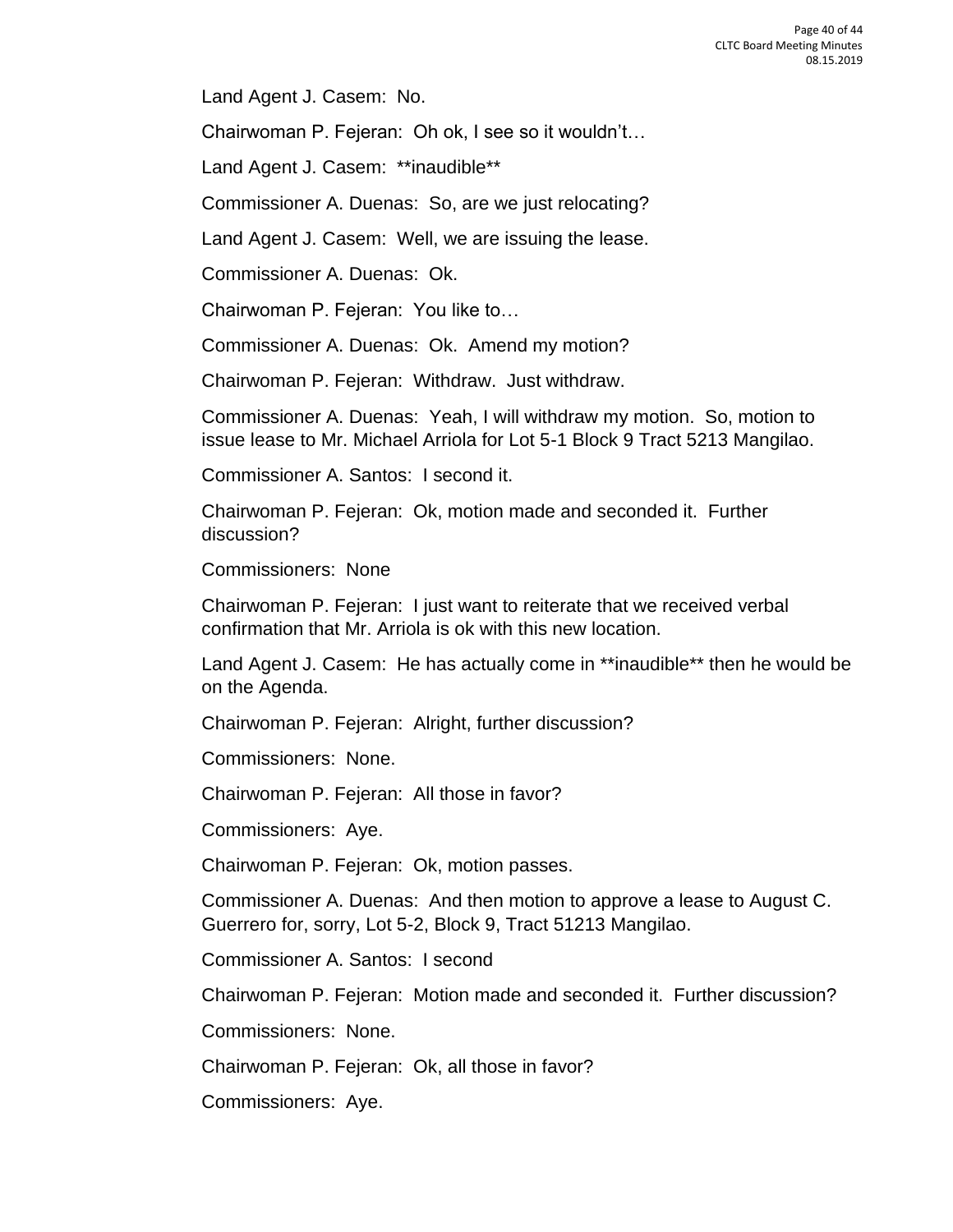Land Agent J. Casem: No.

Chairwoman P. Fejeran: Oh ok, I see so it wouldn't…

Land Agent J. Casem: \*\*inaudible\*\*

Commissioner A. Duenas: So, are we just relocating?

Land Agent J. Casem: Well, we are issuing the lease.

Commissioner A. Duenas: Ok.

Chairwoman P. Fejeran: You like to…

Commissioner A. Duenas: Ok. Amend my motion?

Chairwoman P. Fejeran: Withdraw. Just withdraw.

Commissioner A. Duenas: Yeah, I will withdraw my motion. So, motion to issue lease to Mr. Michael Arriola for Lot 5-1 Block 9 Tract 5213 Mangilao.

Commissioner A. Santos: I second it.

Chairwoman P. Fejeran: Ok, motion made and seconded it. Further discussion?

Commissioners: None

Chairwoman P. Fejeran: I just want to reiterate that we received verbal confirmation that Mr. Arriola is ok with this new location.

Land Agent J. Casem: He has actually come in \*\*inaudible\*\* then he would be on the Agenda.

Chairwoman P. Fejeran: Alright, further discussion?

Commissioners: None.

Chairwoman P. Fejeran: All those in favor?

Commissioners: Aye.

Chairwoman P. Fejeran: Ok, motion passes.

Commissioner A. Duenas: And then motion to approve a lease to August C. Guerrero for, sorry, Lot 5-2, Block 9, Tract 51213 Mangilao.

Commissioner A. Santos: I second

Chairwoman P. Fejeran: Motion made and seconded it. Further discussion?

Commissioners: None.

Chairwoman P. Fejeran: Ok, all those in favor?

Commissioners: Aye.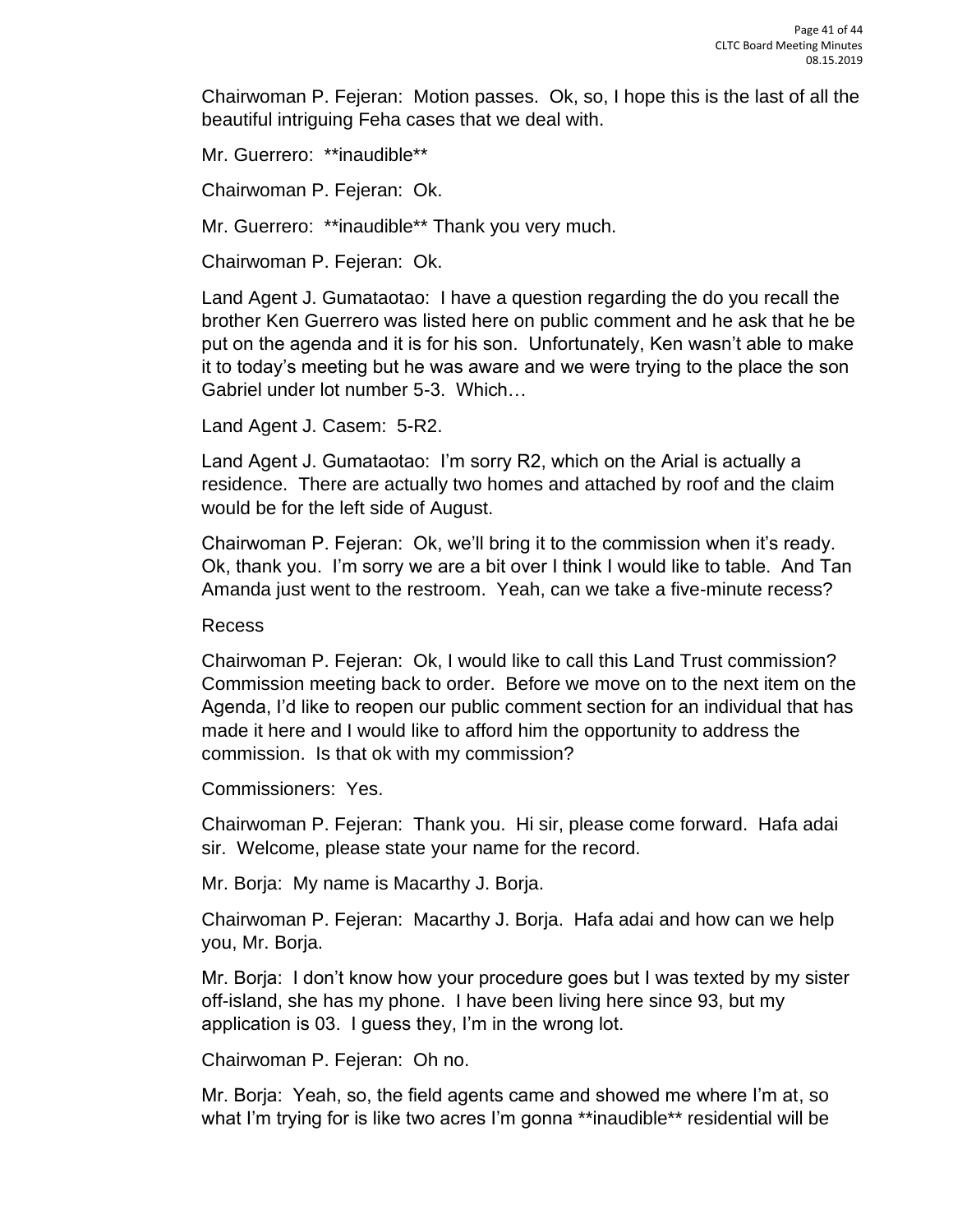Chairwoman P. Fejeran: Motion passes. Ok, so, I hope this is the last of all the beautiful intriguing Feha cases that we deal with.

Mr. Guerrero: \*\*inaudible\*\*

Chairwoman P. Fejeran: Ok.

Mr. Guerrero: \*\*inaudible\*\* Thank you very much.

Chairwoman P. Fejeran: Ok.

Land Agent J. Gumataotao: I have a question regarding the do you recall the brother Ken Guerrero was listed here on public comment and he ask that he be put on the agenda and it is for his son. Unfortunately, Ken wasn't able to make it to today's meeting but he was aware and we were trying to the place the son Gabriel under lot number 5-3. Which…

Land Agent J. Casem: 5-R2.

Land Agent J. Gumataotao: I'm sorry R2, which on the Arial is actually a residence. There are actually two homes and attached by roof and the claim would be for the left side of August.

Chairwoman P. Fejeran: Ok, we'll bring it to the commission when it's ready. Ok, thank you. I'm sorry we are a bit over I think I would like to table. And Tan Amanda just went to the restroom. Yeah, can we take a five-minute recess?

#### Recess

Chairwoman P. Fejeran: Ok, I would like to call this Land Trust commission? Commission meeting back to order. Before we move on to the next item on the Agenda, I'd like to reopen our public comment section for an individual that has made it here and I would like to afford him the opportunity to address the commission. Is that ok with my commission?

Commissioners: Yes.

Chairwoman P. Fejeran: Thank you. Hi sir, please come forward. Hafa adai sir. Welcome, please state your name for the record.

Mr. Borja: My name is Macarthy J. Borja.

Chairwoman P. Fejeran: Macarthy J. Borja. Hafa adai and how can we help you, Mr. Borja.

Mr. Borja: I don't know how your procedure goes but I was texted by my sister off-island, she has my phone. I have been living here since 93, but my application is 03. I guess they, I'm in the wrong lot.

Chairwoman P. Fejeran: Oh no.

Mr. Borja: Yeah, so, the field agents came and showed me where I'm at, so what I'm trying for is like two acres I'm gonna \*\*inaudible\*\* residential will be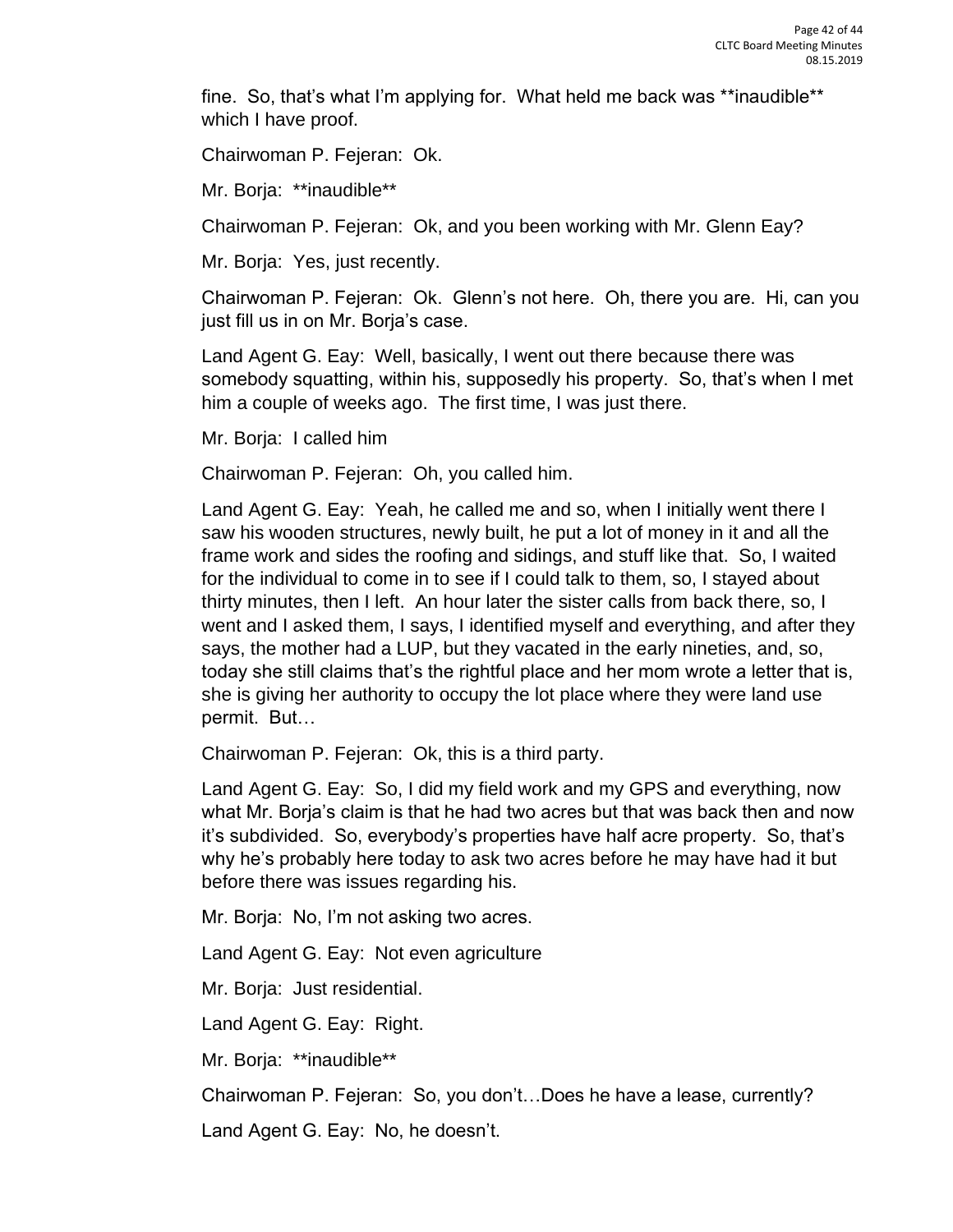fine. So, that's what I'm applying for. What held me back was \*\*inaudible\*\* which I have proof.

Chairwoman P. Fejeran: Ok.

Mr. Borja: \*\*inaudible\*\*

Chairwoman P. Fejeran: Ok, and you been working with Mr. Glenn Eay?

Mr. Borja: Yes, just recently.

Chairwoman P. Fejeran: Ok. Glenn's not here. Oh, there you are. Hi, can you just fill us in on Mr. Borja's case.

Land Agent G. Eay: Well, basically, I went out there because there was somebody squatting, within his, supposedly his property. So, that's when I met him a couple of weeks ago. The first time, I was just there.

Mr. Borja: I called him

Chairwoman P. Fejeran: Oh, you called him.

Land Agent G. Eay: Yeah, he called me and so, when I initially went there I saw his wooden structures, newly built, he put a lot of money in it and all the frame work and sides the roofing and sidings, and stuff like that. So, I waited for the individual to come in to see if I could talk to them, so, I stayed about thirty minutes, then I left. An hour later the sister calls from back there, so, I went and I asked them, I says, I identified myself and everything, and after they says, the mother had a LUP, but they vacated in the early nineties, and, so, today she still claims that's the rightful place and her mom wrote a letter that is, she is giving her authority to occupy the lot place where they were land use permit. But…

Chairwoman P. Fejeran: Ok, this is a third party.

Land Agent G. Eay: So, I did my field work and my GPS and everything, now what Mr. Borja's claim is that he had two acres but that was back then and now it's subdivided. So, everybody's properties have half acre property. So, that's why he's probably here today to ask two acres before he may have had it but before there was issues regarding his.

Mr. Borja: No, I'm not asking two acres.

Land Agent G. Eay: Not even agriculture

Mr. Borja: Just residential.

Land Agent G. Eay: Right.

Mr. Borja: \*\*inaudible\*\*

Chairwoman P. Fejeran: So, you don't…Does he have a lease, currently?

Land Agent G. Eay: No, he doesn't.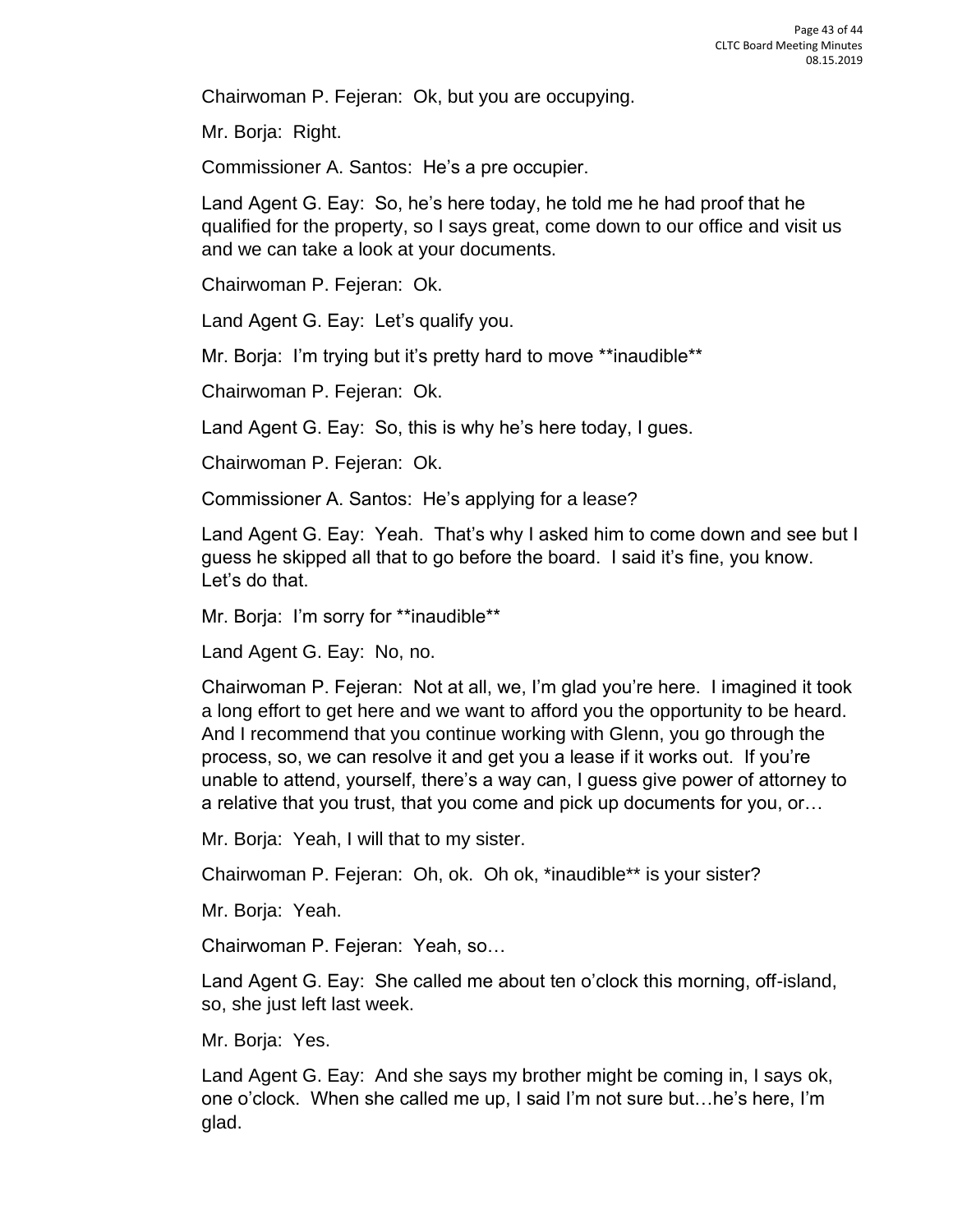Chairwoman P. Fejeran: Ok, but you are occupying.

Mr. Borja: Right.

Commissioner A. Santos: He's a pre occupier.

Land Agent G. Eay: So, he's here today, he told me he had proof that he qualified for the property, so I says great, come down to our office and visit us and we can take a look at your documents.

Chairwoman P. Fejeran: Ok.

Land Agent G. Eay: Let's qualify you.

Mr. Borja: I'm trying but it's pretty hard to move \*\*inaudible\*\*

Chairwoman P. Fejeran: Ok.

Land Agent G. Eay: So, this is why he's here today, I gues.

Chairwoman P. Fejeran: Ok.

Commissioner A. Santos: He's applying for a lease?

Land Agent G. Eay: Yeah. That's why I asked him to come down and see but I guess he skipped all that to go before the board. I said it's fine, you know. Let's do that.

Mr. Borja: I'm sorry for \*\*inaudible\*\*

Land Agent G. Eay: No, no.

Chairwoman P. Fejeran: Not at all, we, I'm glad you're here. I imagined it took a long effort to get here and we want to afford you the opportunity to be heard. And I recommend that you continue working with Glenn, you go through the process, so, we can resolve it and get you a lease if it works out. If you're unable to attend, yourself, there's a way can, I guess give power of attorney to a relative that you trust, that you come and pick up documents for you, or…

Mr. Borja: Yeah, I will that to my sister.

Chairwoman P. Fejeran: Oh, ok. Oh ok, \*inaudible\*\* is your sister?

Mr. Borja: Yeah.

Chairwoman P. Fejeran: Yeah, so…

Land Agent G. Eay: She called me about ten o'clock this morning, off-island, so, she just left last week.

Mr. Borja: Yes.

Land Agent G. Eay: And she says my brother might be coming in, I says ok, one o'clock. When she called me up, I said I'm not sure but…he's here, I'm glad.